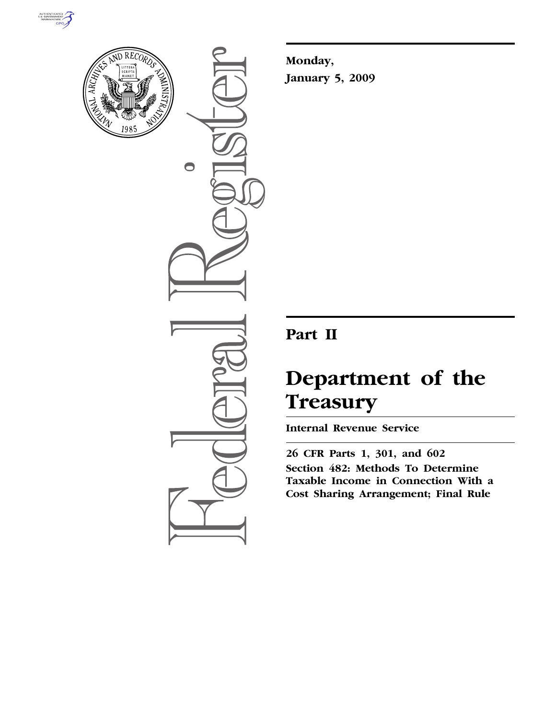



 $\bigcirc$ 

**Monday, January 5, 2009** 

## **Part II**

# **Department of the Treasury**

**Internal Revenue Service** 

**26 CFR Parts 1, 301, and 602 Section 482: Methods To Determine Taxable Income in Connection With a Cost Sharing Arrangement; Final Rule**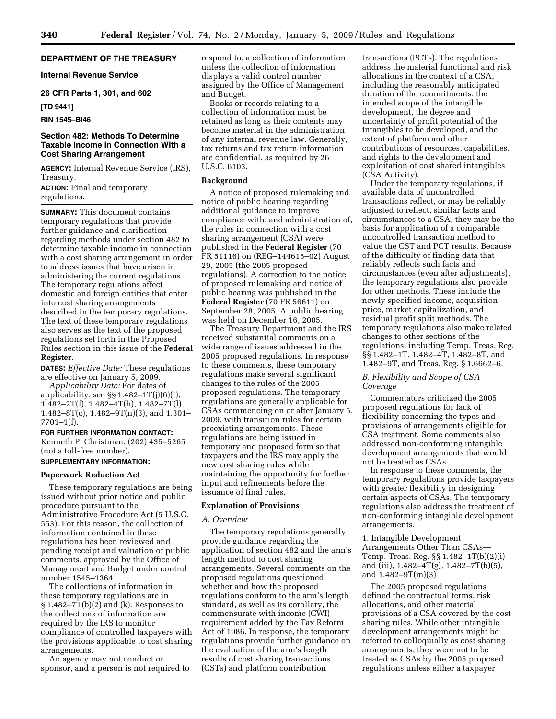## **DEPARTMENT OF THE TREASURY**

**Internal Revenue Service** 

## **26 CFR Parts 1, 301, and 602**

#### **[TD 9441]**

## **RIN 1545–BI46**

#### **Section 482: Methods To Determine Taxable Income in Connection With a Cost Sharing Arrangement**

**AGENCY:** Internal Revenue Service (IRS), Treasury.

**ACTION:** Final and temporary regulations.

**SUMMARY:** This document contains temporary regulations that provide further guidance and clarification regarding methods under section 482 to determine taxable income in connection with a cost sharing arrangement in order to address issues that have arisen in administering the current regulations. The temporary regulations affect domestic and foreign entities that enter into cost sharing arrangements described in the temporary regulations. The text of these temporary regulations also serves as the text of the proposed regulations set forth in the Proposed Rules section in this issue of the **Federal Register**.

**DATES:** *Effective Date:* These regulations are effective on January 5, 2009.

*Applicability Date:* For dates of applicability, see  $\S$  1.482-1T(j)(6)(i), 1.482–2T(f), 1.482–4T(h), 1.482–7T(l), 1.482–8T(c), 1.482–9T(n)(3), and 1.301–  $7701 - 1(f)$ .

## **FOR FURTHER INFORMATION CONTACT:**

Kenneth P. Christman, (202) 435–5265 (not a toll-free number).

#### **SUPPLEMENTARY INFORMATION:**

## **Paperwork Reduction Act**

These temporary regulations are being issued without prior notice and public procedure pursuant to the Administrative Procedure Act (5 U.S.C. 553). For this reason, the collection of information contained in these regulations has been reviewed and pending receipt and valuation of public comments, approved by the Office of Management and Budget under control number 1545–1364.

The collections of information in these temporary regulations are in § 1.482–7T(b)(2) and (k). Responses to the collections of information are required by the IRS to monitor compliance of controlled taxpayers with the provisions applicable to cost sharing arrangements.

An agency may not conduct or sponsor, and a person is not required to respond to, a collection of information unless the collection of information displays a valid control number assigned by the Office of Management and Budget.

Books or records relating to a collection of information must be retained as long as their contents may become material in the administration of any internal revenue law. Generally, tax returns and tax return information are confidential, as required by 26 U.S.C. 6103.

#### **Background**

A notice of proposed rulemaking and notice of public hearing regarding additional guidance to improve compliance with, and administration of, the rules in connection with a cost sharing arrangement (CSA) were published in the **Federal Register** (70 FR 51116) on (REG–144615–02) August 29, 2005 (the 2005 proposed regulations). A correction to the notice of proposed rulemaking and notice of public hearing was published in the **Federal Register** (70 FR 56611) on September 28, 2005. A public hearing was held on December 16, 2005.

The Treasury Department and the IRS received substantial comments on a wide range of issues addressed in the 2005 proposed regulations. In response to these comments, these temporary regulations make several significant changes to the rules of the 2005 proposed regulations. The temporary regulations are generally applicable for CSAs commencing on or after January 5, 2009, with transition rules for certain preexisting arrangements. These regulations are being issued in temporary and proposed form so that taxpayers and the IRS may apply the new cost sharing rules while maintaining the opportunity for further input and refinements before the issuance of final rules.

#### **Explanation of Provisions**

#### *A. Overview*

The temporary regulations generally provide guidance regarding the application of section 482 and the arm's length method to cost sharing arrangements. Several comments on the proposed regulations questioned whether and how the proposed regulations conform to the arm's length standard, as well as its corollary, the commensurate with income (CWI) requirement added by the Tax Reform Act of 1986. In response, the temporary regulations provide further guidance on the evaluation of the arm's length results of cost sharing transactions (CSTs) and platform contribution

transactions (PCTs). The regulations address the material functional and risk allocations in the context of a CSA, including the reasonably anticipated duration of the commitments, the intended scope of the intangible development, the degree and uncertainty of profit potential of the intangibles to be developed, and the extent of platform and other contributions of resources, capabilities, and rights to the development and exploitation of cost shared intangibles (CSA Activity).

Under the temporary regulations, if available data of uncontrolled transactions reflect, or may be reliably adjusted to reflect, similar facts and circumstances to a CSA, they may be the basis for application of a comparable uncontrolled transaction method to value the CST and PCT results. Because of the difficulty of finding data that reliably reflects such facts and circumstances (even after adjustments), the temporary regulations also provide for other methods. These include the newly specified income, acquisition price, market capitalization, and residual profit split methods. The temporary regulations also make related changes to other sections of the regulations, including Temp. Treas. Reg. §§ 1.482–1T, 1.482–4T, 1.482–8T, and 1.482–9T, and Treas. Reg. § 1.6662–6.

#### *B. Flexibility and Scope of CSA Coverage*

Commentators criticized the 2005 proposed regulations for lack of flexibility concerning the types and provisions of arrangements eligible for CSA treatment. Some comments also addressed non-conforming intangible development arrangements that would not be treated as CSAs.

In response to these comments, the temporary regulations provide taxpayers with greater flexibility in designing certain aspects of CSAs. The temporary regulations also address the treatment of non-conforming intangible development arrangements.

1. Intangible Development Arrangements Other Than CSAs— Temp. Treas. Reg. §§ 1.482–1T(b)(2)(i) and (iii), 1.482–4T(g), 1.482–7T(b)(5), and 1.482–9T(m)(3)

The 2005 proposed regulations defined the contractual terms, risk allocations, and other material provisions of a CSA covered by the cost sharing rules. While other intangible development arrangements might be referred to colloquially as cost sharing arrangements, they were not to be treated as CSAs by the 2005 proposed regulations unless either a taxpayer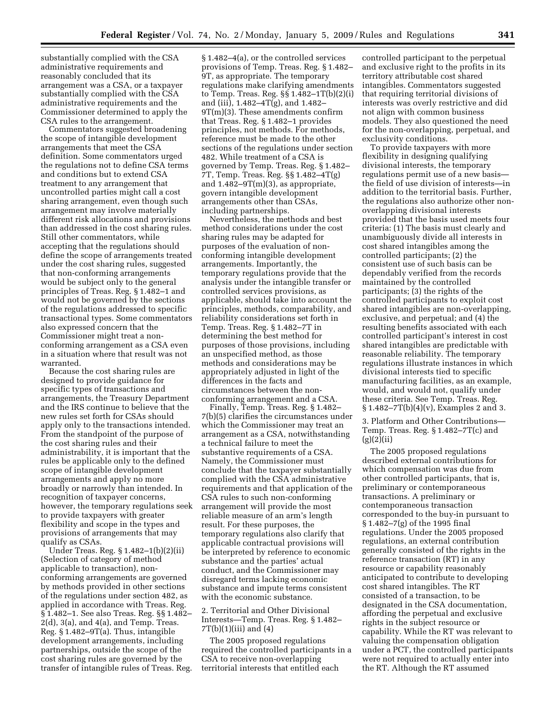substantially complied with the CSA administrative requirements and reasonably concluded that its arrangement was a CSA, or a taxpayer substantially complied with the CSA administrative requirements and the Commissioner determined to apply the CSA rules to the arrangement.

Commentators suggested broadening the scope of intangible development arrangements that meet the CSA definition. Some commentators urged the regulations not to define CSA terms and conditions but to extend CSA treatment to any arrangement that uncontrolled parties might call a cost sharing arrangement, even though such arrangement may involve materially different risk allocations and provisions than addressed in the cost sharing rules. Still other commentators, while accepting that the regulations should define the scope of arrangements treated under the cost sharing rules, suggested that non-conforming arrangements would be subject only to the general principles of Treas. Reg. § 1.482–1 and would not be governed by the sections of the regulations addressed to specific transactional types. Some commentators also expressed concern that the Commissioner might treat a nonconforming arrangement as a CSA even in a situation where that result was not warranted.

Because the cost sharing rules are designed to provide guidance for specific types of transactions and arrangements, the Treasury Department and the IRS continue to believe that the new rules set forth for CSAs should apply only to the transactions intended. From the standpoint of the purpose of the cost sharing rules and their administrability, it is important that the rules be applicable only to the defined scope of intangible development arrangements and apply no more broadly or narrowly than intended. In recognition of taxpayer concerns, however, the temporary regulations seek to provide taxpayers with greater flexibility and scope in the types and provisions of arrangements that may qualify as CSAs.

Under Treas. Reg. § 1.482–1(b)(2)(ii) (Selection of category of method applicable to transaction), nonconforming arrangements are governed by methods provided in other sections of the regulations under section 482, as applied in accordance with Treas. Reg. § 1.482–1. See also Treas. Reg. §§ 1.482–  $2(d)$ ,  $3(a)$ , and  $4(a)$ , and Temp. Treas. Reg. § 1.482–9T(a). Thus, intangible development arrangements, including partnerships, outside the scope of the cost sharing rules are governed by the transfer of intangible rules of Treas. Reg.

§ 1.482–4(a), or the controlled services provisions of Temp. Treas. Reg. § 1.482– 9T, as appropriate. The temporary regulations make clarifying amendments to Temp. Treas. Reg. §§ 1.482–1T(b)(2)(i) and (iii), 1.482–4T(g), and 1.482– 9T(m)(3). These amendments confirm that Treas. Reg. § 1.482–1 provides principles, not methods. For methods, reference must be made to the other sections of the regulations under section 482. While treatment of a CSA is governed by Temp. Treas. Reg. § 1.482– 7T, Temp. Treas. Reg. §§ 1.482–4T(g) and  $1.482 - 9T(m)(3)$ , as appropriate, govern intangible development arrangements other than CSAs, including partnerships.

Nevertheless, the methods and best method considerations under the cost sharing rules may be adapted for purposes of the evaluation of nonconforming intangible development arrangements. Importantly, the temporary regulations provide that the analysis under the intangible transfer or controlled services provisions, as applicable, should take into account the principles, methods, comparability, and reliability considerations set forth in Temp. Treas. Reg. § 1.482–7T in determining the best method for purposes of those provisions, including an unspecified method, as those methods and considerations may be appropriately adjusted in light of the differences in the facts and circumstances between the nonconforming arrangement and a CSA.

Finally, Temp. Treas. Reg. § 1.482– 7(b)(5) clarifies the circumstances under which the Commissioner may treat an arrangement as a CSA, notwithstanding a technical failure to meet the substantive requirements of a CSA. Namely, the Commissioner must conclude that the taxpayer substantially complied with the CSA administrative requirements and that application of the CSA rules to such non-conforming arrangement will provide the most reliable measure of an arm's length result. For these purposes, the temporary regulations also clarify that applicable contractual provisions will be interpreted by reference to economic substance and the parties' actual conduct, and the Commissioner may disregard terms lacking economic substance and impute terms consistent with the economic substance.

2. Territorial and Other Divisional Interests—Temp. Treas. Reg. § 1.482–  $7T(b)(1)(iii)$  and  $(4)$ 

The 2005 proposed regulations required the controlled participants in a CSA to receive non-overlapping territorial interests that entitled each

controlled participant to the perpetual and exclusive right to the profits in its territory attributable cost shared intangibles. Commentators suggested that requiring territorial divisions of interests was overly restrictive and did not align with common business models. They also questioned the need for the non-overlapping, perpetual, and exclusivity conditions.

To provide taxpayers with more flexibility in designing qualifying divisional interests, the temporary regulations permit use of a new basis the field of use division of interests—in addition to the territorial basis. Further, the regulations also authorize other nonoverlapping divisional interests provided that the basis used meets four criteria: (1) The basis must clearly and unambiguously divide all interests in cost shared intangibles among the controlled participants; (2) the consistent use of such basis can be dependably verified from the records maintained by the controlled participants; (3) the rights of the controlled participants to exploit cost shared intangibles are non-overlapping, exclusive, and perpetual; and (4) the resulting benefits associated with each controlled participant's interest in cost shared intangibles are predictable with reasonable reliability. The temporary regulations illustrate instances in which divisional interests tied to specific manufacturing facilities, as an example, would, and would not, qualify under these criteria. See Temp. Treas. Reg. § 1.482–7T(b)(4)(v), Examples 2 and 3.

3. Platform and Other Contributions— Temp. Treas. Reg. § 1.482–7T(c) and  $(g)(2)(ii)$ 

The 2005 proposed regulations described external contributions for which compensation was due from other controlled participants, that is, preliminary or contemporaneous transactions. A preliminary or contemporaneous transaction corresponded to the buy-in pursuant to § 1.482–7(g) of the 1995 final regulations. Under the 2005 proposed regulations, an external contribution generally consisted of the rights in the reference transaction (RT) in any resource or capability reasonably anticipated to contribute to developing cost shared intangibles. The RT consisted of a transaction, to be designated in the CSA documentation, affording the perpetual and exclusive rights in the subject resource or capability. While the RT was relevant to valuing the compensation obligation under a PCT, the controlled participants were not required to actually enter into the RT. Although the RT assumed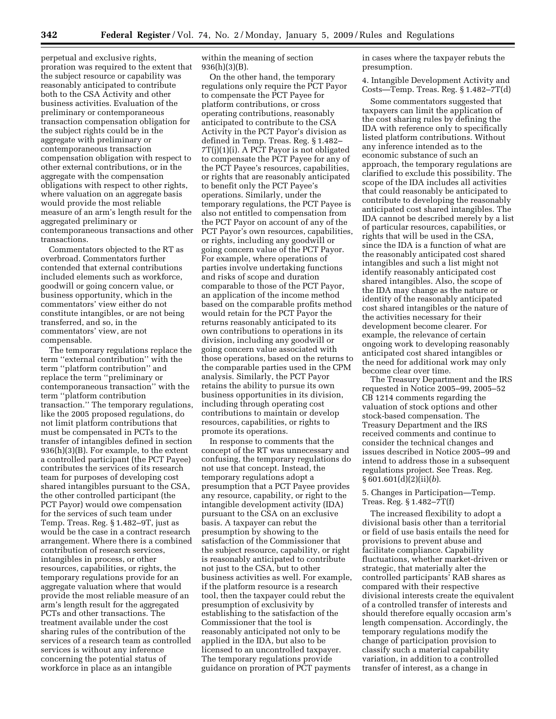perpetual and exclusive rights, proration was required to the extent that the subject resource or capability was reasonably anticipated to contribute both to the CSA Activity and other business activities. Evaluation of the preliminary or contemporaneous transaction compensation obligation for the subject rights could be in the aggregate with preliminary or contemporaneous transaction compensation obligation with respect to other external contributions, or in the aggregate with the compensation obligations with respect to other rights, where valuation on an aggregate basis would provide the most reliable measure of an arm's length result for the aggregated preliminary or contemporaneous transactions and other transactions.

Commentators objected to the RT as overbroad. Commentators further contended that external contributions included elements such as workforce, goodwill or going concern value, or business opportunity, which in the commentators' view either do not constitute intangibles, or are not being transferred, and so, in the commentators' view, are not compensable.

The temporary regulations replace the term ''external contribution'' with the term ''platform contribution'' and replace the term ''preliminary or contemporaneous transaction'' with the term ''platform contribution transaction.'' The temporary regulations, like the 2005 proposed regulations, do not limit platform contributions that must be compensated in PCTs to the transfer of intangibles defined in section 936(h)(3)(B). For example, to the extent a controlled participant (the PCT Payee) contributes the services of its research team for purposes of developing cost shared intangibles pursuant to the CSA, the other controlled participant (the PCT Payor) would owe compensation for the services of such team under Temp. Treas. Reg. § 1.482–9T, just as would be the case in a contract research arrangement. Where there is a combined contribution of research services, intangibles in process, or other resources, capabilities, or rights, the temporary regulations provide for an aggregate valuation where that would provide the most reliable measure of an arm's length result for the aggregated PCTs and other transactions. The treatment available under the cost sharing rules of the contribution of the services of a research team as controlled services is without any inference concerning the potential status of workforce in place as an intangible

within the meaning of section 936(h)(3)(B).

On the other hand, the temporary regulations only require the PCT Payor to compensate the PCT Payee for platform contributions, or cross operating contributions, reasonably anticipated to contribute to the CSA Activity in the PCT Payor's division as defined in Temp. Treas. Reg. § 1.482– 7T(j)(1)(i). A PCT Payor is not obligated to compensate the PCT Payee for any of the PCT Payee's resources, capabilities, or rights that are reasonably anticipated to benefit only the PCT Payee's operations. Similarly, under the temporary regulations, the PCT Payee is also not entitled to compensation from the PCT Payor on account of any of the PCT Payor's own resources, capabilities, or rights, including any goodwill or going concern value of the PCT Payor. For example, where operations of parties involve undertaking functions and risks of scope and duration comparable to those of the PCT Payor, an application of the income method based on the comparable profits method would retain for the PCT Payor the returns reasonably anticipated to its own contributions to operations in its division, including any goodwill or going concern value associated with those operations, based on the returns to the comparable parties used in the CPM analysis. Similarly, the PCT Payor retains the ability to pursue its own business opportunities in its division, including through operating cost contributions to maintain or develop resources, capabilities, or rights to promote its operations.

In response to comments that the concept of the RT was unnecessary and confusing, the temporary regulations do not use that concept. Instead, the temporary regulations adopt a presumption that a PCT Payee provides any resource, capability, or right to the intangible development activity (IDA) pursuant to the CSA on an exclusive basis. A taxpayer can rebut the presumption by showing to the satisfaction of the Commissioner that the subject resource, capability, or right is reasonably anticipated to contribute not just to the CSA, but to other business activities as well. For example, if the platform resource is a research tool, then the taxpayer could rebut the presumption of exclusivity by establishing to the satisfaction of the Commissioner that the tool is reasonably anticipated not only to be applied in the IDA, but also to be licensed to an uncontrolled taxpayer. The temporary regulations provide guidance on proration of PCT payments

in cases where the taxpayer rebuts the presumption.

4. Intangible Development Activity and Costs—Temp. Treas. Reg. § 1.482–7T(d)

Some commentators suggested that taxpayers can limit the application of the cost sharing rules by defining the IDA with reference only to specifically listed platform contributions. Without any inference intended as to the economic substance of such an approach, the temporary regulations are clarified to exclude this possibility. The scope of the IDA includes all activities that could reasonably be anticipated to contribute to developing the reasonably anticipated cost shared intangibles. The IDA cannot be described merely by a list of particular resources, capabilities, or rights that will be used in the CSA, since the IDA is a function of what are the reasonably anticipated cost shared intangibles and such a list might not identify reasonably anticipated cost shared intangibles. Also, the scope of the IDA may change as the nature or identity of the reasonably anticipated cost shared intangibles or the nature of the activities necessary for their development become clearer. For example, the relevance of certain ongoing work to developing reasonably anticipated cost shared intangibles or the need for additional work may only become clear over time.

The Treasury Department and the IRS requested in Notice 2005–99, 2005–52 CB 1214 comments regarding the valuation of stock options and other stock-based compensation. The Treasury Department and the IRS received comments and continue to consider the technical changes and issues described in Notice 2005–99 and intend to address those in a subsequent regulations project. See Treas. Reg. § 601.601(d)(2)(ii)(*b*).

5. Changes in Participation—Temp. Treas. Reg. § 1.482–7T(f)

The increased flexibility to adopt a divisional basis other than a territorial or field of use basis entails the need for provisions to prevent abuse and facilitate compliance. Capability fluctuations, whether market-driven or strategic, that materially alter the controlled participants' RAB shares as compared with their respective divisional interests create the equivalent of a controlled transfer of interests and should therefore equally occasion arm's length compensation. Accordingly, the temporary regulations modify the change of participation provision to classify such a material capability variation, in addition to a controlled transfer of interest, as a change in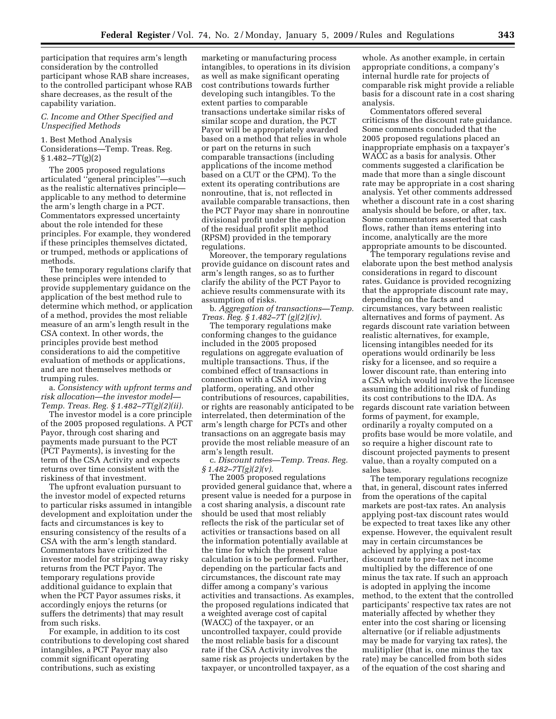participation that requires arm's length consideration by the controlled participant whose RAB share increases, to the controlled participant whose RAB share decreases, as the result of the capability variation.

#### *C. Income and Other Specified and Unspecified Methods*

## 1. Best Method Analysis

Considerations—Temp. Treas. Reg.  $§ 1.482 - 7T(g)(2)$ 

The 2005 proposed regulations articulated ''general principles''—such as the realistic alternatives principle applicable to any method to determine the arm's length charge in a PCT. Commentators expressed uncertainty about the role intended for these principles. For example, they wondered if these principles themselves dictated, or trumped, methods or applications of methods.

The temporary regulations clarify that these principles were intended to provide supplementary guidance on the application of the best method rule to determine which method, or application of a method, provides the most reliable measure of an arm's length result in the CSA context. In other words, the principles provide best method considerations to aid the competitive evaluation of methods or applications, and are not themselves methods or trumping rules.

a. *Consistency with upfront terms and risk allocation—the investor model— Temp. Treas. Reg. § 1.482–7T(g)(2)(ii).* 

The investor model is a core principle of the 2005 proposed regulations. A PCT Payor, through cost sharing and payments made pursuant to the PCT (PCT Payments), is investing for the term of the CSA Activity and expects returns over time consistent with the riskiness of that investment.

The upfront evaluation pursuant to the investor model of expected returns to particular risks assumed in intangible development and exploitation under the facts and circumstances is key to ensuring consistency of the results of a CSA with the arm's length standard. Commentators have criticized the investor model for stripping away risky returns from the PCT Payor. The temporary regulations provide additional guidance to explain that when the PCT Payor assumes risks, it accordingly enjoys the returns (or suffers the detriments) that may result from such risks.

For example, in addition to its cost contributions to developing cost shared intangibles, a PCT Payor may also commit significant operating contributions, such as existing

marketing or manufacturing process intangibles, to operations in its division as well as make significant operating cost contributions towards further developing such intangibles. To the extent parties to comparable transactions undertake similar risks of similar scope and duration, the PCT Payor will be appropriately awarded based on a method that relies in whole or part on the returns in such comparable transactions (including applications of the income method based on a CUT or the CPM). To the extent its operating contributions are nonroutine, that is, not reflected in available comparable transactions, then the PCT Payor may share in nonroutine divisional profit under the application of the residual profit split method (RPSM) provided in the temporary regulations.

Moreover, the temporary regulations provide guidance on discount rates and arm's length ranges, so as to further clarify the ability of the PCT Payor to achieve results commensurate with its assumption of risks.

b. *Aggregation of transactions—Temp. Treas. Reg. § 1.482–7T (g)(2)(iv).* 

The temporary regulations make conforming changes to the guidance included in the 2005 proposed regulations on aggregate evaluation of multiple transactions. Thus, if the combined effect of transactions in connection with a CSA involving platform, operating, and other contributions of resources, capabilities, or rights are reasonably anticipated to be interrelated, then determination of the arm's length charge for PCTs and other transactions on an aggregate basis may provide the most reliable measure of an arm's length result.

c. *Discount rates—Temp. Treas. Reg. § 1.482–7T(g)(2)(v).* 

The 2005 proposed regulations provided general guidance that, where a present value is needed for a purpose in a cost sharing analysis, a discount rate should be used that most reliably reflects the risk of the particular set of activities or transactions based on all the information potentially available at the time for which the present value calculation is to be performed. Further, depending on the particular facts and circumstances, the discount rate may differ among a company's various activities and transactions. As examples, the proposed regulations indicated that a weighted average cost of capital (WACC) of the taxpayer, or an uncontrolled taxpayer, could provide the most reliable basis for a discount rate if the CSA Activity involves the same risk as projects undertaken by the taxpayer, or uncontrolled taxpayer, as a

whole. As another example, in certain appropriate conditions, a company's internal hurdle rate for projects of comparable risk might provide a reliable basis for a discount rate in a cost sharing analysis.

Commentators offered several criticisms of the discount rate guidance. Some comments concluded that the 2005 proposed regulations placed an inappropriate emphasis on a taxpayer's WACC as a basis for analysis. Other comments suggested a clarification be made that more than a single discount rate may be appropriate in a cost sharing analysis. Yet other comments addressed whether a discount rate in a cost sharing analysis should be before, or after, tax. Some commentators asserted that cash flows, rather than items entering into income, analytically are the more appropriate amounts to be discounted.

The temporary regulations revise and elaborate upon the best method analysis considerations in regard to discount rates. Guidance is provided recognizing that the appropriate discount rate may, depending on the facts and circumstances, vary between realistic alternatives and forms of payment. As regards discount rate variation between realistic alternatives, for example, licensing intangibles needed for its operations would ordinarily be less risky for a licensee, and so require a lower discount rate, than entering into a CSA which would involve the licensee assuming the additional risk of funding its cost contributions to the IDA. As regards discount rate variation between forms of payment, for example, ordinarily a royalty computed on a profits base would be more volatile, and so require a higher discount rate to discount projected payments to present value, than a royalty computed on a sales base.

The temporary regulations recognize that, in general, discount rates inferred from the operations of the capital markets are post-tax rates. An analysis applying post-tax discount rates would be expected to treat taxes like any other expense. However, the equivalent result may in certain circumstances be achieved by applying a post-tax discount rate to pre-tax net income multiplied by the difference of one minus the tax rate. If such an approach is adopted in applying the income method, to the extent that the controlled participants' respective tax rates are not materially affected by whether they enter into the cost sharing or licensing alternative (or if reliable adjustments may be made for varying tax rates), the mulitiplier (that is, one minus the tax rate) may be cancelled from both sides of the equation of the cost sharing and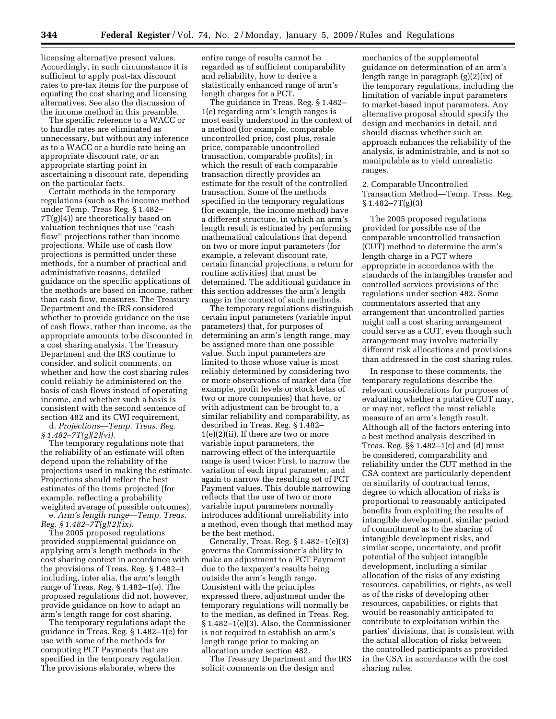licensing alternative present values. Accordingly, in such circumstance it is sufficient to apply post-tax discount rates to pre-tax items for the purpose of equating the cost sharing and licensing alternatives. See also the discussion of the income method in this preamble.

The specific reference to a WACC or to hurdle rates are eliminated as unnecessary, but without any inference as to a WACC or a hurdle rate being an appropriate discount rate, or an appropriate starting point in ascertaining a discount rate, depending on the particular facts.

Certain methods in the temporary regulations (such as the income method under Temp. Treas Reg. § 1.482–  $7T(g)(4)$ ) are theoretically based on valuation techniques that use ''cash flow'' projections rather than income projections. While use of cash flow projections is permitted under these methods, for a number of practical and administrative reasons, detailed guidance on the specific applications of the methods are based on income, rather than cash flow, measures. The Treasury Department and the IRS considered whether to provide guidance on the use of cash flows, rather than income, as the appropriate amounts to be discounted in a cost sharing analysis. The Treasury Department and the IRS continue to consider, and solicit comments, on whether and how the cost sharing rules could reliably be administered on the basis of cash flows instead of operating income, and whether such a basis is consistent with the second sentence of section 482 and its CWI requirement.

d. *Projections—Temp. Treas. Reg. § 1.482–7T(g)(2)(vi).* 

The temporary regulations note that the reliability of an estimate will often depend upon the reliability of the projections used in making the estimate. Projections should reflect the best estimates of the items projected (for example, reflecting a probability weighted average of possible outcomes).

e. *Arm's length range—Temp. Treas. Reg. § 1.482–7T(g)(2)(ix).* 

The 2005 proposed regulations provided supplemental guidance on applying arm's length methods in the cost sharing context in accordance with the provisions of Treas. Reg. § 1.482–1 including, inter alia, the arm's length range of Treas. Reg. § 1.482–1(e). The proposed regulations did not, however, provide guidance on how to adapt an arm's length range for cost sharing.

The temporary regulations adapt the guidance in Treas. Reg. § 1.482–1(e) for use with some of the methods for computing PCT Payments that are specified in the temporary regulation. The provisions elaborate, where the

entire range of results cannot be regarded as of sufficient comparability and reliability, how to derive a statistically enhanced range of arm's length charges for a PCT.

The guidance in Treas. Reg. § 1.482– 1(e) regarding arm's length ranges is most easily understood in the context of a method (for example, comparable uncontrolled price, cost plus, resale price, comparable uncontrolled transaction, comparable profits), in which the result of each comparable transaction directly provides an estimate for the result of the controlled transaction. Some of the methods specified in the temporary regulations (for example, the income method) have a different structure, in which an arm's length result is estimated by performing mathematical calculations that depend on two or more input parameters (for example, a relevant discount rate, certain financial projections, a return for routine activities) that must be determined. The additional guidance in this section addresses the arm's length range in the context of such methods.

The temporary regulations distinguish certain input parameters (variable input parameters) that, for purposes of determining an arm's length range, may be assigned more than one possible value. Such input parameters are limited to those whose value is most reliably determined by considering two or more observations of market data (for example, profit levels or stock betas of two or more companies) that have, or with adjustment can be brought to, a similar reliability and comparability, as described in Treas. Reg. § 1.482– 1(e)(2)(ii). If there are two or more variable input parameters, the narrowing effect of the interquartile range is used twice: First, to narrow the variation of each input parameter, and again to narrow the resulting set of PCT Payment values. This double narrowing reflects that the use of two or more variable input parameters normally introduces additional unreliability into a method, even though that method may be the best method.

Generally, Treas. Reg. § 1.482–1(e)(3) governs the Commissioner's ability to make an adjustment to a PCT Payment due to the taxpayer's results being outside the arm's length range. Consistent with the principles expressed there, adjustment under the temporary regulations will normally be to the median, as defined in Treas. Reg. § 1.482–1(e)(3). Also, the Commissioner is not required to establish an arm's length range prior to making an allocation under section 482.

The Treasury Department and the IRS solicit comments on the design and

mechanics of the supplemental guidance on determination of an arm's length range in paragraph (g)(2)(ix) of the temporary regulations, including the limitation of variable input parameters to market-based input parameters. Any alternative proposal should specify the design and mechanics in detail, and should discuss whether such an approach enhances the reliability of the analysis, is administrable, and is not so manipulable as to yield unrealistic ranges.

2. Comparable Uncontrolled Transaction Method—Temp. Treas. Reg.  $§ 1.482 - 7T(g)(3)$ 

The 2005 proposed regulations provided for possible use of the comparable uncontrolled transaction (CUT) method to determine the arm's length charge in a PCT where appropriate in accordance with the standards of the intangibles transfer and controlled services provisions of the regulations under section 482. Some commentators asserted that any arrangement that uncontrolled parties might call a cost sharing arrangement could serve as a CUT, even though such arrangement may involve materially different risk allocations and provisions than addressed in the cost sharing rules.

In response to these comments, the temporary regulations describe the relevant considerations for purposes of evaluating whether a putative CUT may, or may not, reflect the most reliable measure of an arm's length result. Although all of the factors entering into a best method analysis described in Treas. Reg. §§ 1.482–1(c) and (d) must be considered, comparability and reliability under the CUT method in the CSA context are particularly dependent on similarity of contractual terms, degree to which allocation of risks is proportional to reasonably anticipated benefits from exploiting the results of intangible development, similar period of commitment as to the sharing of intangible development risks, and similar scope, uncertainty, and profit potential of the subject intangible development, including a similar allocation of the risks of any existing resources, capabilities, or rights, as well as of the risks of developing other resources, capabilities, or rights that would be reasonably anticipated to contribute to exploitation within the parties' divisions, that is consistent with the actual allocation of risks between the controlled participants as provided in the CSA in accordance with the cost sharing rules.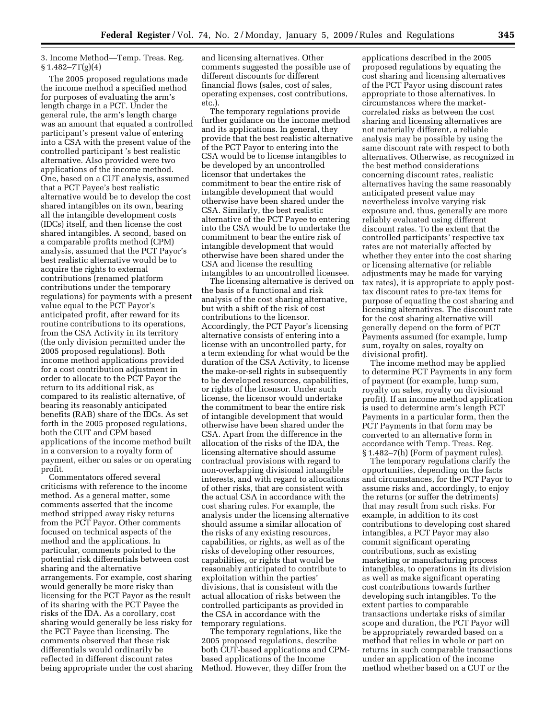## 3. Income Method—Temp. Treas. Reg.  $$1.482 - 7T(g)(4)$

The 2005 proposed regulations made the income method a specified method for purposes of evaluating the arm's length charge in a PCT. Under the general rule, the arm's length charge was an amount that equated a controlled participant's present value of entering into a CSA with the present value of the controlled participant 's best realistic alternative. Also provided were two applications of the income method. One, based on a CUT analysis, assumed that a PCT Payee's best realistic alternative would be to develop the cost shared intangibles on its own, bearing all the intangible development costs (IDCs) itself, and then license the cost shared intangibles. A second, based on a comparable profits method (CPM) analysis, assumed that the PCT Payor's best realistic alternative would be to acquire the rights to external contributions (renamed platform contributions under the temporary regulations) for payments with a present value equal to the PCT Payor's anticipated profit, after reward for its routine contributions to its operations, from the CSA Activity in its territory (the only division permitted under the 2005 proposed regulations). Both income method applications provided for a cost contribution adjustment in order to allocate to the PCT Payor the return to its additional risk, as compared to its realistic alternative, of bearing its reasonably anticipated benefits (RAB) share of the IDCs. As set forth in the 2005 proposed regulations, both the CUT and CPM based applications of the income method built in a conversion to a royalty form of payment, either on sales or on operating profit.

Commentators offered several criticisms with reference to the income method. As a general matter, some comments asserted that the income method stripped away risky returns from the PCT Payor. Other comments focused on technical aspects of the method and the applications. In particular, comments pointed to the potential risk differentials between cost sharing and the alternative arrangements. For example, cost sharing would generally be more risky than licensing for the PCT Payor as the result of its sharing with the PCT Payee the risks of the IDA. As a corollary, cost sharing would generally be less risky for the PCT Payee than licensing. The comments observed that these risk differentials would ordinarily be reflected in different discount rates being appropriate under the cost sharing and licensing alternatives. Other comments suggested the possible use of different discounts for different financial flows (sales, cost of sales, operating expenses, cost contributions, etc.).

The temporary regulations provide further guidance on the income method and its applications. In general, they provide that the best realistic alternative of the PCT Payor to entering into the CSA would be to license intangibles to be developed by an uncontrolled licensor that undertakes the commitment to bear the entire risk of intangible development that would otherwise have been shared under the CSA. Similarly, the best realistic alternative of the PCT Payee to entering into the CSA would be to undertake the commitment to bear the entire risk of intangible development that would otherwise have been shared under the CSA and license the resulting intangibles to an uncontrolled licensee.

The licensing alternative is derived on the basis of a functional and risk analysis of the cost sharing alternative, but with a shift of the risk of cost contributions to the licensor. Accordingly, the PCT Payor's licensing alternative consists of entering into a license with an uncontrolled party, for a term extending for what would be the duration of the CSA Activity, to license the make-or-sell rights in subsequently to be developed resources, capabilities, or rights of the licensor. Under such license, the licensor would undertake the commitment to bear the entire risk of intangible development that would otherwise have been shared under the CSA. Apart from the difference in the allocation of the risks of the IDA, the licensing alternative should assume contractual provisions with regard to non-overlapping divisional intangible interests, and with regard to allocations of other risks, that are consistent with the actual CSA in accordance with the cost sharing rules. For example, the analysis under the licensing alternative should assume a similar allocation of the risks of any existing resources, capabilities, or rights, as well as of the risks of developing other resources, capabilities, or rights that would be reasonably anticipated to contribute to exploitation within the parties' divisions, that is consistent with the actual allocation of risks between the controlled participants as provided in the CSA in accordance with the temporary regulations.

The temporary regulations, like the 2005 proposed regulations, describe both CUT-based applications and CPMbased applications of the Income Method. However, they differ from the

applications described in the 2005 proposed regulations by equating the cost sharing and licensing alternatives of the PCT Payor using discount rates appropriate to those alternatives. In circumstances where the marketcorrelated risks as between the cost sharing and licensing alternatives are not materially different, a reliable analysis may be possible by using the same discount rate with respect to both alternatives. Otherwise, as recognized in the best method considerations concerning discount rates, realistic alternatives having the same reasonably anticipated present value may nevertheless involve varying risk exposure and, thus, generally are more reliably evaluated using different discount rates. To the extent that the controlled participants' respective tax rates are not materially affected by whether they enter into the cost sharing or licensing alternative (or reliable adjustments may be made for varying tax rates), it is appropriate to apply posttax discount rates to pre-tax items for purpose of equating the cost sharing and licensing alternatives. The discount rate for the cost sharing alternative will generally depend on the form of PCT Payments assumed (for example, lump sum, royalty on sales, royalty on divisional profit).

The income method may be applied to determine PCT Payments in any form of payment (for example, lump sum, royalty on sales, royalty on divisional profit). If an income method application is used to determine arm's length PCT Payments in a particular form, then the PCT Payments in that form may be converted to an alternative form in accordance with Temp. Treas. Reg. § 1.482–7(h) (Form of payment rules).

The temporary regulations clarify the opportunities, depending on the facts and circumstances, for the PCT Payor to assume risks and, accordingly, to enjoy the returns (or suffer the detriments) that may result from such risks. For example, in addition to its cost contributions to developing cost shared intangibles, a PCT Payor may also commit significant operating contributions, such as existing marketing or manufacturing process intangibles, to operations in its division as well as make significant operating cost contributions towards further developing such intangibles. To the extent parties to comparable transactions undertake risks of similar scope and duration, the PCT Payor will be appropriately rewarded based on a method that relies in whole or part on returns in such comparable transactions under an application of the income method whether based on a CUT or the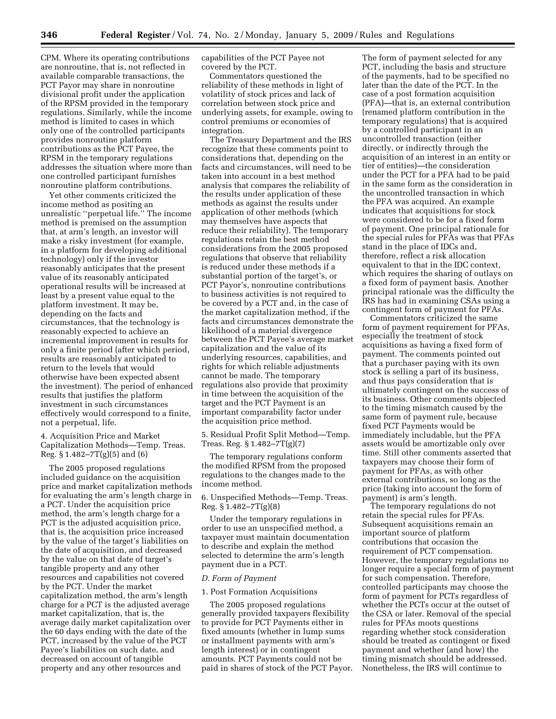CPM. Where its operating contributions are nonroutine, that is, not reflected in available comparable transactions, the PCT Payor may share in nonroutine divisional profit under the application of the RPSM provided in the temporary regulations. Similarly, while the income method is limited to cases in which only one of the controlled participants provides nonroutine platform contributions as the PCT Payee, the RPSM in the temporary regulations addresses the situation where more than one controlled participant furnishes nonroutine platform contributions.

Yet other comments criticized the income method as positing an unrealistic ''perpetual life.'' The income method is premised on the assumption that, at arm's length, an investor will make a risky investment (for example, in a platform for developing additional technology) only if the investor reasonably anticipates that the present value of its reasonably anticipated operational results will be increased at least by a present value equal to the platform investment. It may be, depending on the facts and circumstances, that the technology is reasonably expected to achieve an incremental improvement in results for only a finite period (after which period, results are reasonably anticipated to return to the levels that would otherwise have been expected absent the investment). The period of enhanced results that justifies the platform investment in such circumstances effectively would correspond to a finite, not a perpetual, life.

4. Acquisition Price and Market Capitalization Methods—Temp. Treas. Reg. § 1.482–7T(g)(5) and (6)

The 2005 proposed regulations included guidance on the acquisition price and market capitalization methods for evaluating the arm's length charge in a PCT. Under the acquisition price method, the arm's length charge for a PCT is the adjusted acquisition price, that is, the acquisition price increased by the value of the target's liabilities on the date of acquisition, and decreased by the value on that date of target's tangible property and any other resources and capabilities not covered by the PCT. Under the market capitalization method, the arm's length charge for a PCT is the adjusted average market capitalization, that is, the average daily market capitalization over the 60 days ending with the date of the PCT, increased by the value of the PCT Payee's liabilities on such date, and decreased on account of tangible property and any other resources and

capabilities of the PCT Payee not covered by the PCT.

Commentators questioned the reliability of these methods in light of volatility of stock prices and lack of correlation between stock price and underlying assets, for example, owing to control premiums or economies of integration.

The Treasury Department and the IRS recognize that these comments point to considerations that, depending on the facts and circumstances, will need to be taken into account in a best method analysis that compares the reliability of the results under application of these methods as against the results under application of other methods (which may themselves have aspects that reduce their reliability). The temporary regulations retain the best method considerations from the 2005 proposed regulations that observe that reliability is reduced under these methods if a substantial portion of the target's, or PCT Payor's, nonroutine contributions to business activities is not required to be covered by a PCT and, in the case of the market capitalization method, if the facts and circumstances demonstrate the likelihood of a material divergence between the PCT Payee's average market capitalization and the value of its underlying resources, capabilities, and rights for which reliable adjustments cannot be made. The temporary regulations also provide that proximity in time between the acquisition of the target and the PCT Payment is an important comparability factor under the acquisition price method.

5. Residual Profit Split Method—Temp. Treas. Reg. § 1.482–7T(g)(7)

The temporary regulations conform the modified RPSM from the proposed regulations to the changes made to the income method.

6. Unspecified Methods—Temp. Treas. Reg. § 1.482–7T(g)(8)

Under the temporary regulations in order to use an unspecified method, a taxpayer must maintain documentation to describe and explain the method selected to determine the arm's length payment due in a PCT.

## *D. Form of Payment*

#### 1. Post Formation Acquisitions

The 2005 proposed regulations generally provided taxpayers flexibility to provide for PCT Payments either in fixed amounts (whether in lump sums or installment payments with arm's length interest) or in contingent amounts. PCT Payments could not be paid in shares of stock of the PCT Payor.

The form of payment selected for any PCT, including the basis and structure of the payments, had to be specified no later than the date of the PCT. In the case of a post formation acquisition (PFA)—that is, an external contribution (renamed platform contribution in the temporary regulations) that is acquired by a controlled participant in an uncontrolled transaction (either directly, or indirectly through the acquisition of an interest in an entity or tier of entities)—the consideration under the PCT for a PFA had to be paid in the same form as the consideration in the uncontrolled transaction in which the PFA was acquired. An example indicates that acquisitions for stock were considered to be for a fixed form of payment. One principal rationale for the special rules for PFAs was that PFAs stand in the place of IDCs and, therefore, reflect a risk allocation equivalent to that in the IDC context, which requires the sharing of outlays on a fixed form of payment basis. Another principal rationale was the difficulty the IRS has had in examining CSAs using a contingent form of payment for PFAs.

Commentators criticized the same form of payment requirement for PFAs, especially the treatment of stock acquisitions as having a fixed form of payment. The comments pointed out that a purchaser paying with its own stock is selling a part of its business, and thus pays consideration that is ultimately contingent on the success of its business. Other comments objected to the timing mismatch caused by the same form of payment rule, because fixed PCT Payments would be immediately includable, but the PFA assets would be amortizable only over time. Still other comments asserted that taxpayers may choose their form of payment for PFAs, as with other external contributions, so long as the price (taking into account the form of payment) is arm's length.

The temporary regulations do not retain the special rules for PFAs. Subsequent acquisitions remain an important source of platform contributions that occasion the requirement of PCT compensation. However, the temporary regulations no longer require a special form of payment for such compensation. Therefore, controlled participants may choose the form of payment for PCTs regardless of whether the PCTs occur at the outset of the CSA or later. Removal of the special rules for PFAs moots questions regarding whether stock consideration should be treated as contingent or fixed payment and whether (and how) the timing mismatch should be addressed. Nonetheless, the IRS will continue to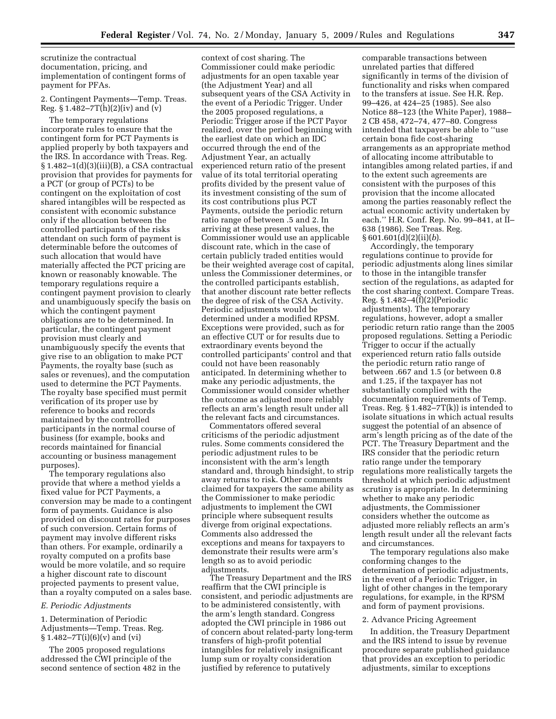scrutinize the contractual documentation, pricing, and implementation of contingent forms of payment for PFAs.

## 2. Contingent Payments—Temp. Treas. Reg.  $$1.482 - 7T(h)(2)(iv)$  and  $(v)$

The temporary regulations incorporate rules to ensure that the contingent form for PCT Payments is applied properly by both taxpayers and the IRS. In accordance with Treas. Reg.  $§ 1.482-1(d)(3)(iii)(B)$ , a CSA contractual provision that provides for payments for a PCT (or group of PCTs) to be contingent on the exploitation of cost shared intangibles will be respected as consistent with economic substance only if the allocation between the controlled participants of the risks attendant on such form of payment is determinable before the outcomes of such allocation that would have materially affected the PCT pricing are known or reasonably knowable. The temporary regulations require a contingent payment provision to clearly and unambiguously specify the basis on which the contingent payment obligations are to be determined. In particular, the contingent payment provision must clearly and unambiguously specify the events that give rise to an obligation to make PCT Payments, the royalty base (such as sales or revenues), and the computation used to determine the PCT Payments. The royalty base specified must permit verification of its proper use by reference to books and records maintained by the controlled participants in the normal course of business (for example, books and records maintained for financial accounting or business management purposes).

The temporary regulations also provide that where a method yields a fixed value for PCT Payments, a conversion may be made to a contingent form of payments. Guidance is also provided on discount rates for purposes of such conversion. Certain forms of payment may involve different risks than others. For example, ordinarily a royalty computed on a profits base would be more volatile, and so require a higher discount rate to discount projected payments to present value, than a royalty computed on a sales base.

#### *E. Periodic Adjustments*

1. Determination of Periodic Adjustments—Temp. Treas. Reg.  $§ 1.482 - 7T(i)(6)(v)$  and (vi)

The 2005 proposed regulations addressed the CWI principle of the second sentence of section 482 in the

context of cost sharing. The Commissioner could make periodic adjustments for an open taxable year (the Adjustment Year) and all subsequent years of the CSA Activity in the event of a Periodic Trigger. Under the 2005 proposed regulations, a Periodic Trigger arose if the PCT Payor realized, over the period beginning with the earliest date on which an IDC occurred through the end of the Adjustment Year, an actually experienced return ratio of the present value of its total territorial operating profits divided by the present value of its investment consisting of the sum of its cost contributions plus PCT Payments, outside the periodic return ratio range of between .5 and 2. In arriving at these present values, the Commissioner would use an applicable discount rate, which in the case of certain publicly traded entities would be their weighted average cost of capital, unless the Commissioner determines, or the controlled participants establish, that another discount rate better reflects the degree of risk of the CSA Activity. Periodic adjustments would be determined under a modified RPSM. Exceptions were provided, such as for an effective CUT or for results due to extraordinary events beyond the controlled participants' control and that could not have been reasonably anticipated. In determining whether to make any periodic adjustments, the Commissioner would consider whether the outcome as adjusted more reliably reflects an arm's length result under all the relevant facts and circumstances.

Commentators offered several criticisms of the periodic adjustment rules. Some comments considered the periodic adjustment rules to be inconsistent with the arm's length standard and, through hindsight, to strip away returns to risk. Other comments claimed for taxpayers the same ability as the Commissioner to make periodic adjustments to implement the CWI principle where subsequent results diverge from original expectations. Comments also addressed the exceptions and means for taxpayers to demonstrate their results were arm's length so as to avoid periodic adjustments.

The Treasury Department and the IRS reaffirm that the CWI principle is consistent, and periodic adjustments are to be administered consistently, with the arm's length standard. Congress adopted the CWI principle in 1986 out of concern about related-party long-term transfers of high-profit potential intangibles for relatively insignificant lump sum or royalty consideration justified by reference to putatively

comparable transactions between unrelated parties that differed significantly in terms of the division of functionality and risks when compared to the transfers at issue. See H.R. Rep. 99–426, at 424–25 (1985). See also Notice 88–123 (the White Paper), 1988– 2 CB 458, 472–74, 477–80. Congress intended that taxpayers be able to ''use certain bona fide cost-sharing arrangements as an appropriate method of allocating income attributable to intangibles among related parties, if and to the extent such agreements are consistent with the purposes of this provision that the income allocated among the parties reasonably reflect the actual economic activity undertaken by each.'' H.R. Conf. Rep. No. 99–841, at II– 638 (1986). See Treas. Reg. § 601.601(d)(2)(ii)(*b*).

Accordingly, the temporary regulations continue to provide for periodic adjustments along lines similar to those in the intangible transfer section of the regulations, as adapted for the cost sharing context. Compare Treas. Reg. § 1.482–4(f)(2)(Periodic adjustments). The temporary regulations, however, adopt a smaller periodic return ratio range than the 2005 proposed regulations. Setting a Periodic Trigger to occur if the actually experienced return ratio falls outside the periodic return ratio range of between .667 and 1.5 (or between 0.8 and 1.25, if the taxpayer has not substantially complied with the documentation requirements of Temp. Treas. Reg. § 1.482–7T(k)) is intended to isolate situations in which actual results suggest the potential of an absence of arm's length pricing as of the date of the PCT. The Treasury Department and the IRS consider that the periodic return ratio range under the temporary regulations more realistically targets the threshold at which periodic adjustment scrutiny is appropriate. In determining whether to make any periodic adjustments, the Commissioner considers whether the outcome as adjusted more reliably reflects an arm's length result under all the relevant facts and circumstances.

The temporary regulations also make conforming changes to the determination of periodic adjustments, in the event of a Periodic Trigger, in light of other changes in the temporary regulations, for example, in the RPSM and form of payment provisions.

#### 2. Advance Pricing Agreement

In addition, the Treasury Department and the IRS intend to issue by revenue procedure separate published guidance that provides an exception to periodic adjustments, similar to exceptions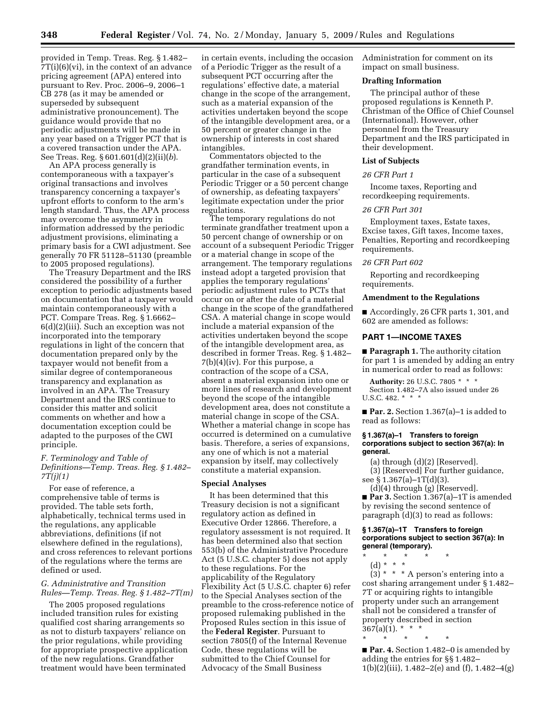provided in Temp. Treas. Reg. § 1.482– 7T(i)(6)(vi), in the context of an advance pricing agreement (APA) entered into pursuant to Rev. Proc. 2006–9, 2006–1 CB 278 (as it may be amended or superseded by subsequent administrative pronouncement). The guidance would provide that no periodic adjustments will be made in any year based on a Trigger PCT that is a covered transaction under the APA. See Treas. Reg. § 601.601(d)(2)(ii)(*b*).

An APA process generally is contemporaneous with a taxpayer's original transactions and involves transparency concerning a taxpayer's upfront efforts to conform to the arm's length standard. Thus, the APA process may overcome the asymmetry in information addressed by the periodic adjustment provisions, eliminating a primary basis for a CWI adjustment. See generally 70 FR 51128–51130 (preamble to 2005 proposed regulations).

The Treasury Department and the IRS considered the possibility of a further exception to periodic adjustments based on documentation that a taxpayer would maintain contemporaneously with a PCT. Compare Treas. Reg. § 1.6662– 6(d)(2)(iii). Such an exception was not incorporated into the temporary regulations in light of the concern that documentation prepared only by the taxpayer would not benefit from a similar degree of contemporaneous transparency and explanation as involved in an APA. The Treasury Department and the IRS continue to consider this matter and solicit comments on whether and how a documentation exception could be adapted to the purposes of the CWI principle.

## *F. Terminology and Table of Definitions—Temp. Treas. Reg. § 1.482– 7T(j)(1)*

For ease of reference, a comprehensive table of terms is provided. The table sets forth, alphabetically, technical terms used in the regulations, any applicable abbreviations, definitions (if not elsewhere defined in the regulations), and cross references to relevant portions of the regulations where the terms are defined or used.

#### *G. Administrative and Transition Rules—Temp. Treas. Reg. § 1.482–7T(m)*

The 2005 proposed regulations included transition rules for existing qualified cost sharing arrangements so as not to disturb taxpayers' reliance on the prior regulations, while providing for appropriate prospective application of the new regulations. Grandfather treatment would have been terminated

in certain events, including the occasion of a Periodic Trigger as the result of a subsequent PCT occurring after the regulations' effective date, a material change in the scope of the arrangement, such as a material expansion of the activities undertaken beyond the scope of the intangible development area, or a 50 percent or greater change in the ownership of interests in cost shared intangibles.

Commentators objected to the grandfather termination events, in particular in the case of a subsequent Periodic Trigger or a 50 percent change of ownership, as defeating taxpayers' legitimate expectation under the prior regulations.

The temporary regulations do not terminate grandfather treatment upon a 50 percent change of ownership or on account of a subsequent Periodic Trigger or a material change in scope of the arrangement. The temporary regulations instead adopt a targeted provision that applies the temporary regulations' periodic adjustment rules to PCTs that occur on or after the date of a material change in the scope of the grandfathered CSA. A material change in scope would include a material expansion of the activities undertaken beyond the scope of the intangible development area, as described in former Treas. Reg. § 1.482– 7(b)(4)(iv). For this purpose, a contraction of the scope of a CSA, absent a material expansion into one or more lines of research and development beyond the scope of the intangible development area, does not constitute a material change in scope of the CSA. Whether a material change in scope has occurred is determined on a cumulative basis. Therefore, a series of expansions, any one of which is not a material expansion by itself, may collectively constitute a material expansion.

#### **Special Analyses**

It has been determined that this Treasury decision is not a significant regulatory action as defined in Executive Order 12866. Therefore, a regulatory assessment is not required. It has been determined also that section 553(b) of the Administrative Procedure Act (5 U.S.C. chapter 5) does not apply to these regulations. For the applicability of the Regulatory Flexibility Act (5 U.S.C. chapter 6) refer to the Special Analyses section of the preamble to the cross-reference notice of proposed rulemaking published in the Proposed Rules section in this issue of the **Federal Register**. Pursuant to section 7805(f) of the Internal Revenue Code, these regulations will be submitted to the Chief Counsel for Advocacy of the Small Business

Administration for comment on its impact on small business.

#### **Drafting Information**

The principal author of these proposed regulations is Kenneth P. Christman of the Office of Chief Counsel (International). However, other personnel from the Treasury Department and the IRS participated in their development.

#### **List of Subjects**

#### *26 CFR Part 1*

Income taxes, Reporting and recordkeeping requirements.

#### *26 CFR Part 301*

Employment taxes, Estate taxes, Excise taxes, Gift taxes, Income taxes, Penalties, Reporting and recordkeeping requirements.

#### *26 CFR Part 602*

Reporting and recordkeeping requirements.

#### **Amendment to the Regulations**

■ Accordingly, 26 CFR parts 1, 301, and 602 are amended as follows:

## **PART 1—INCOME TAXES**

■ **Paragraph 1.** The authority citation for part 1 is amended by adding an entry in numerical order to read as follows:

**Authority:** 26 U.S.C. 7805 \* \* \* Section 1.482–7A also issued under 26 U.S.C. 482. \* \* \*

■ **Par. 2.** Section 1.367(a)–1 is added to read as follows:

#### **§ 1.367(a)–1 Transfers to foreign corporations subject to section 367(a): In general.**

(a) through (d)(2) [Reserved].

(3) [Reserved] For further guidance, see § 1.367(a)–1T(d)(3).

(d)(4) through (g) [Reserved]. ■ **Par 3.** Section 1.367(a)–1T is amended

by revising the second sentence of paragraph (d)(3) to read as follows:

**§ 1.367(a)–1T Transfers to foreign corporations subject to section 367(a): In general (temporary).** 

\* \* \* \* \*

(d) \* \* \*  $(3) * * * A$  person's entering into a cost sharing arrangement under § 1.482– 7T or acquiring rights to intangible property under such an arrangement shall not be considered a transfer of property described in section  $367(a)(1)$ . \* \*

■ **Par. 4.** Section 1.482–0 is amended by adding the entries for §§ 1.482– 1(b)(2)(iii), 1.482–2(e) and (f), 1.482–4(g)

\* \* \* \* \*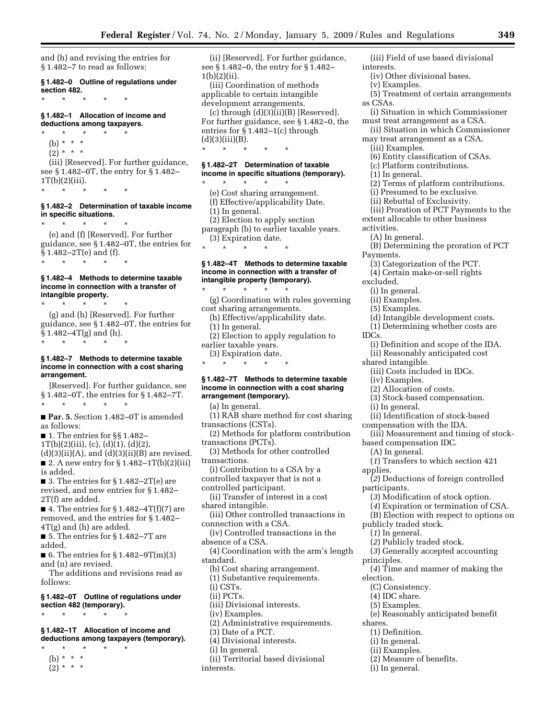and (h) and revising the entries for § 1.482–7 to read as follows:

**§ 1.482–0 Outline of regulations under section 482.** 

\* \* \* \* \* **§ 1.482–1 Allocation of income and** 

\* \* \* \* \*

## **deductions among taxpayers.**

(b) \* \* \*  $(2) * * * *$ (iii) [Reserved]. For further guidance, see § 1.482–0T, the entry for § 1.482–  $1T(b)(2)(iii)$ .

\* \* \* \* \*

## **§ 1.482–2 Determination of taxable income in specific situations.**

\* \* \* \* \*

(e) and (f) [Reserved]. For further guidance, see § 1.482–0T, the entries for § 1.482–2T(e) and (f). \* \* \* \* \*

#### **§ 1.482–4 Methods to determine taxable income in connection with a transfer of intangible property.**

\* \* \* \* \* (g) and (h) [Reserved]. For further guidance, see § 1.482–0T, the entries for § 1.482–4T(g) and (h). \* \* \* \* \*

#### **§ 1.482–7 Methods to determine taxable income in connection with a cost sharing arrangement.**

#### [Reserved]. For further guidance, see § 1.482–0T, the entries for § 1.482–7T. \* \* \* \* \*

■ **Par. 5.** Section 1.482–0T is amended as follows:

- 1. The entries for §§ 1.482–
- $1T(b)(2)(iii)$ , (c), (d) $(1)$ , (d) $(2)$ ,

 $(d)(3)(ii)(A)$ , and  $(d)(3)(ii)(B)$  are revised. ■ 2. A new entry for §  $1.482-1T(b)(2)(iii)$ is added.

■ 3. The entries for § 1.482–2T(e) are revised, and new entries for § 1.482– 2T(f) are added.

■ 4. The entries for § 1.482–4T(f)(7) are removed, and the entries for § 1.482– 4T(g) and (h) are added.

■ 5. The entries for § 1.482–7T are added.

■ 6. The entries for  $§ 1.482 - 9T(m)(3)$ and (n) are revised.

The additions and revisions read as follows:

## **§ 1.482–0T Outline of regulations under section 482 (temporary).**

\* \* \* \* \*

**§ 1.482–1T Allocation of income and deductions among taxpayers (temporary).** 

- \* \* \* \* \*
- (b) \* \* \*
- $(2) * * * *$

(ii) [Reserved]. For further guidance, see § 1.482–0, the entry for § 1.482–  $1(b)(2)(ii)$ .

(iii) Coordination of methods applicable to certain intangible development arrangements.

 $(c)$  through  $(d)(3)(ii)(B)$  [Reserved]. For further guidance, see § 1.482–0, the entries for § 1.482–1(c) through  $(d)(3)(iii)(B).$ \* \* \* \* \*

## **§ 1.482–2T Determination of taxable income in specific situations (temporary).**

\* \* \* \* \* (e) Cost sharing arrangement. (f) Effective/applicability Date. (1) In general. (2) Election to apply section paragraph (b) to earlier taxable years. (3) Expiration date. \* \* \* \* \*

## **§ 1.482–4T Methods to determine taxable income in connection with a transfer of intangible property (temporary).**

\* \* \* \* \* (g) Coordination with rules governing cost sharing arrangements.

- (h) Effective/applicability date.
- (1) In general.
- (2) Election to apply regulation to earlier taxable years.
- (3) Expiration date. \* \* \* \* \*

#### **§ 1.482–7T Methods to determine taxable income in connection with a cost sharing arrangement (temporary).**

(a) In general.

- (1) RAB share method for cost sharing transactions (CSTs).
- (2) Methods for platform contribution transactions (PCTs).
- (3) Methods for other controlled transactions.
- (i) Contribution to a CSA by a
- controlled taxpayer that is not a
- controlled participant.

(ii) Transfer of interest in a cost shared intangible.

(iii) Other controlled transactions in connection with a CSA.

(iv) Controlled transactions in the absence of a CSA.

(4) Coordination with the arm's length standard.

(b) Cost sharing arrangement.

(1) Substantive requirements.

- (i) CSTs.
- (ii) PCTs.
- (iii) Divisional interests.
- (iv) Examples.
- (2) Administrative requirements.
- (3) Date of a PCT.
- (4) Divisional interests.
- (i) In general.
- (ii) Territorial based divisional interests.
- (iii) Field of use based divisional interests.
	- (iv) Other divisional bases.
	- (v) Examples.
- (5) Treatment of certain arrangements as CSAs.
- (i) Situation in which Commissioner must treat arrangement as a CSA.
- (ii) Situation in which Commissioner may treat arrangement as a CSA.
	- (iii) Examples.
	- (6) Entity classification of CSAs.
	- (c) Platform contributions.
	- (1) In general.
	- (2) Terms of platform contributions.
	- (i) Presumed to be exclusive.
	- (ii) Rebuttal of Exclusivity.
- (iii) Proration of PCT Payments to the extent allocable to other business
- activities.
	- (A) In general.
- (B) Determining the proration of PCT Payments.
- (3) Categorization of the PCT.
- (4) Certain make-or-sell rights excluded.
- (i) In general.
- (ii) Examples.
- (5) Examples.
- (d) Intangible development costs.
- (1) Determining whether costs are
- IDCs.
	- (i) Definition and scope of the IDA.
	- (ii) Reasonably anticipated cost
	- shared intangible.
		- (iii) Costs included in IDCs.
		- (iv) Examples.
		- (2) Allocation of costs.
		- (3) Stock-based compensation.
		- (i) In general.
		- (ii) Identification of stock-based
	- compensation with the IDA.
- (iii) Measurement and timing of stock-

(*1*) Transfers to which section 421

(*3*) Modification of stock option. (*4*) Expiration or termination of CSA. (B) Election with respect to options on

(*3*) Generally accepted accounting

(*4*) Time and manner of making the

(e) Reasonably anticipated benefit

(*2*) Deductions of foreign controlled

based compensation IDC. (A) In general.

publicly traded stock. (*1*) In general.

(C) Consistency. (4) IDC share. (5) Examples.

(1) Definition. (i) In general. (ii) Examples.

(i) In general.

(2) Measure of benefits.

(*2*) Publicly traded stock.

applies.

participants.

principles.

election.

shares.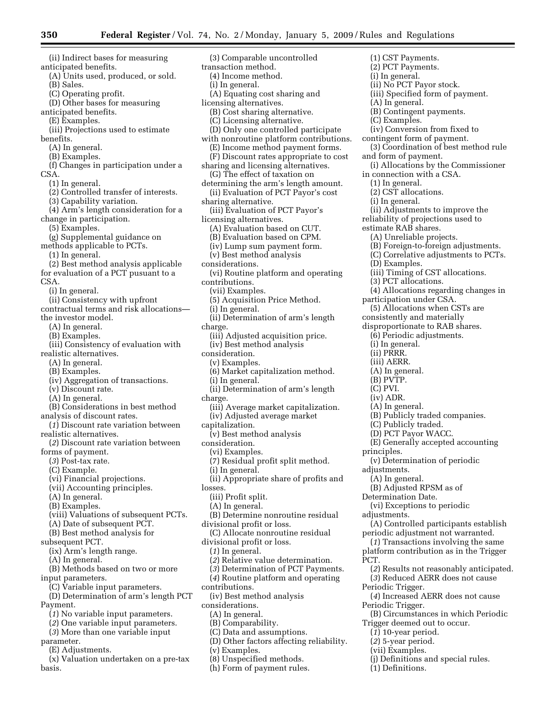(ii) Indirect bases for measuring anticipated benefits. (A) Units used, produced, or sold. (B) Sales. (C) Operating profit. (D) Other bases for measuring anticipated benefits. (E) Examples. (iii) Projections used to estimate benefits. (A) In general. (B) Examples. (f) Changes in participation under a CSA. (1) In general. (2) Controlled transfer of interests. (3) Capability variation. (4) Arm's length consideration for a change in participation. (5) Examples. (g) Supplemental guidance on methods applicable to PCTs. (1) In general. (2) Best method analysis applicable for evaluation of a PCT pusuant to a CSA. (i) In general. (ii) Consistency with upfront contractual terms and risk allocations the investor model. (A) In general. (B) Examples. (iii) Consistency of evaluation with realistic alternatives. (A) In general. (B) Examples. (iv) Aggregation of transactions. (v) Discount rate. (A) In general. (B) Considerations in best method analysis of discount rates. (*1*) Discount rate variation between realistic alternatives. (*2*) Discount rate variation between forms of payment. (*3*) Post-tax rate. (C) Example. (vi) Financial projections. (vii) Accounting principles. (A) In general. (B) Examples. (viii) Valuations of subsequent PCTs. (A) Date of subsequent PCT. (B) Best method analysis for subsequent PCT. (ix) Arm's length range. (A) In general. (B) Methods based on two or more input parameters. (C) Variable input parameters. (D) Determination of arm's length PCT Payment. (*1*) No variable input parameters. (*2*) One variable input parameters. (*3*) More than one variable input parameter. (E) Adjustments. losses.

(x) Valuation undertaken on a pre-tax basis.

(3) Comparable uncontrolled transaction method. (4) Income method. (i) In general. (A) Equating cost sharing and licensing alternatives. (B) Cost sharing alternative. (C) Licensing alternative. (D) Only one controlled participate with nonroutine platform contributions. (E) Income method payment forms. (F) Discount rates appropriate to cost sharing and licensing alternatives. (G) The effect of taxation on determining the arm's length amount. (ii) Evaluation of PCT Payor's cost sharing alternative. (iii) Evaluation of PCT Payor's licensing alternatives. (A) Evaluation based on CUT. (B) Evaluation based on CPM. (iv) Lump sum payment form. (v) Best method analysis considerations. (vi) Routine platform and operating contributions. (vii) Examples. (5) Acquisition Price Method. (i) In general. (ii) Determination of arm's length charge. (iii) Adjusted acquisition price. (iv) Best method analysis consideration. (v) Examples. (6) Market capitalization method. (i) In general. (ii) Determination of arm's length charge. (iii) Average market capitalization. (iv) Adjusted average market capitalization. (v) Best method analysis consideration. (vi) Examples. (7) Residual profit split method. (i) In general. (ii) Appropriate share of profits and (iii) Profit split. (A) In general. (B) Determine nonroutine residual divisional profit or loss. (C) Allocate nonroutine residual divisional profit or loss. (*1*) In general. (*2*) Relative value determination. (*3*) Determination of PCT Payments. (*4*) Routine platform and operating contributions. (iv) Best method analysis considerations. (A) In general. (B) Comparability. (C) Data and assumptions. (D) Other factors affecting reliability. (v) Examples.

(8) Unspecified methods.

(h) Form of payment rules.

(1) CST Payments. (2) PCT Payments. (i) In general. (ii) No PCT Payor stock. (iii) Specified form of payment. (A) In general. (B) Contingent payments. (C) Examples. (iv) Conversion from fixed to contingent form of payment. (3) Coordination of best method rule and form of payment. (i) Allocations by the Commissioner in connection with a CSA. (1) In general. (2) CST allocations. (i) In general. (ii) Adjustments to improve the reliability of projections used to estimate RAB shares. (A) Unreliable projects. (B) Foreign-to-foreign adjustments. (C) Correlative adjustments to PCTs. (D) Examples. (iii) Timing of CST allocations. (3) PCT allocations. (4) Allocations regarding changes in participation under CSA. (5) Allocations when CSTs are consistently and materially disproportionate to RAB shares. (6) Periodic adjustments. (i) In general. (ii) PRRR. (iii) AERR. (A) In general. (B) PVTP. (C) PVI. (iv) ADR. (A) In general. (B) Publicly traded companies. (C) Publicly traded. (D) PCT Payor WACC. (E) Generally accepted accounting principles. (v) Determination of periodic adjustments. (A) In general. (B) Adjusted RPSM as of Determination Date. (vi) Exceptions to periodic adjustments. (A) Controlled participants establish periodic adjustment not warranted. (*1*) Transactions involving the same platform contribution as in the Trigger PCT. (*2*) Results not reasonably anticipated. (*3*) Reduced AERR does not cause Periodic Trigger. (*4*) Increased AERR does not cause Periodic Trigger. (B) Circumstances in which Periodic Trigger deemed out to occur. (*1*) 10-year period. (*2*) 5-year period. (vii) Examples.

- (j) Definitions and special rules.
- (1) Definitions.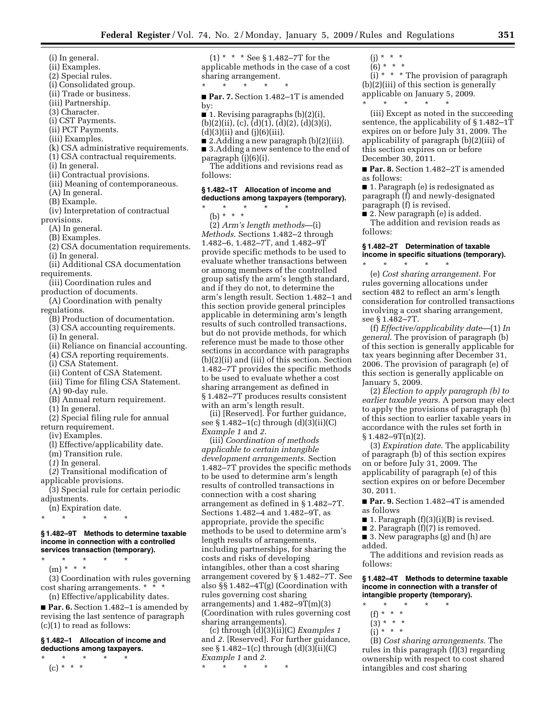- (i) In general.
- (ii) Examples.
- (2) Special rules.
- (i) Consolidated group.
- (ii) Trade or business.
- (iii) Partnership.
- (3) Character.
- (i) CST Payments.
- (ii) PCT Payments.
- 
- (iii) Examples.
- (k) CSA administrative requirements.
- (1) CSA contractual requirements.
- (i) In general.
- (ii) Contractual provisions.
- (iii) Meaning of contemporaneous.
- (A) In general.
- (B) Example.
- (iv) Interpretation of contractual provisions.
	- (A) In general.
	- (B) Examples.
	- (2) CSA documentation requirements.
	- (i) In general. (ii) Additional CSA documentation
- requirements.
- (iii) Coordination rules and production of documents.
- (A) Coordination with penalty
- regulations.
	- (B) Production of documentation.
	- (3) CSA accounting requirements.
	- (i) In general.
	- (ii) Reliance on financial accounting.
	- (4) CSA reporting requirements.
	- (i) CSA Statement.
	- (ii) Content of CSA Statement.
	- (iii) Time for filing CSA Statement.
	- (A) 90-day rule.
	- (B) Annual return requirement.
	- (1) In general.

(2) Special filing rule for annual return requirement.

- (iv) Examples.
- (l) Effective/applicability date.
- (m) Transition rule.
- (*1*) In general.
- (*2*) Transitional modification of
- applicable provisions.
- (3) Special rule for certain periodic adjustments.
- (n) Expiration date.
- \* \* \* \* \*

#### **§ 1.482–9T Methods to determine taxable income in connection with a controlled services transaction (temporary).**

- \* \* \* \* \*
	- $(m) * * * *$
- (3) Coordination with rules governing cost sharing arrangements. \* \* \*
	- (n) Effective/applicability dates.

■ **Par. 6.** Section 1.482–1 is amended by revising the last sentence of paragraph (c)(1) to read as follows:

#### **§ 1.482–1 Allocation of income and deductions among taxpayers.**

\* \* \* \* \*  $(c) * * * *$ 

(1) \* \* \* See § 1.482–7T for the applicable methods in the case of a cost sharing arrangement. \* \* \* \* \*

■ **Par. 7.** Section 1.482–1T is amended by:

- $\blacksquare$  1. Revising paragraphs (b)(2)(i),  $(b)(2)(ii)$ ,  $(c)$ ,  $(d)(1)$ ,  $(d)(2)$ ,  $(d)(3)(i)$ ,
- $(d)(3)(ii)$  and  $(j)(6)(iii)$ .
- 2.Adding a new paragraph (b)(2)(iii).
- 3.Adding a new sentence to the end of paragraph (j)(6)(i).

The additions and revisions read as follows:

#### **§ 1.482–1T Allocation of income and deductions among taxpayers (temporary).**

\* \* \* \* \*

(b) \* \* \* (2) *Arm's length methods*—(i) *Methods*. Sections 1.482–2 through 1.482–6, 1.482–7T, and 1.482–9T provide specific methods to be used to evaluate whether transactions between or among members of the controlled group satisfy the arm's length standard, and if they do not, to determine the arm's length result. Section 1.482–1 and this section provide general principles applicable in determining arm's length results of such controlled transactions, but do not provide methods, for which reference must be made to those other sections in accordance with paragraphs (b)(2)(ii) and (iii) of this section. Section 1.482–7T provides the specific methods to be used to evaluate whether a cost sharing arrangement as defined in § 1.482–7T produces results consistent with an arm's length result.

(ii) [Reserved]. For further guidance, see § 1.482–1(c) through (d)(3)(ii)(C) *Example 1* and *2*.

(iii) *Coordination of methods applicable to certain intangible development arrangements*. Section 1.482–7T provides the specific methods to be used to determine arm's length results of controlled transactions in connection with a cost sharing arrangement as defined in § 1.482–7T. Sections 1.482–4 and 1.482–9T, as appropriate, provide the specific methods to be used to determine arm's length results of arrangements, including partnerships, for sharing the costs and risks of developing intangibles, other than a cost sharing arrangement covered by § 1.482–7T. See also §§ 1.482–4T(g) (Coordination with rules governing cost sharing arrangements) and  $1.482 - 9T(m)(3)$ (Coordination with rules governing cost sharing arrangements).

(c) through (d)(3)(ii)(C) *Examples 1*  and *2*. [Reserved]. For further guidance, see § 1.482–1(c) through (d)(3)(ii)(C) *Example 1* and *2*.

\* \* \* \* \*

 $(i) * * * *$  $(6) * * * *$ 

(i)  $*$   $*$   $*$  The provision of paragraph (b)(2)(iii) of this section is generally applicable on January 5, 2009. \* \* \* \* \*

(iii) Except as noted in the succeeding sentence, the applicability of § 1.482–1T expires on or before July 31, 2009. The applicability of paragraph (b)(2)(iii) of this section expires on or before December 30, 2011.

■ **Par. 8.** Section 1.482–2T is amended as follows:

■ 1. Paragraph (e) is redesignated as paragraph (f) and newly-designated paragraph (f) is revised.

■ 2. New paragraph (e) is added. The addition and revision reads as follows:

#### **§ 1.482–2T Determination of taxable income in specific situations (temporary).**

\* \* \* \* \*

(e) *Cost sharing arrangement*. For rules governing allocations under section 482 to reflect an arm's length consideration for controlled transactions involving a cost sharing arrangement, see § 1.482–7T.

(f) *Effective/applicability date*—(1) *In general*. The provision of paragraph (b) of this section is generally applicable for tax years beginning after December 31, 2006. The provision of paragraph (e) of this section is generally applicable on January 5, 2009.

(2) *Election to apply paragraph (b) to earlier taxable years*. A person may elect to apply the provisions of paragraph (b) of this section to earlier taxable years in accordance with the rules set forth in  $§ 1.482 - 9T(n)(2).$ 

(3) *Expiration date*. The applicability of paragraph (b) of this section expires on or before July 31, 2009. The applicability of paragraph (e) of this section expires on or before December 30, 2011.

■ Par. 9. Section 1.482-4T is amended as follows

- 1. Paragraph  $(f)(3)(i)(B)$  is revised.
- 2. Paragraph (f)(7) is removed.
- 3. New paragraphs (g) and (h) are added.

The additions and revision reads as follows:

#### **§ 1.482–4T Methods to determine taxable income in connection with a transfer of intangible property (temporary).**

- \* \* \* \* \*
	- (f) \* \* \*  $(3) * * * *$
	- $(i)$  \* \* \*
- 

(B) *Cost sharing arrangements*. The rules in this paragraph (f)(3) regarding ownership with respect to cost shared intangibles and cost sharing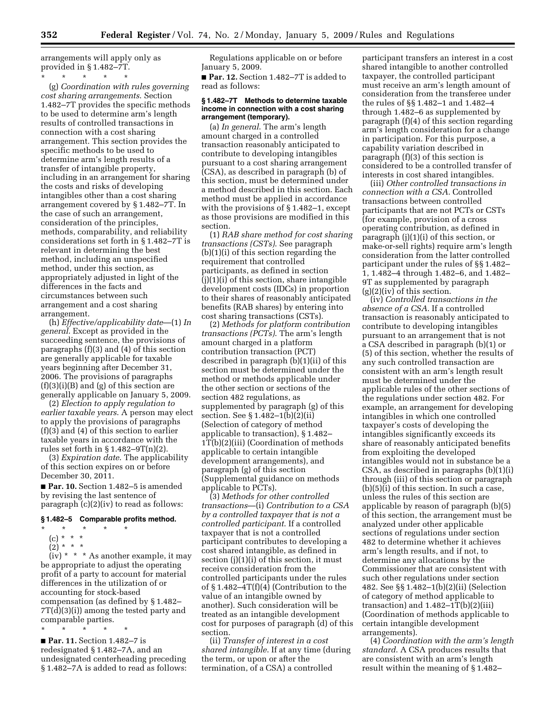arrangements will apply only as provided in § 1.482–7T.

\* \* \* \* \* (g) *Coordination with rules governing cost sharing arrangements*. Section 1.482–7T provides the specific methods to be used to determine arm's length results of controlled transactions in connection with a cost sharing arrangement. This section provides the specific methods to be used to determine arm's length results of a transfer of intangible property, including in an arrangement for sharing the costs and risks of developing intangibles other than a cost sharing arrangement covered by § 1.482–7T. In the case of such an arrangement, consideration of the principles, methods, comparability, and reliability considerations set forth in § 1.482–7T is relevant in determining the best method, including an unspecified method, under this section, as appropriately adjusted in light of the differences in the facts and circumstances between such arrangement and a cost sharing arrangement.

(h) *Effective/applicability date*—(1) *In general*. Except as provided in the succeeding sentence, the provisions of paragraphs (f)(3) and (4) of this section are generally applicable for taxable years beginning after December 31, 2006. The provisions of paragraphs  $(f)(3)(i)(B)$  and  $(g)$  of this section are generally applicable on January 5, 2009.

(2) *Election to apply regulation to earlier taxable years*. A person may elect to apply the provisions of paragraphs (f)(3) and (4) of this section to earlier taxable years in accordance with the rules set forth in  $\S 1.482 - 9T(n)(2)$ .

(3) *Expiration date*. The applicability of this section expires on or before December 30, 2011.

■ **Par. 10.** Section 1.482–5 is amended by revising the last sentence of paragraph (c)(2)(iv) to read as follows:

#### **§ 1.482–5 Comparable profits method.**

- \* \* \* \* \*
	- (c) \* \* \*
	- $(2) * * * *$

(iv) \* \* \* As another example, it may be appropriate to adjust the operating profit of a party to account for material differences in the utilization of or accounting for stock-based compensation (as defined by § 1.482– 7T(d)(3)(i)) among the tested party and comparable parties. \* \* \* \* \*

■ **Par. 11.** Section 1.482-7 is redesignated § 1.482–7A, and an undesignated centerheading preceding § 1.482–7A is added to read as follows:

Regulations applicable on or before January 5, 2009.

■ **Par. 12.** Section 1.482–7T is added to read as follows:

#### **§ 1.482–7T Methods to determine taxable income in connection with a cost sharing arrangement (temporary).**

(a) *In general*. The arm's length amount charged in a controlled transaction reasonably anticipated to contribute to developing intangibles pursuant to a cost sharing arrangement (CSA), as described in paragraph (b) of this section, must be determined under a method described in this section. Each method must be applied in accordance with the provisions of § 1.482–1, except as those provisions are modified in this section.

(1) *RAB share method for cost sharing transactions (CSTs)*. See paragraph (b)(1)(i) of this section regarding the requirement that controlled participants, as defined in section (j)(1)(i) of this section, share intangible development costs (IDCs) in proportion to their shares of reasonably anticipated benefits (RAB shares) by entering into cost sharing transactions (CSTs).

(2) *Methods for platform contribution transactions (PCTs)*. The arm's length amount charged in a platform contribution transaction (PCT) described in paragraph (b)(1)(ii) of this section must be determined under the method or methods applicable under the other section or sections of the section 482 regulations, as supplemented by paragraph (g) of this section. See § 1.482–1(b)(2)(ii) (Selection of category of method applicable to transaction), § 1.482– 1T(b)(2)(iii) (Coordination of methods applicable to certain intangible development arrangements), and paragraph (g) of this section (Supplemental guidance on methods applicable to PCTs).

(3) *Methods for other controlled transactions*—(i) *Contribution to a CSA by a controlled taxpayer that is not a controlled participant*. If a controlled taxpayer that is not a controlled participant contributes to developing a cost shared intangible, as defined in section (j)(1)(i) of this section, it must receive consideration from the controlled participants under the rules of § 1.482–4T(f)(4) (Contribution to the value of an intangible owned by another). Such consideration will be treated as an intangible development cost for purposes of paragraph (d) of this section.

(ii) *Transfer of interest in a cost shared intangible*. If at any time (during the term, or upon or after the termination, of a CSA) a controlled

participant transfers an interest in a cost shared intangible to another controlled taxpayer, the controlled participant must receive an arm's length amount of consideration from the transferee under the rules of §§ 1.482–1 and 1.482–4 through 1.482–6 as supplemented by paragraph (f)(4) of this section regarding arm's length consideration for a change in participation. For this purpose, a capability variation described in paragraph (f)(3) of this section is considered to be a controlled transfer of interests in cost shared intangibles.

(iii) *Other controlled transactions in connection with a CSA*. Controlled transactions between controlled participants that are not PCTs or CSTs (for example, provision of a cross operating contribution, as defined in paragraph (j)(1)(i) of this section, or make-or-sell rights) require arm's length consideration from the latter controlled participant under the rules of §§ 1.482– 1, 1.482–4 through 1.482–6, and 1.482– 9T as supplemented by paragraph (g)(2)(iv) of this section.

(iv) *Controlled transactions in the absence of a CSA*. If a controlled transaction is reasonably anticipated to contribute to developing intangibles pursuant to an arrangement that is not a CSA described in paragraph (b)(1) or (5) of this section, whether the results of any such controlled transaction are consistent with an arm's length result must be determined under the applicable rules of the other sections of the regulations under section 482. For example, an arrangement for developing intangibles in which one controlled taxpayer's costs of developing the intangibles significantly exceeds its share of reasonably anticipated benefits from exploiting the developed intangibles would not in substance be a CSA, as described in paragraphs (b)(1)(i) through (iii) of this section or paragraph (b)(5)(i) of this section. In such a case, unless the rules of this section are applicable by reason of paragraph (b)(5) of this section, the arrangement must be analyzed under other applicable sections of regulations under section 482 to determine whether it achieves arm's length results, and if not, to determine any allocations by the Commissioner that are consistent with such other regulations under section 482. See §§ 1.482–1(b)(2)(ii) (Selection of category of method applicable to transaction) and  $1.482 - 1T(b)(2)(iii)$ (Coordination of methods applicable to certain intangible development arrangements).

(4) *Coordination with the arm's length standard*. A CSA produces results that are consistent with an arm's length result within the meaning of § 1.482–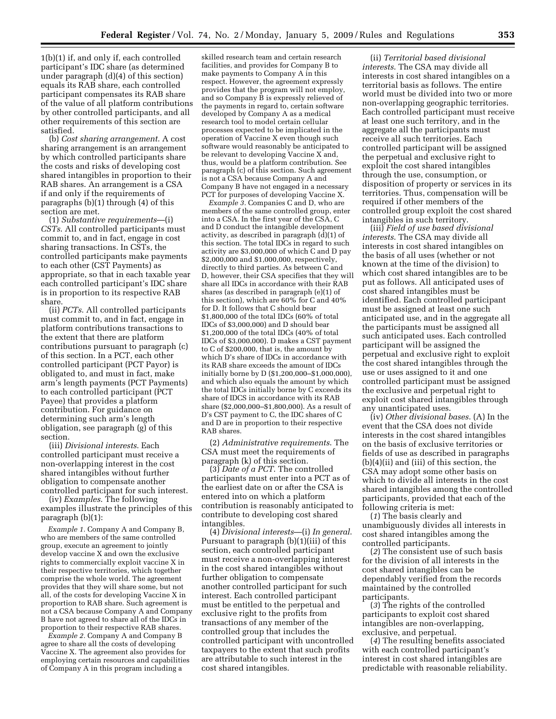1(b)(1) if, and only if, each controlled participant's IDC share (as determined under paragraph (d)(4) of this section) equals its RAB share, each controlled participant compensates its RAB share of the value of all platform contributions by other controlled participants, and all other requirements of this section are satisfied.

(b) *Cost sharing arrangement*. A cost sharing arrangement is an arrangement by which controlled participants share the costs and risks of developing cost shared intangibles in proportion to their RAB shares. An arrangement is a CSA if and only if the requirements of paragraphs (b)(1) through (4) of this section are met.

(1) *Substantive requirements*—(i) *CSTs*. All controlled participants must commit to, and in fact, engage in cost sharing transactions. In CSTs, the controlled participants make payments to each other (CST Payments) as appropriate, so that in each taxable year each controlled participant's IDC share is in proportion to its respective RAB share.

(ii) *PCTs*. All controlled participants must commit to, and in fact, engage in platform contributions transactions to the extent that there are platform contributions pursuant to paragraph (c) of this section. In a PCT, each other controlled participant (PCT Payor) is obligated to, and must in fact, make arm's length payments (PCT Payments) to each controlled participant (PCT Payee) that provides a platform contribution. For guidance on determining such arm's length obligation, see paragraph (g) of this section.

(iii) *Divisional interests*. Each controlled participant must receive a non-overlapping interest in the cost shared intangibles without further obligation to compensate another controlled participant for such interest.

(iv) *Examples*. The following examples illustrate the principles of this paragraph (b)(1):

*Example 1.* Company A and Company B, who are members of the same controlled group, execute an agreement to jointly develop vaccine X and own the exclusive rights to commercially exploit vaccine X in their respective territories, which together comprise the whole world. The agreement provides that they will share some, but not all, of the costs for developing Vaccine X in proportion to RAB share. Such agreement is not a CSA because Company A and Company B have not agreed to share all of the IDCs in proportion to their respective RAB shares.

*Example 2.* Company A and Company B agree to share all the costs of developing Vaccine X. The agreement also provides for employing certain resources and capabilities of Company A in this program including a

skilled research team and certain research facilities, and provides for Company B to make payments to Company A in this respect. However, the agreement expressly provides that the program will not employ, and so Company B is expressly relieved of the payments in regard to, certain software developed by Company A as a medical research tool to model certain cellular processes expected to be implicated in the operation of Vaccine X even though such software would reasonably be anticipated to be relevant to developing Vaccine X and, thus, would be a platform contribution. See paragraph (c) of this section. Such agreement is not a CSA because Company A and Company B have not engaged in a necessary PCT for purposes of developing Vaccine X.

*Example 3.* Companies C and D, who are members of the same controlled group, enter into a CSA. In the first year of the CSA, C and D conduct the intangible development activity, as described in paragraph  $(d)(1)$  of this section. The total IDCs in regard to such activity are \$3,000,000 of which C and D pay \$2,000,000 and \$1,000,000, respectively, directly to third parties. As between C and D, however, their CSA specifies that they will share all IDCs in accordance with their RAB shares (as described in paragraph (e)(1) of this section), which are 60% for C and 40% for D. It follows that C should bear \$1,800,000 of the total IDCs (60% of total IDCs of \$3,000,000) and D should bear \$1,200,000 of the total IDCs (40% of total IDCs of \$3,000,000). D makes a CST payment to C of \$200,000, that is, the amount by which D's share of IDCs in accordance with its RAB share exceeds the amount of IDCs initially borne by D (\$1,200,000–\$1,000,000), and which also equals the amount by which the total IDCs initially borne by C exceeds its share of IDCS in accordance with its RAB share (\$2,000,000–\$1,800,000). As a result of D's CST payment to C, the IDC shares of C and D are in proportion to their respective RAB shares.

(2) *Administrative requirements*. The CSA must meet the requirements of paragraph (k) of this section.

(3) *Date of a PCT*. The controlled participants must enter into a PCT as of the earliest date on or after the CSA is entered into on which a platform contribution is reasonably anticipated to contribute to developing cost shared intangibles.

(4) *Divisional interests*—(i) *In general*. Pursuant to paragraph (b)(1)(iii) of this section, each controlled participant must receive a non-overlapping interest in the cost shared intangibles without further obligation to compensate another controlled participant for such interest. Each controlled participant must be entitled to the perpetual and exclusive right to the profits from transactions of any member of the controlled group that includes the controlled participant with uncontrolled taxpayers to the extent that such profits are attributable to such interest in the cost shared intangibles.

(ii) *Territorial based divisional interests*. The CSA may divide all interests in cost shared intangibles on a territorial basis as follows. The entire world must be divided into two or more non-overlapping geographic territories. Each controlled participant must receive at least one such territory, and in the aggregate all the participants must receive all such territories. Each controlled participant will be assigned the perpetual and exclusive right to exploit the cost shared intangibles through the use, consumption, or disposition of property or services in its territories. Thus, compensation will be required if other members of the controlled group exploit the cost shared intangibles in such territory.

(iii) *Field of use based divisional interests*. The CSA may divide all interests in cost shared intangibles on the basis of all uses (whether or not known at the time of the division) to which cost shared intangibles are to be put as follows. All anticipated uses of cost shared intangibles must be identified. Each controlled participant must be assigned at least one such anticipated use, and in the aggregate all the participants must be assigned all such anticipated uses. Each controlled participant will be assigned the perpetual and exclusive right to exploit the cost shared intangibles through the use or uses assigned to it and one controlled participant must be assigned the exclusive and perpetual right to exploit cost shared intangibles through any unanticipated uses.

(iv) *Other divisional bases*. (A) In the event that the CSA does not divide interests in the cost shared intangibles on the basis of exclusive territories or fields of use as described in paragraphs (b)(4)(ii) and (iii) of this section, the CSA may adopt some other basis on which to divide all interests in the cost shared intangibles among the controlled participants, provided that each of the following criteria is met:

(*1*) The basis clearly and unambiguously divides all interests in cost shared intangibles among the controlled participants.

(*2*) The consistent use of such basis for the division of all interests in the cost shared intangibles can be dependably verified from the records maintained by the controlled participants.

(*3*) The rights of the controlled participants to exploit cost shared intangibles are non-overlapping, exclusive, and perpetual.

(*4*) The resulting benefits associated with each controlled participant's interest in cost shared intangibles are predictable with reasonable reliability.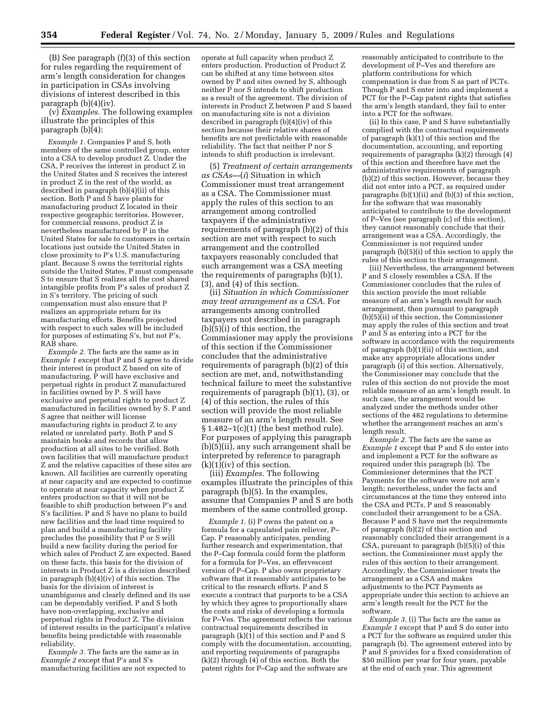(B) See paragraph (f)(3) of this section for rules regarding the requirement of arm's length consideration for changes in participation in CSAs involving divisions of interest described in this paragraph (b)(4)(iv).

(v) *Examples*. The following examples illustrate the principles of this paragraph (b)(4):

*Example 1.* Companies P and S, both members of the same controlled group, enter into a CSA to develop product Z. Under the CSA, P receives the interest in product Z in the United States and S receives the interest in product Z in the rest of the world, as described in paragraph (b)(4)(ii) of this section. Both P and S have plants for manufacturing product Z located in their respective geographic territories. However, for commercial reasons, product Z is nevertheless manufactured by P in the United States for sale to customers in certain locations just outside the United States in close proximity to P's U.S. manufacturing plant. Because S owns the territorial rights outside the United States, P must compensate S to ensure that S realizes all the cost shared intangible profits from P's sales of product Z in S's territory. The pricing of such compensation must also ensure that P realizes an appropriate return for its manufacturing efforts. Benefits projected with respect to such sales will be included for purposes of estimating S's, but not P's, RAB share.

*Example 2.* The facts are the same as in *Example 1* except that P and S agree to divide their interest in product Z based on site of manufacturing.  $\tilde{P}$  will have exclusive and perpetual rights in product Z manufactured in facilities owned by P. S will have exclusive and perpetual rights to product Z manufactured in facilities owned by S. P and S agree that neither will license manufacturing rights in product Z to any related or unrelated party. Both P and S maintain books and records that allow production at all sites to be verified. Both own facilities that will manufacture product Z and the relative capacities of these sites are known. All facilities are currently operating at near capacity and are expected to continue to operate at near capacity when product Z enters production so that it will not be feasible to shift production between P's and S's facilities. P and S have no plans to build new facilities and the lead time required to plan and build a manufacturing facility precludes the possibility that P or S will build a new facility during the period for which sales of Product Z are expected. Based on these facts, this basis for the division of interests in Product Z is a division described in paragraph (b)(4)(iv) of this section. The basis for the division of interest is unambiguous and clearly defined and its use can be dependably verified. P and S both have non-overlapping, exclusive and perpetual rights in Product Z. The division of interest results in the participant's relative benefits being predictable with reasonable reliability.

*Example 3.* The facts are the same as in *Example 2* except that P's and S's manufacturing facilities are not expected to

operate at full capacity when product Z enters production. Production of Product Z can be shifted at any time between sites owned by P and sites owned by S, although neither P nor S intends to shift production as a result of the agreement. The division of interests in Product Z between P and S based on manufacturing site is not a division described in paragraph (b)(4)(iv) of this section because their relative shares of benefits are not predictable with reasonable reliability. The fact that neither P nor S intends to shift production is irrelevant.

(5) *Treatment of certain arrangements as CSAs—*(*i*) Situation in which Commissioner must treat arrangement as a CSA. The Commissioner must apply the rules of this section to an arrangement among controlled taxpayers if the administrative requirements of paragraph (b)(2) of this section are met with respect to such arrangement and the controlled taxpayers reasonably concluded that such arrangement was a CSA meeting the requirements of paragraphs (b)(1), (3), and (4) of this section.

(ii) *Situation in which Commissioner may treat arrangement as a CSA*. For arrangements among controlled taxpayers not described in paragraph (b)(5)(i) of this section, the Commissioner may apply the provisions of this section if the Commissioner concludes that the administrative requirements of paragraph (b)(2) of this section are met, and, notwithstanding technical failure to meet the substantive requirements of paragraph (b)(1), (3), or (4) of this section, the rules of this section will provide the most reliable measure of an arm's length result. See § 1.482–1(c)(1) (the best method rule). For purposes of applying this paragraph (b)(5)(ii), any such arrangement shall be interpreted by reference to paragraph  $(k)(1)(iv)$  of this section.

(iii) *Examples*. The following examples illustrate the principles of this paragraph (b)(5). In the examples, assume that Companies P and S are both members of the same controlled group.

*Example 1.* (i) P owns the patent on a formula for a capsulated pain reliever, P– Cap. P reasonably anticipates, pending further research and experimentation, that the P–Cap formula could form the platform for a formula for P–Ves, an effervescent version of P–Cap. P also owns proprietary software that it reasonably anticipates to be critical to the research efforts. P and S execute a contract that purports to be a CSA by which they agree to proportionally share the costs and risks of developing a formula for P–Ves. The agreement reflects the various contractual requirements described in paragraph  $(k)(1)$  of this section and P and S comply with the documentation, accounting, and reporting requirements of paragraphs (k)(2) through (4) of this section. Both the patent rights for P–Cap and the software are

reasonably anticipated to contribute to the development of P–Ves and therefore are platform contributions for which compensation is due from S as part of PCTs. Though P and S enter into and implement a PCT for the P–Cap patent rights that satisfies the arm's length standard, they fail to enter into a PCT for the software.

(ii) In this case, P and S have substantially complied with the contractual requirements of paragraph (k)(1) of this section and the documentation, accounting, and reporting requirements of paragraphs (k)(2) through (4) of this section and therefore have met the administrative requirements of paragraph (b)(2) of this section. However, because they did not enter into a PCT, as required under paragraphs (b)(1)(ii) and (b)(3) of this section, for the software that was reasonably anticipated to contribute to the development of P–Ves (see paragraph (c) of this section), they cannot reasonably conclude that their arrangement was a CSA. Accordingly, the Commissioner is not required under paragraph (b)(5)(i) of this section to apply the rules of this section to their arrangement.

(iii) Nevertheless, the arrangement between P and S closely resembles a CSA. If the Commissioner concludes that the rules of this section provide the most reliable measure of an arm's length result for such arrangement, then pursuant to paragraph (b)(5)(ii) of this section, the Commissioner may apply the rules of this section and treat P and  $\overline{S}$  as entering into a PCT for the software in accordance with the requirements of paragraph (b)(1)(ii) of this section, and make any appropriate allocations under paragraph (i) of this section. Alternatively, the Commissioner may conclude that the rules of this section do not provide the most reliable measure of an arm's length result. In such case, the arrangement would be analyzed under the methods under other sections of the 482 regulations to determine whether the arrangement reaches an arm's length result.

*Example 2.* The facts are the same as *Example 1* except that P and S do enter into and implement a PCT for the software as required under this paragraph (b). The Commissioner determines that the PCT Payments for the software were not arm's length; nevertheless, under the facts and circumstances at the time they entered into the CSA and PCTs, P and S reasonably concluded their arrangement to be a CSA Because P and S have met the requirements of paragraph (b)(2) of this section and reasonably concluded their arrangement is a CSA, pursuant to paragraph (b)(5)(i) of this section, the Commissioner must apply the rules of this section to their arrangement. Accordingly, the Commissioner treats the arrangement as a CSA and makes adjustments to the PCT Payments as appropriate under this section to achieve an arm's length result for the PCT for the software.

*Example 3.* (i) The facts are the same as *Example 1* except that P and S do enter into a PCT for the software as required under this paragraph (b). The agreement entered into by P and S provides for a fixed consideration of \$50 million per year for four years, payable at the end of each year. This agreement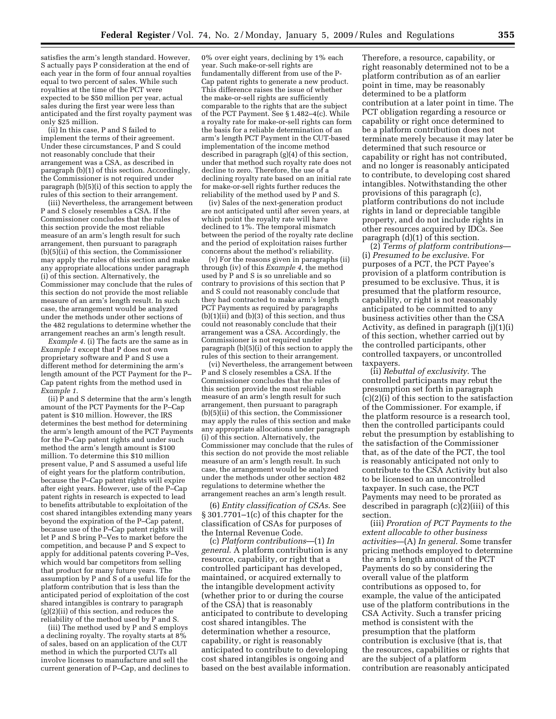satisfies the arm's length standard. However, S actually pays P consideration at the end of each year in the form of four annual royalties equal to two percent of sales. While such royalties at the time of the PCT were expected to be \$50 million per year, actual sales during the first year were less than anticipated and the first royalty payment was only \$25 million.

(ii) In this case, P and S failed to implement the terms of their agreement. Under these circumstances, P and S could not reasonably conclude that their arrangement was a CSA, as described in paragraph (b)(1) of this section. Accordingly, the Commissioner is not required under paragraph (b)(5)(i) of this section to apply the rules of this section to their arrangement.

(iii) Nevertheless, the arrangement between P and S closely resembles a CSA. If the Commissioner concludes that the rules of this section provide the most reliable measure of an arm's length result for such arrangement, then pursuant to paragraph (b)(5)(ii) of this section, the Commissioner may apply the rules of this section and make any appropriate allocations under paragraph (i) of this section. Alternatively, the Commissioner may conclude that the rules of this section do not provide the most reliable measure of an arm's length result. In such case, the arrangement would be analyzed under the methods under other sections of the 482 regulations to determine whether the arrangement reaches an arm's length result.

*Example 4.* (i) The facts are the same as in *Example 1* except that P does not own proprietary software and P and S use a different method for determining the arm's length amount of the PCT Payment for the P– Cap patent rights from the method used in *Example 1*.

(ii)  $\hat{P}$  and S determine that the arm's length amount of the PCT Payments for the P–Cap patent is \$10 million. However, the IRS determines the best method for determining the arm's length amount of the PCT Payments for the P–Cap patent rights and under such method the arm's length amount is \$100 million. To determine this \$10 million present value, P and S assumed a useful life of eight years for the platform contribution, because the P–Cap patent rights will expire after eight years. However, use of the P–Cap patent rights in research is expected to lead to benefits attributable to exploitation of the cost shared intangibles extending many years beyond the expiration of the P–Cap patent, because use of the P–Cap patent rights will let P and S bring P–Ves to market before the competition, and because P and S expect to apply for additional patents covering P–Ves, which would bar competitors from selling that product for many future years. The assumption by P and S of a useful life for the platform contribution that is less than the anticipated period of exploitation of the cost shared intangibles is contrary to paragraph  $(g)(2)(ii)$  of this section, and reduces the reliability of the method used by P and S.

(iii) The method used by P and S employs a declining royalty. The royalty starts at 8% of sales, based on an application of the CUT method in which the purported CUTs all involve licenses to manufacture and sell the current generation of P–Cap, and declines to

0% over eight years, declining by 1% each year. Such make-or-sell rights are fundamentally different from use of the P-Cap patent rights to generate a new product. This difference raises the issue of whether the make-or-sell rights are sufficiently comparable to the rights that are the subject of the PCT Payment. See § 1.482–4(c). While a royalty rate for make-or-sell rights can form the basis for a reliable determination of an arm's length PCT Payment in the CUT-based implementation of the income method described in paragraph (g)(4) of this section, under that method such royalty rate does not decline to zero. Therefore, the use of a declining royalty rate based on an initial rate for make-or-sell rights further reduces the reliability of the method used by P and S.

(iv) Sales of the next-generation product are not anticipated until after seven years, at which point the royalty rate will have declined to 1%. The temporal mismatch between the period of the royalty rate decline and the period of exploitation raises further concerns about the method's reliability.

(v) For the reasons given in paragraphs (ii) through (iv) of this *Example 4*, the method used by P and S is so unreliable and so contrary to provisions of this section that P and S could not reasonably conclude that they had contracted to make arm's length PCT Payments as required by paragraphs  $(b)(1)(ii)$  and  $(b)(3)$  of this section, and thus could not reasonably conclude that their arrangement was a CSA. Accordingly, the Commissioner is not required under paragraph (b)(5)(i) of this section to apply the rules of this section to their arrangement.

(vi) Nevertheless, the arrangement between P and S closely resembles a CSA. If the Commissioner concludes that the rules of this section provide the most reliable measure of an arm's length result for such arrangement, then pursuant to paragraph (b)(5)(ii) of this section, the Commissioner may apply the rules of this section and make any appropriate allocations under paragraph (i) of this section. Alternatively, the Commissioner may conclude that the rules of this section do not provide the most reliable measure of an arm's length result. In such case, the arrangement would be analyzed under the methods under other section 482 regulations to determine whether the arrangement reaches an arm's length result.

(6) *Entity classification of CSAs*. See § 301.7701–1(c) of this chapter for the classification of CSAs for purposes of the Internal Revenue Code.

(c) *Platform contributions*—(1) *In general*. A platform contribution is any resource, capability, or right that a controlled participant has developed, maintained, or acquired externally to the intangible development activity (whether prior to or during the course of the CSA) that is reasonably anticipated to contribute to developing cost shared intangibles. The determination whether a resource, capability, or right is reasonably anticipated to contribute to developing cost shared intangibles is ongoing and based on the best available information.

Therefore, a resource, capability, or right reasonably determined not to be a platform contribution as of an earlier point in time, may be reasonably determined to be a platform contribution at a later point in time. The PCT obligation regarding a resource or capability or right once determined to be a platform contribution does not terminate merely because it may later be determined that such resource or capability or right has not contributed, and no longer is reasonably anticipated to contribute, to developing cost shared intangibles. Notwithstanding the other provisions of this paragraph (c), platform contributions do not include rights in land or depreciable tangible property, and do not include rights in other resources acquired by IDCs. See paragraph (d)(1) of this section.

(2) *Terms of platform contributions*— (i) *Presumed to be exclusive*. For purposes of a PCT, the PCT Payee's provision of a platform contribution is presumed to be exclusive. Thus, it is presumed that the platform resource, capability, or right is not reasonably anticipated to be committed to any business activities other than the CSA Activity, as defined in paragraph (j)(1)(i) of this section, whether carried out by the controlled participants, other controlled taxpayers, or uncontrolled taxpayers.

(ii) *Rebuttal of exclusivity*. The controlled participants may rebut the presumption set forth in paragraph (c)(2)(i) of this section to the satisfaction of the Commissioner. For example, if the platform resource is a research tool, then the controlled participants could rebut the presumption by establishing to the satisfaction of the Commissioner that, as of the date of the PCT, the tool is reasonably anticipated not only to contribute to the CSA Activity but also to be licensed to an uncontrolled taxpayer. In such case, the PCT Payments may need to be prorated as described in paragraph  $(c)(2)(iii)$  of this section.

(iii) *Proration of PCT Payments to the extent allocable to other business activities*—(A) *In general*. Some transfer pricing methods employed to determine the arm's length amount of the PCT Payments do so by considering the overall value of the platform contributions as opposed to, for example, the value of the anticipated use of the platform contributions in the CSA Activity. Such a transfer pricing method is consistent with the presumption that the platform contribution is exclusive (that is, that the resources, capabilities or rights that are the subject of a platform contribution are reasonably anticipated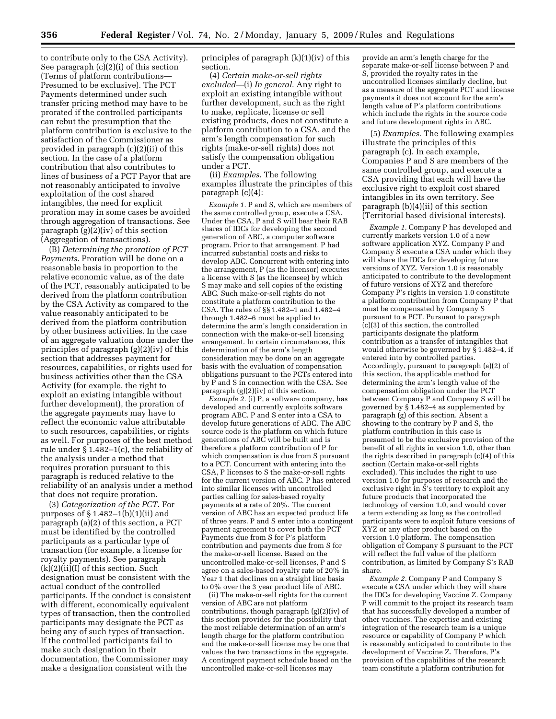to contribute only to the CSA Activity). See paragraph (c)(2)(i) of this section (Terms of platform contributions— Presumed to be exclusive). The PCT Payments determined under such transfer pricing method may have to be prorated if the controlled participants can rebut the presumption that the platform contribution is exclusive to the satisfaction of the Commissioner as provided in paragraph (c)(2)(ii) of this section. In the case of a platform contribution that also contributes to lines of business of a PCT Payor that are not reasonably anticipated to involve exploitation of the cost shared intangibles, the need for explicit proration may in some cases be avoided through aggregation of transactions. See paragraph (g)(2)(iv) of this section (Aggregation of transactions).

(B) *Determining the proration of PCT Payments*. Proration will be done on a reasonable basis in proportion to the relative economic value, as of the date of the PCT, reasonably anticipated to be derived from the platform contribution by the CSA Activity as compared to the value reasonably anticipated to be derived from the platform contribution by other business activities. In the case of an aggregate valuation done under the principles of paragraph (g)(2)(iv) of this section that addresses payment for resources, capabilities, or rights used for business activities other than the CSA Activity (for example, the right to exploit an existing intangible without further development), the proration of the aggregate payments may have to reflect the economic value attributable to such resources, capabilities, or rights as well. For purposes of the best method rule under § 1.482–1(c), the reliability of the analysis under a method that requires proration pursuant to this paragraph is reduced relative to the reliability of an analysis under a method that does not require proration.

(3) *Categorization of the PCT*. For purposes of  $\S 1.482-1(b)(1)(ii)$  and paragraph (a)(2) of this section, a PCT must be identified by the controlled participants as a particular type of transaction (for example, a license for royalty payments). See paragraph  $(k)(2)(ii)(I)$  of this section. Such designation must be consistent with the actual conduct of the controlled participants. If the conduct is consistent with different, economically equivalent types of transaction, then the controlled participants may designate the PCT as being any of such types of transaction. If the controlled participants fail to make such designation in their documentation, the Commissioner may make a designation consistent with the

principles of paragraph (k)(1)(iv) of this section.

(4) *Certain make-or-sell rights excluded*—(i) *In general*. Any right to exploit an existing intangible without further development, such as the right to make, replicate, license or sell existing products, does not constitute a platform contribution to a CSA, and the arm's length compensation for such rights (make-or-sell rights) does not satisfy the compensation obligation under a PCT.

(ii) *Examples*. The following examples illustrate the principles of this paragraph (c)(4):

*Example 1.* P and S, which are members of the same controlled group, execute a CSA. Under the CSA, P and S will bear their RAB shares of IDCs for developing the second generation of ABC, a computer software program. Prior to that arrangement, P had incurred substantial costs and risks to develop ABC. Concurrent with entering into the arrangement, P (as the licensor) executes a license with S (as the licensee) by which S may make and sell copies of the existing ABC. Such make-or-sell rights do not constitute a platform contribution to the CSA. The rules of §§ 1.482–1 and 1.482–4 through 1.482–6 must be applied to determine the arm's length consideration in connection with the make-or-sell licensing arrangement. In certain circumstances, this determination of the arm's length consideration may be done on an aggregate basis with the evaluation of compensation obligations pursuant to the PCTs entered into by P and S in connection with the CSA. See paragraph (g)(2)(iv) of this section.

*Example 2.* (i) P, a software company, has developed and currently exploits software program ABC. P and S enter into a CSA to develop future generations of ABC. The ABC source code is the platform on which future generations of ABC will be built and is therefore a platform contribution of P for which compensation is due from S pursuant to a PCT. Concurrent with entering into the CSA, P licenses to S the make-or-sell rights for the current version of ABC. P has entered into similar licenses with uncontrolled parties calling for sales-based royalty payments at a rate of 20%. The current version of ABC has an expected product life of three years. P and S enter into a contingent payment agreement to cover both the PCT Payments due from S for P's platform contribution and payments due from S for the make-or-sell license. Based on the uncontrolled make-or-sell licenses, P and S agree on a sales-based royalty rate of 20% in Year 1 that declines on a straight line basis to 0% over the 3 year product life of ABC.

(ii) The make-or-sell rights for the current version of ABC are not platform contributions, though paragraph (g)(2)(iv) of this section provides for the possibility that the most reliable determination of an arm's length charge for the platform contribution and the make-or-sell license may be one that values the two transactions in the aggregate. A contingent payment schedule based on the uncontrolled make-or-sell licenses may

provide an arm's length charge for the separate make-or-sell license between P and S, provided the royalty rates in the uncontrolled licenses similarly decline, but as a measure of the aggregate PCT and license payments it does not account for the arm's length value of P's platform contributions which include the rights in the source code and future development rights in ABC.

(5) *Examples*. The following examples illustrate the principles of this paragraph (c). In each example, Companies P and S are members of the same controlled group, and execute a CSA providing that each will have the exclusive right to exploit cost shared intangibles in its own territory. See paragraph (b)(4)(ii) of this section (Territorial based divisional interests).

*Example 1.* Company P has developed and currently markets version 1.0 of a new software application XYZ. Company P and Company S execute a CSA under which they will share the IDCs for developing future versions of XYZ. Version 1.0 is reasonably anticipated to contribute to the development of future versions of XYZ and therefore Company P's rights in version 1.0 constitute a platform contribution from Company P that must be compensated by Company S pursuant to a PCT. Pursuant to paragraph  $(c)(3)$  of this section, the controlled participants designate the platform contribution as a transfer of intangibles that would otherwise be governed by § 1.482–4, if entered into by controlled parties. Accordingly, pursuant to paragraph (a)(2) of this section, the applicable method for determining the arm's length value of the compensation obligation under the PCT between Company P and Company S will be governed by § 1.482–4 as supplemented by paragraph (g) of this section. Absent a showing to the contrary by P and S, the platform contribution in this case is presumed to be the exclusive provision of the benefit of all rights in version 1.0, other than the rights described in paragraph (c)(4) of this section (Certain make-or-sell rights excluded). This includes the right to use version 1.0 for purposes of research and the exclusive right in  $\hat{S}$ 's territory to exploit any future products that incorporated the technology of version 1.0, and would cover a term extending as long as the controlled participants were to exploit future versions of XYZ or any other product based on the version 1.0 platform. The compensation obligation of Company S pursuant to the PCT will reflect the full value of the platform contribution, as limited by Company S's RAB share.

*Example 2.* Company P and Company S execute a CSA under which they will share the IDCs for developing Vaccine Z. Company P will commit to the project its research team that has successfully developed a number of other vaccines. The expertise and existing integration of the research team is a unique resource or capability of Company P which is reasonably anticipated to contribute to the development of Vaccine Z. Therefore, P's provision of the capabilities of the research team constitute a platform contribution for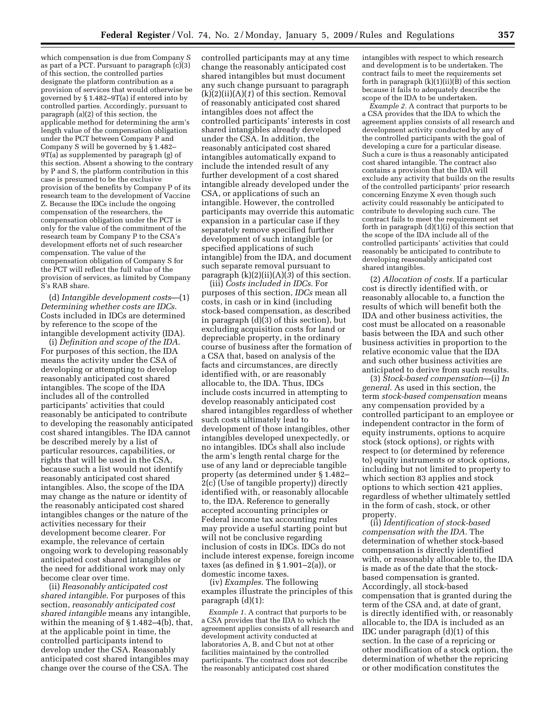which compensation is due from Company S as part of a PCT. Pursuant to paragraph (c)(3) of this section, the controlled parties designate the platform contribution as a provision of services that would otherwise be governed by § 1.482–9T(a) if entered into by controlled parties. Accordingly, pursuant to paragraph (a)(2) of this section, the applicable method for determining the arm's length value of the compensation obligation under the PCT between Company P and Company S will be governed by § 1.482– 9T(a) as supplemented by paragraph (g) of this section. Absent a showing to the contrary by P and S, the platform contribution in this case is presumed to be the exclusive provision of the benefits by Company P of its research team to the development of Vaccine Z. Because the IDCs include the ongoing compensation of the researchers, the compensation obligation under the PCT is only for the value of the commitment of the research team by Company P to the CSA's development efforts net of such researcher compensation. The value of the compensation obligation of Company S for the PCT will reflect the full value of the provision of services, as limited by Company S's RAB share.

(d) *Intangible development costs*—(1) *Determining whether costs are IDCs*. Costs included in IDCs are determined by reference to the scope of the intangible development activity (IDA).

(i) *Definition and scope of the IDA*. For purposes of this section, the IDA means the activity under the CSA of developing or attempting to develop reasonably anticipated cost shared intangibles. The scope of the IDA includes all of the controlled participants' activities that could reasonably be anticipated to contribute to developing the reasonably anticipated cost shared intangibles. The IDA cannot be described merely by a list of particular resources, capabilities, or rights that will be used in the CSA, because such a list would not identify reasonably anticipated cost shared intangibles. Also, the scope of the IDA may change as the nature or identity of the reasonably anticipated cost shared intangibles changes or the nature of the activities necessary for their development become clearer. For example, the relevance of certain ongoing work to developing reasonably anticipated cost shared intangibles or the need for additional work may only become clear over time.

(ii) *Reasonably anticipated cost shared intangible*. For purposes of this section, *reasonably anticipated cost shared intangible* means any intangible, within the meaning of § 1.482–4(b), that, at the applicable point in time, the controlled participants intend to develop under the CSA. Reasonably anticipated cost shared intangibles may change over the course of the CSA. The

controlled participants may at any time change the reasonably anticipated cost shared intangibles but must document any such change pursuant to paragraph  $(k)(2)(ii)(A)(1)$  of this section. Removal of reasonably anticipated cost shared intangibles does not affect the controlled participants' interests in cost shared intangibles already developed under the CSA. In addition, the reasonably anticipated cost shared intangibles automatically expand to include the intended result of any further development of a cost shared intangible already developed under the CSA, or applications of such an intangible. However, the controlled participants may override this automatic expansion in a particular case if they separately remove specified further development of such intangible (or specified applications of such intangible) from the IDA, and document such separate removal pursuant to paragraph  $(k)(2)(ii)(A)(\overline{3})$  of this section.

(iii) *Costs included in IDCs*. For purposes of this section, *IDCs* mean all costs, in cash or in kind (including stock-based compensation, as described in paragraph (d)(3) of this section), but excluding acquisition costs for land or depreciable property, in the ordinary course of business after the formation of a CSA that, based on analysis of the facts and circumstances, are directly identified with, or are reasonably allocable to, the IDA. Thus, IDCs include costs incurred in attempting to develop reasonably anticipated cost shared intangibles regardless of whether such costs ultimately lead to development of those intangibles, other intangibles developed unexpectedly, or no intangibles. IDCs shall also include the arm's length rental charge for the use of any land or depreciable tangible property (as determined under § 1.482– 2(c) (Use of tangible property)) directly identified with, or reasonably allocable to, the IDA. Reference to generally accepted accounting principles or Federal income tax accounting rules may provide a useful starting point but will not be conclusive regarding inclusion of costs in IDCs. IDCs do not include interest expense, foreign income taxes (as defined in  $\S 1.901-2(a)$ ), or domestic income taxes.

(iv) *Examples*. The following examples illustrate the principles of this paragraph (d)(1):

*Example 1.* A contract that purports to be a CSA provides that the IDA to which the agreement applies consists of all research and development activity conducted at laboratories A, B, and C but not at other facilities maintained by the controlled participants. The contract does not describe the reasonably anticipated cost shared

intangibles with respect to which research and development is to be undertaken. The contract fails to meet the requirements set forth in paragraph  $(k)(1)(ii)(B)$  of this section because it fails to adequately describe the scope of the IDA to be undertaken.

*Example 2.* A contract that purports to be a CSA provides that the IDA to which the agreement applies consists of all research and development activity conducted by any of the controlled participants with the goal of developing a cure for a particular disease. Such a cure is thus a reasonably anticipated cost shared intangible. The contract also contains a provision that the IDA will exclude any activity that builds on the results of the controlled participants' prior research concerning Enzyme X even though such activity could reasonably be anticipated to contribute to developing such cure. The contract fails to meet the requirement set forth in paragraph  $(d)(1)(i)$  of this section that the scope of the IDA include all of the controlled participants' activities that could reasonably be anticipated to contribute to developing reasonably anticipated cost shared intangibles.

(2) *Allocation of costs.* If a particular cost is directly identified with, or reasonably allocable to, a function the results of which will benefit both the IDA and other business activities, the cost must be allocated on a reasonable basis between the IDA and such other business activities in proportion to the relative economic value that the IDA and such other business activities are anticipated to derive from such results.

(3) *Stock-based compensation*—(i) *In general.* As used in this section, the term *stock-based compensation* means any compensation provided by a controlled participant to an employee or independent contractor in the form of equity instruments, options to acquire stock (stock options), or rights with respect to (or determined by reference to) equity instruments or stock options, including but not limited to property to which section 83 applies and stock options to which section 421 applies, regardless of whether ultimately settled in the form of cash, stock, or other property.

(ii) *Identification of stock-based compensation with the IDA.* The determination of whether stock-based compensation is directly identified with, or reasonably allocable to, the IDA is made as of the date that the stockbased compensation is granted. Accordingly, all stock-based compensation that is granted during the term of the CSA and, at date of grant, is directly identified with, or reasonably allocable to, the IDA is included as an IDC under paragraph (d)(1) of this section. In the case of a repricing or other modification of a stock option, the determination of whether the repricing or other modification constitutes the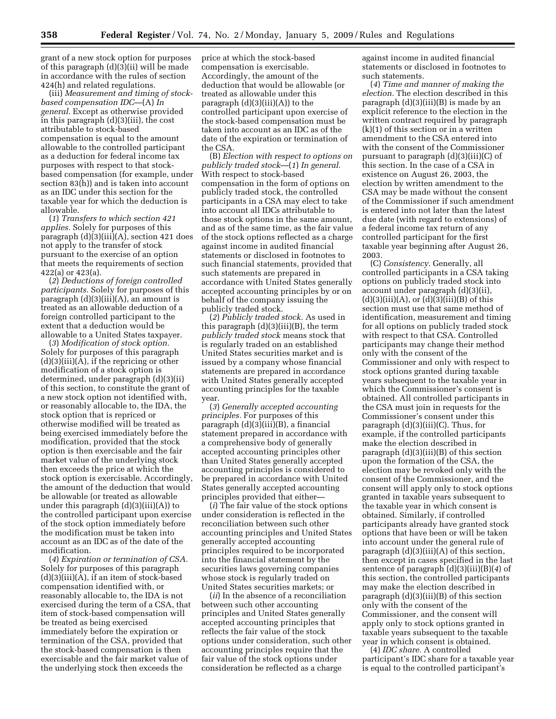grant of a new stock option for purposes of this paragraph (d)(3)(ii) will be made in accordance with the rules of section 424(h) and related regulations.

(iii) *Measurement and timing of stockbased compensation IDC*—(A) *In general.* Except as otherwise provided in this paragraph (d)(3)(iii), the cost attributable to stock-based compensation is equal to the amount allowable to the controlled participant as a deduction for federal income tax purposes with respect to that stockbased compensation (for example, under section 83(h)) and is taken into account as an IDC under this section for the taxable year for which the deduction is allowable.

(*1*) *Transfers to which section 421 applies.* Solely for purposes of this paragraph (d)(3)(iii)(A), section 421 does not apply to the transfer of stock pursuant to the exercise of an option that meets the requirements of section 422(a) or 423(a).

(*2*) *Deductions of foreign controlled participants.* Solely for purposes of this paragraph  $(d)(3)(iii)(A)$ , an amount is treated as an allowable deduction of a foreign controlled participant to the extent that a deduction would be allowable to a United States taxpayer.

(*3*) *Modification of stock option.*  Solely for purposes of this paragraph  $(d)(3)(iii)(A)$ , if the repricing or other modification of a stock option is determined, under paragraph (d)(3)(ii) of this section, to constitute the grant of a new stock option not identified with, or reasonably allocable to, the IDA, the stock option that is repriced or otherwise modified will be treated as being exercised immediately before the modification, provided that the stock option is then exercisable and the fair market value of the underlying stock then exceeds the price at which the stock option is exercisable. Accordingly, the amount of the deduction that would be allowable (or treated as allowable under this paragraph  $(d)(3)(iii)(A))$  to the controlled participant upon exercise of the stock option immediately before the modification must be taken into account as an IDC as of the date of the modification.

(*4*) *Expiration or termination of CSA.*  Solely for purposes of this paragraph  $(d)(3)(iii)(A)$ , if an item of stock-based compensation identified with, or reasonably allocable to, the IDA is not exercised during the term of a CSA, that item of stock-based compensation will be treated as being exercised immediately before the expiration or termination of the CSA, provided that the stock-based compensation is then exercisable and the fair market value of the underlying stock then exceeds the

price at which the stock-based compensation is exercisable. Accordingly, the amount of the deduction that would be allowable (or treated as allowable under this paragraph  $(d)(3)(iii)(A))$  to the controlled participant upon exercise of the stock-based compensation must be taken into account as an IDC as of the date of the expiration or termination of the CSA.

(B) *Election with respect to options on publicly traded stock*—(*1*) *In general.*  With respect to stock-based compensation in the form of options on publicly traded stock, the controlled participants in a CSA may elect to take into account all IDCs attributable to those stock options in the same amount, and as of the same time, as the fair value of the stock options reflected as a charge against income in audited financial statements or disclosed in footnotes to such financial statements, provided that such statements are prepared in accordance with United States generally accepted accounting principles by or on behalf of the company issuing the publicly traded stock.

(*2*) *Publicly traded stock.* As used in this paragraph  $(d)(3)(iii)(B)$ , the term *publicly traded stock* means stock that is regularly traded on an established United States securities market and is issued by a company whose financial statements are prepared in accordance with United States generally accepted accounting principles for the taxable year.

(*3*) *Generally accepted accounting principles.* For purposes of this paragraph (d)(3)(iii)(B), a financial statement prepared in accordance with a comprehensive body of generally accepted accounting principles other than United States generally accepted accounting principles is considered to be prepared in accordance with United States generally accepted accounting principles provided that either—

(*i*) The fair value of the stock options under consideration is reflected in the reconciliation between such other accounting principles and United States generally accepted accounting principles required to be incorporated into the financial statement by the securities laws governing companies whose stock is regularly traded on United States securities markets; or

(*ii*) In the absence of a reconciliation between such other accounting principles and United States generally accepted accounting principles that reflects the fair value of the stock options under consideration, such other accounting principles require that the fair value of the stock options under consideration be reflected as a charge

against income in audited financial statements or disclosed in footnotes to such statements.

(*4*) *Time and manner of making the election.* The election described in this paragraph (d)(3)(iii)(B) is made by an explicit reference to the election in the written contract required by paragraph  $(k)(1)$  of this section or in a written amendment to the CSA entered into with the consent of the Commissioner pursuant to paragraph (d)(3)(iii)(C) of this section. In the case of a CSA in existence on August 26, 2003, the election by written amendment to the CSA may be made without the consent of the Commissioner if such amendment is entered into not later than the latest due date (with regard to extensions) of a federal income tax return of any controlled participant for the first taxable year beginning after August 26, 2003.

(C) *Consistency.* Generally, all controlled participants in a CSA taking options on publicly traded stock into account under paragraph (d)(3)(ii),  $(d)(3)(iii)(A)$ , or  $(d)(3)(iii)(B)$  of this section must use that same method of identification, measurement and timing for all options on publicly traded stock with respect to that CSA. Controlled participants may change their method only with the consent of the Commissioner and only with respect to stock options granted during taxable years subsequent to the taxable year in which the Commissioner's consent is obtained. All controlled participants in the CSA must join in requests for the Commissioner's consent under this paragraph (d)(3)(iii)(C). Thus, for example, if the controlled participants make the election described in paragraph (d)(3)(iii)(B) of this section upon the formation of the CSA, the election may be revoked only with the consent of the Commissioner, and the consent will apply only to stock options granted in taxable years subsequent to the taxable year in which consent is obtained. Similarly, if controlled participants already have granted stock options that have been or will be taken into account under the general rule of paragraph  $(d)(3)(iii)(A)$  of this section, then except in cases specified in the last sentence of paragraph (d)(3)(iii)(B)(*4*) of this section, the controlled participants may make the election described in paragraph (d)(3)(iii)(B) of this section only with the consent of the Commissioner, and the consent will apply only to stock options granted in taxable years subsequent to the taxable year in which consent is obtained.

(4) *IDC share.* A controlled participant's IDC share for a taxable year is equal to the controlled participant's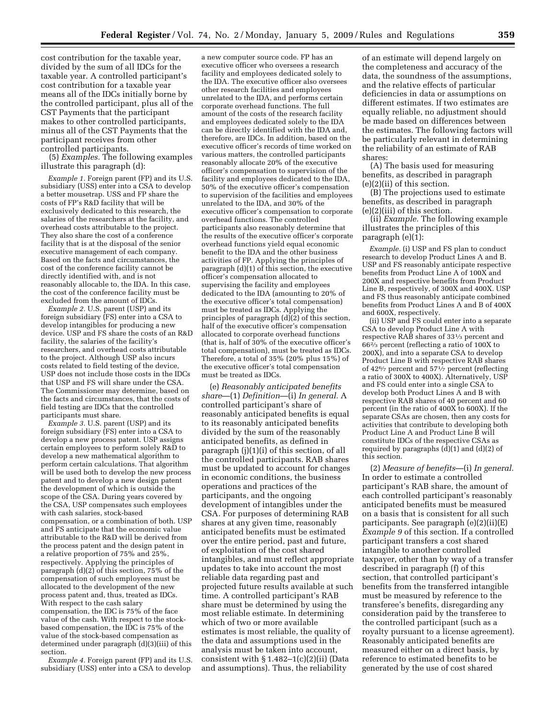cost contribution for the taxable year, divided by the sum of all IDCs for the taxable year. A controlled participant's cost contribution for a taxable year means all of the IDCs initially borne by the controlled participant, plus all of the CST Payments that the participant makes to other controlled participants, minus all of the CST Payments that the participant receives from other controlled participants.

(5) *Examples.* The following examples illustrate this paragraph (d):

*Example 1.* Foreign parent (FP) and its U.S. subsidiary (USS) enter into a CSA to develop a better mousetrap. USS and FP share the costs of FP's R&D facility that will be exclusively dedicated to this research, the salaries of the researchers at the facility, and overhead costs attributable to the project. They also share the cost of a conference facility that is at the disposal of the senior executive management of each company. Based on the facts and circumstances, the cost of the conference facility cannot be directly identified with, and is not reasonably allocable to, the IDA. In this case, the cost of the conference facility must be excluded from the amount of IDCs.

*Example 2.* U.S. parent (USP) and its foreign subsidiary (FS) enter into a CSA to develop intangibles for producing a new device. USP and FS share the costs of an R&D facility, the salaries of the facility's researchers, and overhead costs attributable to the project. Although USP also incurs costs related to field testing of the device, USP does not include those costs in the IDCs that USP and FS will share under the CSA. The Commissioner may determine, based on the facts and circumstances, that the costs of field testing are IDCs that the controlled participants must share.

*Example 3.* U.S. parent (USP) and its foreign subsidiary (FS) enter into a CSA to develop a new process patent. USP assigns certain employees to perform solely R&D to develop a new mathematical algorithm to perform certain calculations. That algorithm will be used both to develop the new process patent and to develop a new design patent the development of which is outside the scope of the CSA. During years covered by the CSA, USP compensates such employees with cash salaries, stock-based compensation, or a combination of both. USP and FS anticipate that the economic value attributable to the R&D will be derived from the process patent and the design patent in a relative proportion of 75% and 25%, respectively. Applying the principles of paragraph (d)(2) of this section, 75% of the compensation of such employees must be allocated to the development of the new process patent and, thus, treated as IDCs. With respect to the cash salary compensation, the IDC is 75% of the face value of the cash. With respect to the stockbased compensation, the IDC is 75% of the value of the stock-based compensation as determined under paragraph (d)(3)(iii) of this section.

*Example 4.* Foreign parent (FP) and its U.S. subsidiary (USS) enter into a CSA to develop

a new computer source code. FP has an executive officer who oversees a research facility and employees dedicated solely to the IDA. The executive officer also oversees other research facilities and employees unrelated to the IDA, and performs certain corporate overhead functions. The full amount of the costs of the research facility and employees dedicated solely to the IDA can be directly identified with the IDA and, therefore, are IDCs. In addition, based on the executive officer's records of time worked on various matters, the controlled participants reasonably allocate 20% of the executive officer's compensation to supervision of the facility and employees dedicated to the IDA, 50% of the executive officer's compensation to supervision of the facilities and employees unrelated to the IDA, and 30% of the executive officer's compensation to corporate overhead functions. The controlled participants also reasonably determine that the results of the executive officer's corporate overhead functions yield equal economic benefit to the IDA and the other business activities of FP. Applying the principles of paragraph (d)(1) of this section, the executive officer's compensation allocated to supervising the facility and employees dedicated to the IDA (amounting to 20% of the executive officer's total compensation) must be treated as IDCs. Applying the principles of paragraph  $(d)(2)$  of this section, half of the executive officer's compensation allocated to corporate overhead functions (that is, half of 30% of the executive officer's total compensation), must be treated as IDCs. Therefore, a total of 35% (20% plus 15%) of the executive officer's total compensation must be treated as IDCs.

(e) *Reasonably anticipated benefits share*—(1) *Definition*—(i) *In general.* A controlled participant's share of reasonably anticipated benefits is equal to its reasonably anticipated benefits divided by the sum of the reasonably anticipated benefits, as defined in paragraph (j)(1)(i) of this section, of all the controlled participants. RAB shares must be updated to account for changes in economic conditions, the business operations and practices of the participants, and the ongoing development of intangibles under the CSA. For purposes of determining RAB shares at any given time, reasonably anticipated benefits must be estimated over the entire period, past and future, of exploitation of the cost shared intangibles, and must reflect appropriate updates to take into account the most reliable data regarding past and projected future results available at such time. A controlled participant's RAB share must be determined by using the most reliable estimate. In determining which of two or more available estimates is most reliable, the quality of the data and assumptions used in the analysis must be taken into account, consistent with  $\S 1.482 - 1(c)(2)(ii)$  (Data and assumptions). Thus, the reliability

of an estimate will depend largely on the completeness and accuracy of the data, the soundness of the assumptions, and the relative effects of particular deficiencies in data or assumptions on different estimates. If two estimates are equally reliable, no adjustment should be made based on differences between the estimates. The following factors will be particularly relevant in determining the reliability of an estimate of RAB shares:

(A) The basis used for measuring benefits, as described in paragraph (e)(2)(ii) of this section.

(B) The projections used to estimate benefits, as described in paragraph (e)(2)(iii) of this section.

(ii) *Example.* The following example illustrates the principles of this paragraph (e)(1):

*Example.* (i) USP and FS plan to conduct research to develop Product Lines A and B. USP and FS reasonably anticipate respective benefits from Product Line A of 100X and 200X and respective benefits from Product Line B, respectively, of 300X and 400X. USP and FS thus reasonably anticipate combined benefits from Product Lines A and B of 400X and 600X, respectively.

(ii) USP and FS could enter into a separate CSA to develop Product Line A with respective RAB shares of 331⁄3 percent and 662⁄3 percent (reflecting a ratio of 100X to 200X), and into a separate CSA to develop Product Line B with respective RAB shares of 42<sup>6</sup>/ $\gamma$  percent and 57<sup>1</sup>/ $\gamma$  percent (reflecting a ratio of 300X to 400X). Alternatively, USP and FS could enter into a single CSA to develop both Product Lines A and B with respective RAB shares of 40 percent and 60 percent (in the ratio of 400X to 600X). If the separate CSAs are chosen, then any costs for activities that contribute to developing both Product Line A and Product Line B will constitute IDCs of the respective CSAs as required by paragraphs (d)(1) and (d)(2) of this section.

(2) *Measure of benefits*—(i) *In general.*  In order to estimate a controlled participant's RAB share, the amount of each controlled participant's reasonably anticipated benefits must be measured on a basis that is consistent for all such participants. See paragraph (e)(2)(ii)(E) *Example 9* of this section. If a controlled participant transfers a cost shared intangible to another controlled taxpayer, other than by way of a transfer described in paragraph (f) of this section, that controlled participant's benefits from the transferred intangible must be measured by reference to the transferee's benefits, disregarding any consideration paid by the transferee to the controlled participant (such as a royalty pursuant to a license agreement). Reasonably anticipated benefits are measured either on a direct basis, by reference to estimated benefits to be generated by the use of cost shared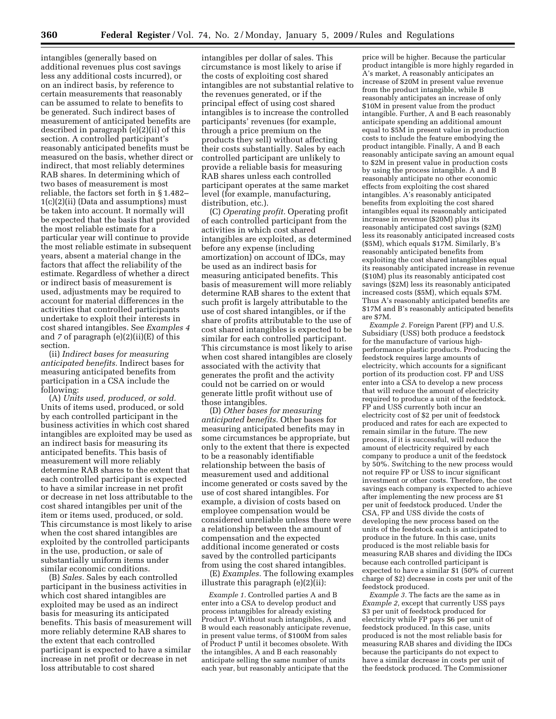intangibles (generally based on additional revenues plus cost savings less any additional costs incurred), or on an indirect basis, by reference to certain measurements that reasonably can be assumed to relate to benefits to be generated. Such indirect bases of measurement of anticipated benefits are described in paragraph (e)(2)(ii) of this section. A controlled participant's reasonably anticipated benefits must be measured on the basis, whether direct or indirect, that most reliably determines RAB shares. In determining which of two bases of measurement is most reliable, the factors set forth in § 1.482–  $1(c)(2)(ii)$  (Data and assumptions) must be taken into account. It normally will be expected that the basis that provided the most reliable estimate for a particular year will continue to provide the most reliable estimate in subsequent years, absent a material change in the factors that affect the reliability of the estimate. Regardless of whether a direct or indirect basis of measurement is used, adjustments may be required to account for material differences in the activities that controlled participants undertake to exploit their interests in cost shared intangibles. See *Examples 4*  and *7* of paragraph (e)(2)(ii)(E) of this section.

(ii) *Indirect bases for measuring anticipated benefits.* Indirect bases for measuring anticipated benefits from participation in a CSA include the following:

(A) *Units used, produced, or sold.*  Units of items used, produced, or sold by each controlled participant in the business activities in which cost shared intangibles are exploited may be used as an indirect basis for measuring its anticipated benefits. This basis of measurement will more reliably determine RAB shares to the extent that each controlled participant is expected to have a similar increase in net profit or decrease in net loss attributable to the cost shared intangibles per unit of the item or items used, produced, or sold. This circumstance is most likely to arise when the cost shared intangibles are exploited by the controlled participants in the use, production, or sale of substantially uniform items under similar economic conditions.

(B) *Sales.* Sales by each controlled participant in the business activities in which cost shared intangibles are exploited may be used as an indirect basis for measuring its anticipated benefits. This basis of measurement will more reliably determine RAB shares to the extent that each controlled participant is expected to have a similar increase in net profit or decrease in net loss attributable to cost shared

intangibles per dollar of sales. This circumstance is most likely to arise if the costs of exploiting cost shared intangibles are not substantial relative to the revenues generated, or if the principal effect of using cost shared intangibles is to increase the controlled participants' revenues (for example, through a price premium on the products they sell) without affecting their costs substantially. Sales by each controlled participant are unlikely to provide a reliable basis for measuring RAB shares unless each controlled participant operates at the same market level (for example, manufacturing, distribution, etc.).

(C) *Operating profit.* Operating profit of each controlled participant from the activities in which cost shared intangibles are exploited, as determined before any expense (including amortization) on account of IDCs, may be used as an indirect basis for measuring anticipated benefits. This basis of measurement will more reliably determine RAB shares to the extent that such profit is largely attributable to the use of cost shared intangibles, or if the share of profits attributable to the use of cost shared intangibles is expected to be similar for each controlled participant. This circumstance is most likely to arise when cost shared intangibles are closely associated with the activity that generates the profit and the activity could not be carried on or would generate little profit without use of those intangibles.

(D) *Other bases for measuring anticipated benefits.* Other bases for measuring anticipated benefits may in some circumstances be appropriate, but only to the extent that there is expected to be a reasonably identifiable relationship between the basis of measurement used and additional income generated or costs saved by the use of cost shared intangibles. For example, a division of costs based on employee compensation would be considered unreliable unless there were a relationship between the amount of compensation and the expected additional income generated or costs saved by the controlled participants from using the cost shared intangibles.

(E) *Examples.* The following examples illustrate this paragraph (e)(2)(ii):

*Example 1.* Controlled parties A and B enter into a CSA to develop product and process intangibles for already existing Product P. Without such intangibles, A and B would each reasonably anticipate revenue, in present value terms, of \$100M from sales of Product P until it becomes obsolete. With the intangibles, A and B each reasonably anticipate selling the same number of units each year, but reasonably anticipate that the

price will be higher. Because the particular product intangible is more highly regarded in A's market, A reasonably anticipates an increase of \$20M in present value revenue from the product intangible, while B reasonably anticipates an increase of only \$10M in present value from the product intangible. Further, A and B each reasonably anticipate spending an additional amount equal to \$5M in present value in production costs to include the feature embodying the product intangible. Finally, A and B each reasonably anticipate saving an amount equal to \$2M in present value in production costs by using the process intangible. A and B reasonably anticipate no other economic effects from exploiting the cost shared intangibles. A's reasonably anticipated benefits from exploiting the cost shared intangibles equal its reasonably anticipated increase in revenue (\$20M) plus its reasonably anticipated cost savings (\$2M) less its reasonably anticipated increased costs (\$5M), which equals \$17M. Similarly, B's reasonably anticipated benefits from exploiting the cost shared intangibles equal its reasonably anticipated increase in revenue (\$10M) plus its reasonably anticipated cost savings (\$2M) less its reasonably anticipated increased costs (\$5M), which equals \$7M. Thus A's reasonably anticipated benefits are \$17M and B's reasonably anticipated benefits are \$7M.

*Example 2.* Foreign Parent (FP) and U.S. Subsidiary (USS) both produce a feedstock for the manufacture of various highperformance plastic products. Producing the feedstock requires large amounts of electricity, which accounts for a significant portion of its production cost. FP and USS enter into a CSA to develop a new process that will reduce the amount of electricity required to produce a unit of the feedstock. FP and USS currently both incur an electricity cost of \$2 per unit of feedstock produced and rates for each are expected to remain similar in the future. The new process, if it is successful, will reduce the amount of electricity required by each company to produce a unit of the feedstock by 50%. Switching to the new process would not require FP or USS to incur significant investment or other costs. Therefore, the cost savings each company is expected to achieve after implementing the new process are \$1 per unit of feedstock produced. Under the CSA, FP and USS divide the costs of developing the new process based on the units of the feedstock each is anticipated to produce in the future. In this case, units produced is the most reliable basis for measuring RAB shares and dividing the IDCs because each controlled participant is expected to have a similar \$1 (50% of current charge of \$2) decrease in costs per unit of the feedstock produced.

*Example 3.* The facts are the same as in *Example 2,* except that currently USS pays \$3 per unit of feedstock produced for electricity while FP pays \$6 per unit of feedstock produced. In this case, units produced is not the most reliable basis for measuring RAB shares and dividing the IDCs because the participants do not expect to have a similar decrease in costs per unit of the feedstock produced. The Commissioner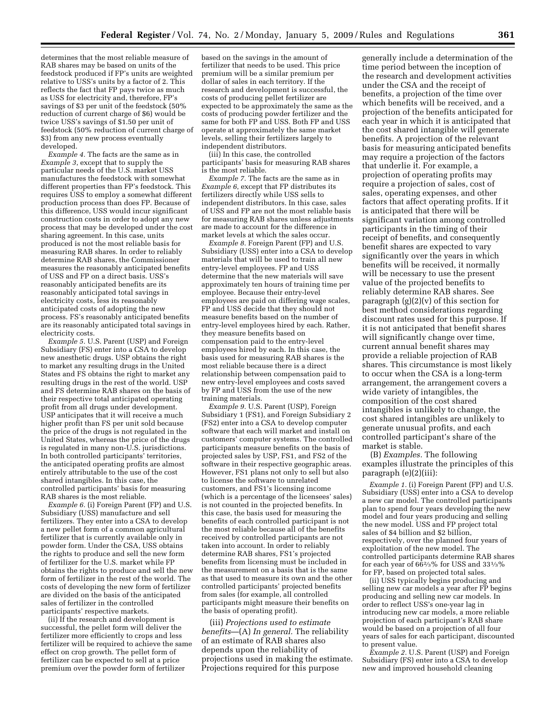determines that the most reliable measure of RAB shares may be based on units of the feedstock produced if FP's units are weighted relative to USS's units by a factor of 2. This reflects the fact that FP pays twice as much as USS for electricity and, therefore, FP's savings of \$3 per unit of the feedstock (50% reduction of current charge of \$6) would be twice USS's savings of \$1.50 per unit of feedstock (50% reduction of current charge of \$3) from any new process eventually developed.

*Example 4.* The facts are the same as in *Example 3*, except that to supply the particular needs of the U.S. market USS manufactures the feedstock with somewhat different properties than FP's feedstock. This requires USS to employ a somewhat different production process than does FP. Because of this difference, USS would incur significant construction costs in order to adopt any new process that may be developed under the cost sharing agreement. In this case, units produced is not the most reliable basis for measuring RAB shares. In order to reliably determine RAB shares, the Commissioner measures the reasonably anticipated benefits of USS and FP on a direct basis. USS's reasonably anticipated benefits are its reasonably anticipated total savings in electricity costs, less its reasonably anticipated costs of adopting the new process. FS's reasonably anticipated benefits are its reasonably anticipated total savings in electricity costs.

*Example 5.* U.S. Parent (USP) and Foreign Subsidiary (FS) enter into a CSA to develop new anesthetic drugs. USP obtains the right to market any resulting drugs in the United States and FS obtains the right to market any resulting drugs in the rest of the world. USP and FS determine RAB shares on the basis of their respective total anticipated operating profit from all drugs under development. USP anticipates that it will receive a much higher profit than FS per unit sold because the price of the drugs is not regulated in the United States, whereas the price of the drugs is regulated in many non-U.S. jurisdictions. In both controlled participants' territories, the anticipated operating profits are almost entirely attributable to the use of the cost shared intangibles. In this case, the controlled participants' basis for measuring RAB shares is the most reliable.

*Example 6.* (i) Foreign Parent (FP) and U.S. Subsidiary (USS) manufacture and sell fertilizers. They enter into a CSA to develop a new pellet form of a common agricultural fertilizer that is currently available only in powder form. Under the CSA, USS obtains the rights to produce and sell the new form of fertilizer for the U.S. market while FP obtains the rights to produce and sell the new form of fertilizer in the rest of the world. The costs of developing the new form of fertilizer are divided on the basis of the anticipated sales of fertilizer in the controlled participants' respective markets.

(ii) If the research and development is successful, the pellet form will deliver the fertilizer more efficiently to crops and less fertilizer will be required to achieve the same effect on crop growth. The pellet form of fertilizer can be expected to sell at a price premium over the powder form of fertilizer

based on the savings in the amount of fertilizer that needs to be used. This price premium will be a similar premium per dollar of sales in each territory. If the research and development is successful, the costs of producing pellet fertilizer are expected to be approximately the same as the costs of producing powder fertilizer and the same for both FP and USS. Both FP and USS operate at approximately the same market levels, selling their fertilizers largely to independent distributors.

(iii) In this case, the controlled participants' basis for measuring RAB shares is the most reliable.

*Example 7.* The facts are the same as in *Example 6*, except that FP distributes its fertilizers directly while USS sells to independent distributors. In this case, sales of USS and FP are not the most reliable basis for measuring RAB shares unless adjustments are made to account for the difference in market levels at which the sales occur.

*Example 8.* Foreign Parent (FP) and U.S. Subsidiary (USS) enter into a CSA to develop materials that will be used to train all new entry-level employees. FP and USS determine that the new materials will save approximately ten hours of training time per employee. Because their entry-level employees are paid on differing wage scales, FP and USS decide that they should not measure benefits based on the number of entry-level employees hired by each. Rather, they measure benefits based on compensation paid to the entry-level employees hired by each. In this case, the basis used for measuring RAB shares is the most reliable because there is a direct relationship between compensation paid to new entry-level employees and costs saved by FP and USS from the use of the new training materials.

*Example 9.* U.S. Parent (USP), Foreign Subsidiary 1 (FS1), and Foreign Subsidiary 2 (FS2) enter into a CSA to develop computer software that each will market and install on customers' computer systems. The controlled participants measure benefits on the basis of projected sales by USP, FS1, and FS2 of the software in their respective geographic areas. However, FS1 plans not only to sell but also to license the software to unrelated customers, and FS1's licensing income (which is a percentage of the licensees' sales) is not counted in the projected benefits. In this case, the basis used for measuring the benefits of each controlled participant is not the most reliable because all of the benefits received by controlled participants are not taken into account. In order to reliably determine RAB shares, FS1's projected benefits from licensing must be included in the measurement on a basis that is the same as that used to measure its own and the other controlled participants' projected benefits from sales (for example, all controlled participants might measure their benefits on the basis of operating profit).

(iii) *Projections used to estimate benefits*—(A) *In general.* The reliability of an estimate of RAB shares also depends upon the reliability of projections used in making the estimate. Projections required for this purpose

generally include a determination of the time period between the inception of the research and development activities under the CSA and the receipt of benefits, a projection of the time over which benefits will be received, and a projection of the benefits anticipated for each year in which it is anticipated that the cost shared intangible will generate benefits. A projection of the relevant basis for measuring anticipated benefits may require a projection of the factors that underlie it. For example, a projection of operating profits may require a projection of sales, cost of sales, operating expenses, and other factors that affect operating profits. If it is anticipated that there will be significant variation among controlled participants in the timing of their receipt of benefits, and consequently benefit shares are expected to vary significantly over the years in which benefits will be received, it normally will be necessary to use the present value of the projected benefits to reliably determine RAB shares. See paragraph (g)(2)(v) of this section for best method considerations regarding discount rates used for this purpose. If it is not anticipated that benefit shares will significantly change over time, current annual benefit shares may provide a reliable projection of RAB shares. This circumstance is most likely to occur when the CSA is a long-term arrangement, the arrangement covers a wide variety of intangibles, the composition of the cost shared intangibles is unlikely to change, the cost shared intangibles are unlikely to generate unusual profits, and each controlled participant's share of the market is stable.

(B) *Examples.* The following examples illustrate the principles of this paragraph (e)(2)(iii):

*Example 1.* (i) Foreign Parent (FP) and U.S. Subsidiary (USS) enter into a CSA to develop a new car model. The controlled participants plan to spend four years developing the new model and four years producing and selling the new model. USS and FP project total sales of \$4 billion and \$2 billion, respectively, over the planned four years of exploitation of the new model. The controlled participants determine RAB shares for each year of 662⁄3% for USS and 331⁄3% for FP, based on projected total sales.

(ii) USS typically begins producing and selling new car models a year after FP begins producing and selling new car models. In order to reflect USS's one-year lag in introducing new car models, a more reliable projection of each participant's RAB share would be based on a projection of all four years of sales for each participant, discounted to present value.

*Example 2.* U.S. Parent (USP) and Foreign Subsidiary (FS) enter into a CSA to develop new and improved household cleaning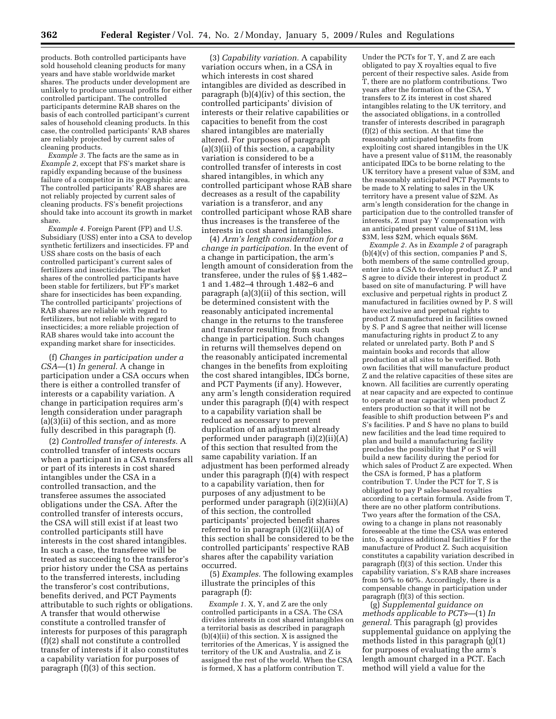products. Both controlled participants have sold household cleaning products for many years and have stable worldwide market shares. The products under development are unlikely to produce unusual profits for either controlled participant. The controlled participants determine RAB shares on the basis of each controlled participant's current sales of household cleaning products. In this case, the controlled participants' RAB shares are reliably projected by current sales of cleaning products.

*Example 3.* The facts are the same as in *Example 2*, except that FS's market share is rapidly expanding because of the business failure of a competitor in its geographic area. The controlled participants' RAB shares are not reliably projected by current sales of cleaning products. FS's benefit projections should take into account its growth in market share.

*Example 4.* Foreign Parent (FP) and U.S. Subsidiary (USS) enter into a CSA to develop synthetic fertilizers and insecticides. FP and USS share costs on the basis of each controlled participant's current sales of fertilizers and insecticides. The market shares of the controlled participants have been stable for fertilizers, but FP's market share for insecticides has been expanding. The controlled participants' projections of RAB shares are reliable with regard to fertilizers, but not reliable with regard to insecticides; a more reliable projection of RAB shares would take into account the expanding market share for insecticides.

(f) *Changes in participation under a CSA*—(1) *In general.* A change in participation under a CSA occurs when there is either a controlled transfer of interests or a capability variation. A change in participation requires arm's length consideration under paragraph (a)(3)(ii) of this section, and as more fully described in this paragraph (f).

(2) *Controlled transfer of interests.* A controlled transfer of interests occurs when a participant in a CSA transfers all or part of its interests in cost shared intangibles under the CSA in a controlled transaction, and the transferee assumes the associated obligations under the CSA. After the controlled transfer of interests occurs, the CSA will still exist if at least two controlled participants still have interests in the cost shared intangibles. In such a case, the transferee will be treated as succeeding to the transferor's prior history under the CSA as pertains to the transferred interests, including the transferor's cost contributions, benefits derived, and PCT Payments attributable to such rights or obligations. A transfer that would otherwise constitute a controlled transfer of interests for purposes of this paragraph (f)(2) shall not constitute a controlled transfer of interests if it also constitutes a capability variation for purposes of paragraph (f)(3) of this section.

(3) *Capability variation.* A capability variation occurs when, in a CSA in which interests in cost shared intangibles are divided as described in paragraph (b)(4)(iv) of this section, the controlled participants' division of interests or their relative capabilities or capacities to benefit from the cost shared intangibles are materially altered. For purposes of paragraph (a)(3)(ii) of this section, a capability variation is considered to be a controlled transfer of interests in cost shared intangibles, in which any controlled participant whose RAB share decreases as a result of the capability variation is a transferor, and any controlled participant whose RAB share thus increases is the transferee of the interests in cost shared intangibles.

(4) *Arm's length consideration for a change in participation.* In the event of a change in participation, the arm's length amount of consideration from the transferee, under the rules of §§ 1.482– 1 and 1.482–4 through 1.482–6 and paragraph (a)(3)(ii) of this section, will be determined consistent with the reasonably anticipated incremental change in the returns to the transferee and transferor resulting from such change in participation. Such changes in returns will themselves depend on the reasonably anticipated incremental changes in the benefits from exploiting the cost shared intangibles, IDCs borne, and PCT Payments (if any). However, any arm's length consideration required under this paragraph (f)(4) with respect to a capability variation shall be reduced as necessary to prevent duplication of an adjustment already performed under paragraph (i)(2)(ii)(A) of this section that resulted from the same capability variation. If an adjustment has been performed already under this paragraph (f)(4) with respect to a capability variation, then for purposes of any adjustment to be performed under paragraph (i)(2)(ii)(A) of this section, the controlled participants' projected benefit shares referred to in paragraph (i)(2)(ii)(A) of this section shall be considered to be the controlled participants' respective RAB shares after the capability variation occurred.

(5) *Examples.* The following examples illustrate the principles of this paragraph (f):

*Example 1.* X, Y, and Z are the only controlled participants in a CSA. The CSA divides interests in cost shared intangibles on a territorial basis as described in paragraph (b)(4)(ii) of this section. X is assigned the territories of the Americas, Y is assigned the territory of the UK and Australia, and Z is assigned the rest of the world. When the CSA is formed, X has a platform contribution T.

Under the PCTs for T, Y, and Z are each obligated to pay X royalties equal to five percent of their respective sales. Aside from T, there are no platform contributions. Two years after the formation of the CSA, Y transfers to Z its interest in cost shared intangibles relating to the UK territory, and the associated obligations, in a controlled transfer of interests described in paragraph (f)(2) of this section. At that time the reasonably anticipated benefits from exploiting cost shared intangibles in the UK have a present value of \$11M, the reasonably anticipated IDCs to be borne relating to the UK territory have a present value of \$3M, and the reasonably anticipated PCT Payments to be made to X relating to sales in the UK territory have a present value of \$2M. As arm's length consideration for the change in participation due to the controlled transfer of interests, Z must pay Y compensation with an anticipated present value of \$11M, less \$3M, less \$2M, which equals \$6M.

*Example 2.* As in *Example 2* of paragraph  $(b)(4)(v)$  of this section, companies P and S, both members of the same controlled group, enter into a CSA to develop product Z. P and S agree to divide their interest in product Z based on site of manufacturing. P will have exclusive and perpetual rights in product Z manufactured in facilities owned by P. S will have exclusive and perpetual rights to product Z manufactured in facilities owned by S. P and S agree that neither will license manufacturing rights in product Z to any related or unrelated party. Both P and S maintain books and records that allow production at all sites to be verified. Both own facilities that will manufacture product Z and the relative capacities of these sites are known. All facilities are currently operating at near capacity and are expected to continue to operate at near capacity when product Z enters production so that it will not be feasible to shift production between P's and S's facilities. P and S have no plans to build new facilities and the lead time required to plan and build a manufacturing facility precludes the possibility that P or S will build a new facility during the period for which sales of Product Z are expected. When the CSA is formed, P has a platform contribution T. Under the PCT for T, S is obligated to pay P sales-based royalties according to a certain formula. Aside from T, there are no other platform contributions. Two years after the formation of the CSA, owing to a change in plans not reasonably foreseeable at the time the CSA was entered into, S acquires additional facilities F for the manufacture of Product Z. Such acquisition constitutes a capability variation described in paragraph (f)(3) of this section. Under this capability variation, S's RAB share increases from 50% to 60%. Accordingly, there is a compensable change in participation under paragraph (f)(3) of this section.

(g) *Supplemental guidance on methods applicable to PCTs*—(1) *In general.* This paragraph (g) provides supplemental guidance on applying the methods listed in this paragraph (g)(1) for purposes of evaluating the arm's length amount charged in a PCT. Each method will yield a value for the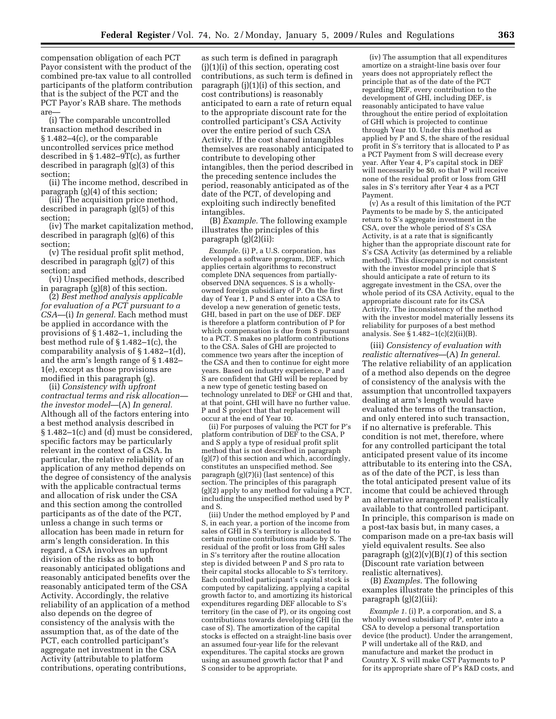compensation obligation of each PCT Payor consistent with the product of the combined pre-tax value to all controlled participants of the platform contribution that is the subject of the PCT and the PCT Payor's RAB share. The methods are—

(i) The comparable uncontrolled transaction method described in § 1.482–4(c), or the comparable uncontrolled services price method described in  $\S 1.482 - 9T(c)$ , as further described in paragraph (g)(3) of this section;

(ii) The income method, described in paragraph (g)(4) of this section;

(iii) The acquisition price method, described in paragraph (g)(5) of this section;

(iv) The market capitalization method, described in paragraph (g)(6) of this section;

(v) The residual profit split method, described in paragraph (g)(7) of this section; and

(vi) Unspecified methods, described in paragraph (g)(8) of this section.

(2) *Best method analysis applicable for evaluation of a PCT pursuant to a CSA*—(i) *In general.* Each method must be applied in accordance with the provisions of § 1.482–1, including the best method rule of § 1.482–1(c), the comparability analysis of § 1.482–1(d), and the arm's length range of § 1.482– 1(e), except as those provisions are modified in this paragraph (g).

(ii) *Consistency with upfront contractual terms and risk allocation the investor model*—(A) *In general.*  Although all of the factors entering into a best method analysis described in § 1.482–1(c) and (d) must be considered, specific factors may be particularly relevant in the context of a CSA. In particular, the relative reliability of an application of any method depends on the degree of consistency of the analysis with the applicable contractual terms and allocation of risk under the CSA and this section among the controlled participants as of the date of the PCT, unless a change in such terms or allocation has been made in return for arm's length consideration. In this regard, a CSA involves an upfront division of the risks as to both reasonably anticipated obligations and reasonably anticipated benefits over the reasonably anticipated term of the CSA Activity. Accordingly, the relative reliability of an application of a method also depends on the degree of consistency of the analysis with the assumption that, as of the date of the PCT, each controlled participant's aggregate net investment in the CSA Activity (attributable to platform contributions, operating contributions,

as such term is defined in paragraph (j)(1)(i) of this section, operating cost contributions, as such term is defined in paragraph (j)(1)(i) of this section, and cost contributions) is reasonably anticipated to earn a rate of return equal to the appropriate discount rate for the controlled participant's CSA Activity over the entire period of such CSA Activity. If the cost shared intangibles themselves are reasonably anticipated to contribute to developing other intangibles, then the period described in the preceding sentence includes the period, reasonably anticipated as of the date of the PCT, of developing and exploiting such indirectly benefited intangibles.

(B) *Example.* The following example illustrates the principles of this paragraph (g)(2)(ii):

*Example.* (i) P, a U.S. corporation, has developed a software program, DEF, which applies certain algorithms to reconstruct complete DNA sequences from partiallyobserved DNA sequences. S is a whollyowned foreign subsidiary of P. On the first day of Year 1, P and S enter into a CSA to develop a new generation of genetic tests, GHI, based in part on the use of DEF. DEF is therefore a platform contribution of P for which compensation is due from S pursuant to a PCT. S makes no platform contributions to the CSA. Sales of GHI are projected to commence two years after the inception of the CSA and then to continue for eight more years. Based on industry experience, P and S are confident that GHI will be replaced by a new type of genetic testing based on technology unrelated to DEF or GHI and that, at that point, GHI will have no further value. P and S project that that replacement will occur at the end of Year 10.

(ii) For purposes of valuing the PCT for P's platform contribution of DEF to the CSA, P and S apply a type of residual profit split method that is not described in paragraph (g)(7) of this section and which, accordingly, constitutes an unspecified method. See paragraph (g)(7)(i) (last sentence) of this section. The principles of this paragraph (g)(2) apply to any method for valuing a PCT, including the unspecified method used by P and S.

(iii) Under the method employed by P and S, in each year, a portion of the income from sales of GHI in S's territory is allocated to certain routine contributions made by S. The residual of the profit or loss from GHI sales in S's territory after the routine allocation step is divided between P and S pro rata to their capital stocks allocable to S's territory. Each controlled participant's capital stock is computed by capitalizing, applying a capital growth factor to, and amortizing its historical expenditures regarding DEF allocable to S's territory (in the case of P), or its ongoing cost contributions towards developing GHI (in the case of S). The amortization of the capital stocks is effected on a straight-line basis over an assumed four-year life for the relevant expenditures. The capital stocks are grown using an assumed growth factor that P and S consider to be appropriate.

(iv) The assumption that all expenditures amortize on a straight-line basis over four years does not appropriately reflect the principle that as of the date of the PCT regarding DEF, every contribution to the development of GHI, including DEF, is reasonably anticipated to have value throughout the entire period of exploitation of GHI which is projected to continue through Year 10. Under this method as applied by P and S, the share of the residual profit in S's territory that is allocated to P as a PCT Payment from S will decrease every year. After Year 4, P's capital stock in DEF will necessarily be \$0, so that P will receive none of the residual profit or loss from GHI sales in S's territory after Year 4 as a PCT Payment.

(v) As a result of this limitation of the PCT Payments to be made by S, the anticipated return to S's aggregate investment in the CSA, over the whole period of S's CSA Activity, is at a rate that is significantly higher than the appropriate discount rate for S's CSA Activity (as determined by a reliable method). This discrepancy is not consistent with the investor model principle that S should anticipate a rate of return to its aggregate investment in the CSA, over the whole period of its CSA Activity, equal to the appropriate discount rate for its CSA Activity. The inconsistency of the method with the investor model materially lessens its reliability for purposes of a best method analysis. See § 1.482–1(c)(2)(ii)(B).

(iii) *Consistency of evaluation with realistic alternatives*—(A) *In general*. The relative reliability of an application of a method also depends on the degree of consistency of the analysis with the assumption that uncontrolled taxpayers dealing at arm's length would have evaluated the terms of the transaction, and only entered into such transaction, if no alternative is preferable. This condition is not met, therefore, where for any controlled participant the total anticipated present value of its income attributable to its entering into the CSA, as of the date of the PCT, is less than the total anticipated present value of its income that could be achieved through an alternative arrangement realistically available to that controlled participant. In principle, this comparison is made on a post-tax basis but, in many cases, a comparison made on a pre-tax basis will yield equivalent results. See also paragraph (g)(2)(v)(B)(*1*) of this section (Discount rate variation between realistic alternatives).

(B) *Examples*. The following examples illustrate the principles of this paragraph (g)(2)(iii):

*Example 1.* (i) P, a corporation, and S, a wholly owned subsidiary of P, enter into a CSA to develop a personal transportation device (the product). Under the arrangement, P will undertake all of the R&D, and manufacture and market the product in Country X. S will make CST Payments to P for its appropriate share of P's R&D costs, and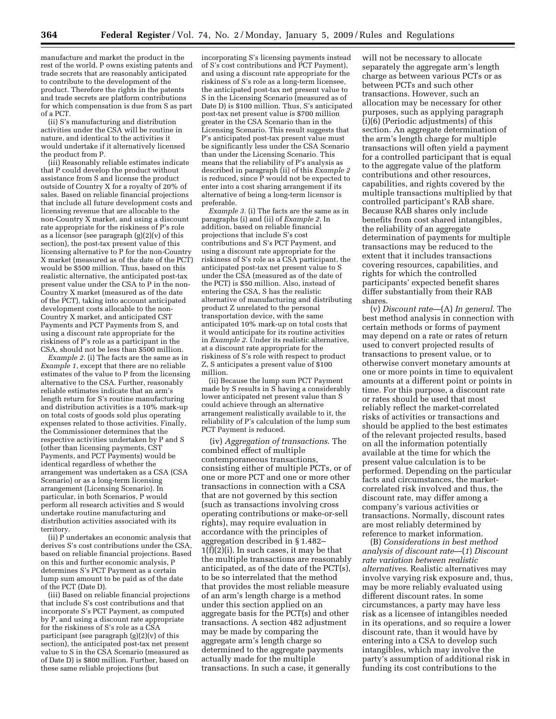manufacture and market the product in the rest of the world. P owns existing patents and trade secrets that are reasonably anticipated to contribute to the development of the product. Therefore the rights in the patents and trade secrets are platform contributions for which compensation is due from S as part of a PCT.

(ii) S's manufacturing and distribution activities under the CSA will be routine in nature, and identical to the activities it would undertake if it alternatively licensed the product from P.

(iii) Reasonably reliable estimates indicate that P could develop the product without assistance from S and license the product outside of Country X for a royalty of 20% of sales. Based on reliable financial projections that include all future development costs and licensing revenue that are allocable to the non-Country X market, and using a discount rate appropriate for the riskiness of P's role as a licensor (see paragraph  $(g)(2)(v)$  of this section), the post-tax present value of this licensing alternative to P for the non-Country X market (measured as of the date of the PCT) would be \$500 million. Thus, based on this realistic alternative, the anticipated post-tax present value under the CSA to P in the non-Country X market (measured as of the date of the PCT), taking into account anticipated development costs allocable to the non-Country X market, and anticipated CST Payments and PCT Payments from S, and using a discount rate appropriate for the riskiness of P's role as a participant in the CSA, should not be less than \$500 million.

*Example 2.* (i) The facts are the same as in *Example 1*, except that there are no reliable estimates of the value to P from the licensing alternative to the CSA. Further, reasonably reliable estimates indicate that an arm's length return for S's routine manufacturing and distribution activities is a 10% mark-up on total costs of goods sold plus operating expenses related to those activities. Finally, the Commissioner determines that the respective activities undertaken by P and S (other than licensing payments, CST Payments, and PCT Payments) would be identical regardless of whether the arrangement was undertaken as a CSA (CSA Scenario) or as a long-term licensing arrangement (Licensing Scenario). In particular, in both Scenarios, P would perform all research activities and S would undertake routine manufacturing and distribution activities associated with its territory.

(ii) P undertakes an economic analysis that derives S's cost contributions under the CSA, based on reliable financial projections. Based on this and further economic analysis, P determines S's PCT Payment as a certain lump sum amount to be paid as of the date of the PCT (Date D).

(iii) Based on reliable financial projections that include S's cost contributions and that incorporate S's PCT Payment, as computed by P, and using a discount rate appropriate for the riskiness of S's role as a CSA participant (see paragraph (g)(2)(v) of this section), the anticipated post-tax net present value to S in the CSA Scenario (measured as of Date D) is \$800 million. Further, based on these same reliable projections (but

incorporating S's licensing payments instead of S's cost contributions and PCT Payment), and using a discount rate appropriate for the riskiness of S's role as a long-term licensee, the anticipated post-tax net present value to S in the Licensing Scenario (measured as of Date D) is \$100 million. Thus, S's anticipated post-tax net present value is \$700 million greater in the CSA Scenario than in the Licensing Scenario. This result suggests that P's anticipated post-tax present value must be significantly less under the CSA Scenario than under the Licensing Scenario. This means that the reliability of P's analysis as described in paragraph (ii) of this *Example 2*  is reduced, since P would not be expected to enter into a cost sharing arrangement if its alternative of being a long-term licensor is preferable.

*Example 3.* (i) The facts are the same as in paragraphs (i) and (ii) of *Example 2*. In addition, based on reliable financial projections that include S's cost contributions and S's PCT Payment, and using a discount rate appropriate for the riskiness of S's role as a CSA participant, the anticipated post-tax net present value to S under the CSA (measured as of the date of the PCT) is \$50 million. Also, instead of entering the CSA, S has the realistic alternative of manufacturing and distributing product Z unrelated to the personal transportation device, with the same anticipated 10% mark-up on total costs that it would anticipate for its routine activities in *Example 2*. Under its realistic alternative, at a discount rate appropriate for the riskiness of S's role with respect to product Z, S anticipates a present value of \$100 million.

(ii) Because the lump sum PCT Payment made by S results in S having a considerably lower anticipated net present value than S could achieve through an alternative arrangement realistically available to it, the reliability of P's calculation of the lump sum PCT Payment is reduced.

(iv) *Aggregation of transactions*. The combined effect of multiple contemporaneous transactions, consisting either of multiple PCTs, or of one or more PCT and one or more other transactions in connection with a CSA that are not governed by this section (such as transactions involving cross operating contributions or make-or-sell rights), may require evaluation in accordance with the principles of aggregation described in § 1.482– 1(f)(2)(i). In such cases, it may be that the multiple transactions are reasonably anticipated, as of the date of the PCT(s), to be so interrelated that the method that provides the most reliable measure of an arm's length charge is a method under this section applied on an aggregate basis for the PCT(s) and other transactions. A section 482 adjustment may be made by comparing the aggregate arm's length charge so determined to the aggregate payments actually made for the multiple transactions. In such a case, it generally

will not be necessary to allocate separately the aggregate arm's length charge as between various PCTs or as between PCTs and such other transactions. However, such an allocation may be necessary for other purposes, such as applying paragraph (i)(6) (Periodic adjustments) of this section. An aggregate determination of the arm's length charge for multiple transactions will often yield a payment for a controlled participant that is equal to the aggregate value of the platform contributions and other resources, capabilities, and rights covered by the multiple transactions multiplied by that controlled participant's RAB share. Because RAB shares only include benefits from cost shared intangibles, the reliability of an aggregate determination of payments for multiple transactions may be reduced to the extent that it includes transactions covering resources, capabilities, and rights for which the controlled participants' expected benefit shares differ substantially from their RAB shares.

(v) *Discount rate*—(A) *In general*. The best method analysis in connection with certain methods or forms of payment may depend on a rate or rates of return used to convert projected results of transactions to present value, or to otherwise convert monetary amounts at one or more points in time to equivalent amounts at a different point or points in time. For this purpose, a discount rate or rates should be used that most reliably reflect the market-correlated risks of activities or transactions and should be applied to the best estimates of the relevant projected results, based on all the information potentially available at the time for which the present value calculation is to be performed. Depending on the particular facts and circumstances, the marketcorrelated risk involved and thus, the discount rate, may differ among a company's various activities or transactions. Normally, discount rates are most reliably determined by reference to market information.

(B) *Considerations in best method analysis of discount rate*—(*1*) *Discount rate variation between realistic alternatives*. Realistic alternatives may involve varying risk exposure and, thus, may be more reliably evaluated using different discount rates. In some circumstances, a party may have less risk as a licensee of intangibles needed in its operations, and so require a lower discount rate, than it would have by entering into a CSA to develop such intangibles, which may involve the party's assumption of additional risk in funding its cost contributions to the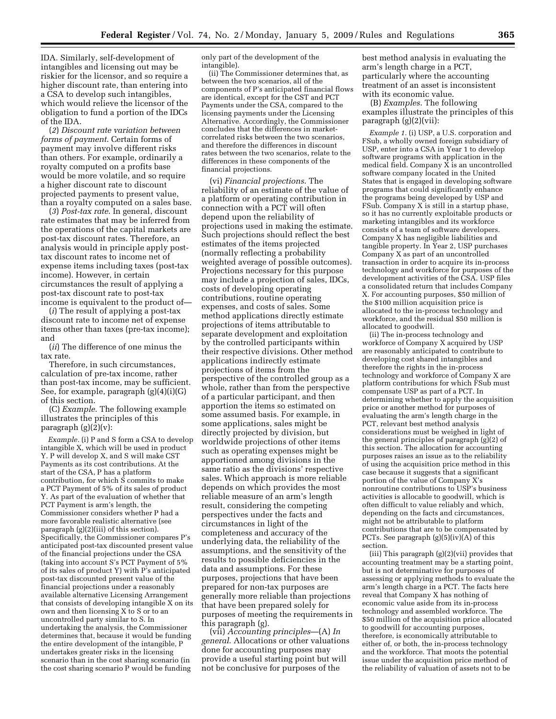IDA. Similarly, self-development of intangibles and licensing out may be riskier for the licensor, and so require a higher discount rate, than entering into a CSA to develop such intangibles, which would relieve the licensor of the obligation to fund a portion of the IDCs of the IDA.

(*2*) *Discount rate variation between forms of payment*. Certain forms of payment may involve different risks than others. For example, ordinarily a royalty computed on a profits base would be more volatile, and so require a higher discount rate to discount projected payments to present value, than a royalty computed on a sales base.

(*3*) *Post-tax rate*. In general, discount rate estimates that may be inferred from the operations of the capital markets are post-tax discount rates. Therefore, an analysis would in principle apply posttax discount rates to income net of expense items including taxes (post-tax income). However, in certain circumstances the result of applying a post-tax discount rate to post-tax income is equivalent to the product of—

(*i*) The result of applying a post-tax discount rate to income net of expense items other than taxes (pre-tax income); and

(*ii*) The difference of one minus the tax rate.

Therefore, in such circumstances, calculation of pre-tax income, rather than post-tax income, may be sufficient. See, for example, paragraph (g)(4)(i)(G) of this section.

(C) *Example*. The following example illustrates the principles of this paragraph  $(g)(2)(v)$ :

*Example.* (i) P and S form a CSA to develop intangible X, which will be used in product Y. P will develop X, and S will make CST Payments as its cost contributions. At the start of the CSA, P has a platform contribution, for which  $\bar{S}$  commits to make a PCT Payment of 5% of its sales of product Y. As part of the evaluation of whether that PCT Payment is arm's length, the Commissioner considers whether P had a more favorable realistic alternative (see paragraph (g)(2)(iii) of this section). Specifically, the Commissioner compares P's anticipated post-tax discounted present value of the financial projections under the CSA (taking into account S's PCT Payment of 5% of its sales of product Y) with P's anticipated post-tax discounted present value of the financial projections under a reasonably available alternative Licensing Arrangement that consists of developing intangible X on its own and then licensing X to S or to an uncontrolled party similar to S. In undertaking the analysis, the Commissioner determines that, because it would be funding the entire development of the intangible, P undertakes greater risks in the licensing scenario than in the cost sharing scenario (in the cost sharing scenario P would be funding

only part of the development of the intangible).

(ii) The Commissioner determines that, as between the two scenarios, all of the components of P's anticipated financial flows are identical, except for the CST and PCT Payments under the CSA, compared to the licensing payments under the Licensing Alternative. Accordingly, the Commissioner concludes that the differences in marketcorrelated risks between the two scenarios, and therefore the differences in discount rates between the two scenarios, relate to the differences in these components of the financial projections.

(vi) *Financial projections*. The reliability of an estimate of the value of a platform or operating contribution in connection with a PCT will often depend upon the reliability of projections used in making the estimate. Such projections should reflect the best estimates of the items projected (normally reflecting a probability weighted average of possible outcomes). Projections necessary for this purpose may include a projection of sales, IDCs, costs of developing operating contributions, routine operating expenses, and costs of sales. Some method applications directly estimate projections of items attributable to separate development and exploitation by the controlled participants within their respective divisions. Other method applications indirectly estimate projections of items from the perspective of the controlled group as a whole, rather than from the perspective of a particular participant, and then apportion the items so estimated on some assumed basis. For example, in some applications, sales might be directly projected by division, but worldwide projections of other items such as operating expenses might be apportioned among divisions in the same ratio as the divisions' respective sales. Which approach is more reliable depends on which provides the most reliable measure of an arm's length result, considering the competing perspectives under the facts and circumstances in light of the completeness and accuracy of the underlying data, the reliability of the assumptions, and the sensitivity of the results to possible deficiencies in the data and assumptions. For these purposes, projections that have been prepared for non-tax purposes are generally more reliable than projections that have been prepared solely for purposes of meeting the requirements in this paragraph (g).

(vii) *Accounting principles*—(A) *In general*. Allocations or other valuations done for accounting purposes may provide a useful starting point but will not be conclusive for purposes of the

best method analysis in evaluating the arm's length charge in a PCT, particularly where the accounting treatment of an asset is inconsistent with its economic value.

(B) *Examples*. The following examples illustrate the principles of this paragraph (g)(2)(vii):

*Example 1.* (i) USP, a U.S. corporation and FSub, a wholly owned foreign subsidiary of USP, enter into a CSA in Year 1 to develop software programs with application in the medical field. Company  $\hat{X}$  is an uncontrolled software company located in the United States that is engaged in developing software programs that could significantly enhance the programs being developed by USP and FSub. Company X is still in a startup phase, so it has no currently exploitable products or marketing intangibles and its workforce consists of a team of software developers. Company X has negligible liabilities and tangible property. In Year 2, USP purchases Company X as part of an uncontrolled transaction in order to acquire its in-process technology and workforce for purposes of the development activities of the CSA. USP files a consolidated return that includes Company X. For accounting purposes, \$50 million of the \$100 million acquisition price is allocated to the in-process technology and workforce, and the residual \$50 million is allocated to goodwill.

(ii) The in-process technology and workforce of Company X acquired by USP are reasonably anticipated to contribute to developing cost shared intangibles and therefore the rights in the in-process technology and workforce of Company X are platform contributions for which FSub must compensate USP as part of a PCT. In determining whether to apply the acquisition price or another method for purposes of evaluating the arm's length charge in the PCT, relevant best method analysis considerations must be weighed in light of the general principles of paragraph (g)(2) of this section. The allocation for accounting purposes raises an issue as to the reliability of using the acquisition price method in this case because it suggests that a significant portion of the value of Company X's nonroutine contributions to USP's business activities is allocable to goodwill, which is often difficult to value reliably and which, depending on the facts and circumstances, might not be attributable to platform contributions that are to be compensated by PCTs. See paragraph (g)(5)(iv)(A) of this section.

(iii) This paragraph (g)(2)(vii) provides that accounting treatment may be a starting point, but is not determinative for purposes of assessing or applying methods to evaluate the arm's length charge in a PCT. The facts here reveal that Company X has nothing of economic value aside from its in-process technology and assembled workforce. The \$50 million of the acquisition price allocated to goodwill for accounting purposes, therefore, is economically attributable to either of, or both, the in-process technology and the workforce. That moots the potential issue under the acquisition price method of the reliability of valuation of assets not to be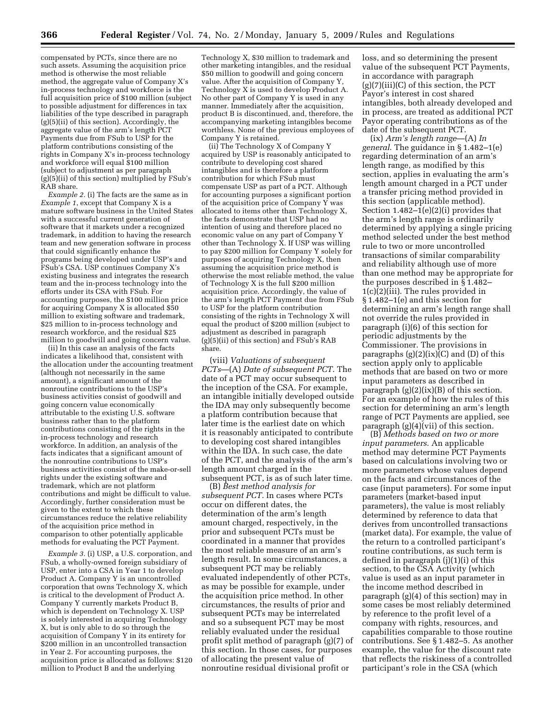compensated by PCTs, since there are no such assets. Assuming the acquisition price method is otherwise the most reliable method, the aggregate value of Company X's in-process technology and workforce is the full acquisition price of \$100 million (subject to possible adjustment for differences in tax liabilities of the type described in paragraph (g)(5)(ii) of this section). Accordingly, the aggregate value of the arm's length PCT Payments due from FSub to USP for the platform contributions consisting of the rights in Company X's in-process technology and workforce will equal \$100 million (subject to adjustment as per paragraph  $(g)(5)(ii)$  of this section) multiplied by FSub's RAB share.

*Example 2.* (i) The facts are the same as in *Example 1*, except that Company X is a mature software business in the United States with a successful current generation of software that it markets under a recognized trademark, in addition to having the research team and new generation software in process that could significantly enhance the programs being developed under USP's and FSub's CSA. USP continues Company X's existing business and integrates the research team and the in-process technology into the efforts under its CSA with FSub. For accounting purposes, the \$100 million price for acquiring Company X is allocated \$50 million to existing software and trademark, \$25 million to in-process technology and research workforce, and the residual \$25 million to goodwill and going concern value.

(ii) In this case an analysis of the facts indicates a likelihood that, consistent with the allocation under the accounting treatment (although not necessarily in the same amount), a significant amount of the nonroutine contributions to the USP's business activities consist of goodwill and going concern value economically attributable to the existing U.S. software business rather than to the platform contributions consisting of the rights in the in-process technology and research workforce. In addition, an analysis of the facts indicates that a significant amount of the nonroutine contributions to USP's business activities consist of the make-or-sell rights under the existing software and trademark, which are not platform contributions and might be difficult to value. Accordingly, further consideration must be given to the extent to which these circumstances reduce the relative reliability of the acquisition price method in comparison to other potentially applicable methods for evaluating the PCT Payment.

*Example 3.* (i) USP, a U.S. corporation, and FSub, a wholly-owned foreign subsidiary of USP, enter into a CSA in Year 1 to develop Product A. Company Y is an uncontrolled corporation that owns Technology X, which is critical to the development of Product A. Company Y currently markets Product B, which is dependent on Technology X. USP is solely interested in acquiring Technology X, but is only able to do so through the acquisition of Company Y in its entirety for \$200 million in an uncontrolled transaction in Year 2. For accounting purposes, the acquisition price is allocated as follows: \$120 million to Product B and the underlying

Technology X, \$30 million to trademark and other marketing intangibles, and the residual \$50 million to goodwill and going concern value. After the acquisition of Company Y, Technology X is used to develop Product A. No other part of Company Y is used in any manner. Immediately after the acquisition, product B is discontinued, and, therefore, the accompanying marketing intangibles become worthless. None of the previous employees of Company Y is retained.

(ii) The Technology X of Company Y acquired by USP is reasonably anticipated to contribute to developing cost shared intangibles and is therefore a platform contribution for which FSub must compensate USP as part of a PCT. Although for accounting purposes a significant portion of the acquisition price of Company  $\overline{Y}$  was allocated to items other than Technology X, the facts demonstrate that USP had no intention of using and therefore placed no economic value on any part of Company Y other than Technology  $\tilde{X}$ . If USP was willing to pay \$200 million for Company Y solely for purposes of acquiring Technology X, then assuming the acquisition price method is otherwise the most reliable method, the value of Technology X is the full \$200 million acquisition price. Accordingly, the value of the arm's length PCT Payment due from FSub to USP for the platform contribution consisting of the rights in Technology X will equal the product of \$200 million (subject to adjustment as described in paragraph  $(g)(5)(ii)$  of this section) and FSub's RAB share.

(viii) *Valuations of subsequent PCTs*—(A) *Date of subsequent PCT*. The date of a PCT may occur subsequent to the inception of the CSA. For example, an intangible initially developed outside the IDA may only subsequently become a platform contribution because that later time is the earliest date on which it is reasonably anticipated to contribute to developing cost shared intangibles within the IDA. In such case, the date of the PCT, and the analysis of the arm's length amount charged in the subsequent PCT, is as of such later time.

(B) *Best method analysis for subsequent PCT*. In cases where PCTs occur on different dates, the determination of the arm's length amount charged, respectively, in the prior and subsequent PCTs must be coordinated in a manner that provides the most reliable measure of an arm's length result. In some circumstances, a subsequent PCT may be reliably evaluated independently of other PCTs, as may be possible for example, under the acquisition price method. In other circumstances, the results of prior and subsequent PCTs may be interrelated and so a subsequent PCT may be most reliably evaluated under the residual profit split method of paragraph (g)(7) of this section. In those cases, for purposes of allocating the present value of nonroutine residual divisional profit or

loss, and so determining the present value of the subsequent PCT Payments, in accordance with paragraph  $(g)(7)(iii)(C)$  of this section, the PCT Payor's interest in cost shared intangibles, both already developed and in process, are treated as additional PCT Payor operating contributions as of the date of the subsequent PCT.

(ix) *Arm's length range*—(A) *In general*. The guidance in § 1.482–1(e) regarding determination of an arm's length range, as modified by this section, applies in evaluating the arm's length amount charged in a PCT under a transfer pricing method provided in this section (applicable method). Section  $1.482-1(e)(2)(i)$  provides that the arm's length range is ordinarily determined by applying a single pricing method selected under the best method rule to two or more uncontrolled transactions of similar comparability and reliability although use of more than one method may be appropriate for the purposes described in § 1.482– 1(c)(2)(iii). The rules provided in § 1.482–1(e) and this section for determining an arm's length range shall not override the rules provided in paragraph (i)(6) of this section for periodic adjustments by the Commissioner. The provisions in paragraphs  $(g)(2)(ix)(C)$  and  $(D)$  of this section apply only to applicable methods that are based on two or more input parameters as described in paragraph  $(g)(2)(ix)(B)$  of this section. For an example of how the rules of this section for determining an arm's length range of PCT Payments are applied, see paragraph (g)(4)(vii) of this section.

(B) *Methods based on two or more input parameters*. An applicable method may determine PCT Payments based on calculations involving two or more parameters whose values depend on the facts and circumstances of the case (input parameters). For some input parameters (market-based input parameters), the value is most reliably determined by reference to data that derives from uncontrolled transactions (market data). For example, the value of the return to a controlled participant's routine contributions, as such term is defined in paragraph (j)(1)(i) of this section, to the CSA Activity (which value is used as an input parameter in the income method described in paragraph (g)(4) of this section) may in some cases be most reliably determined by reference to the profit level of a company with rights, resources, and capabilities comparable to those routine contributions. See § 1.482–5. As another example, the value for the discount rate that reflects the riskiness of a controlled participant's role in the CSA (which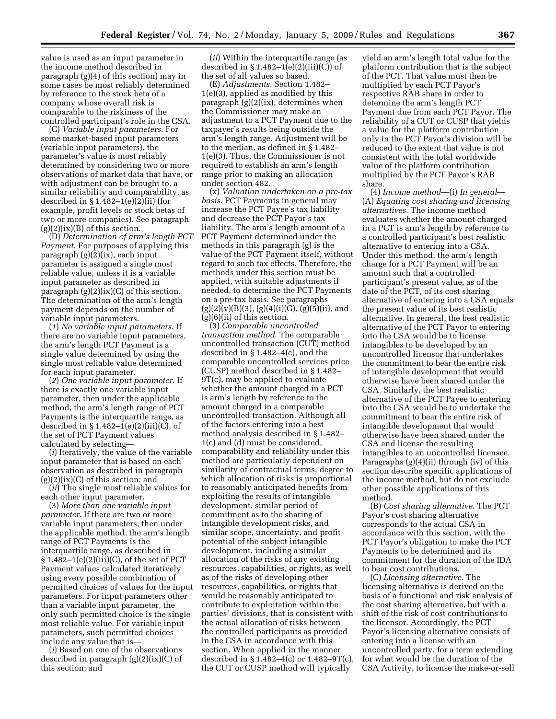value is used as an input parameter in the income method described in paragraph (g)(4) of this section) may in some cases be most reliably determined by reference to the stock beta of a company whose overall risk is comparable to the riskiness of the controlled participant's role in the CSA.

(C) *Variable input parameters*. For some market-based input parameters (variable input parameters), the parameter's value is most reliably determined by considering two or more observations of market data that have, or with adjustment can be brought to, a similar reliability and comparability, as described in  $\S 1.482-1(e)(2)(ii)$  (for example, profit levels or stock betas of two or more companies). See paragraph  $(g)(2)(ix)(B)$  of this section.

(D) *Determination of arm's length PCT Payment*. For purposes of applying this paragraph (g)(2)(ix), each input parameter is assigned a single most reliable value, unless it is a variable input parameter as described in paragraph (g)(2)(ix)(C) of this section. The determination of the arm's length payment depends on the number of variable input parameters.

(*1*) *No variable input parameters*. If there are no variable input parameters, the arm's length PCT Payment is a single value determined by using the single most reliable value determined for each input parameter.

(*2*) *One variable input parameter*. If there is exactly one variable input parameter, then under the applicable method, the arm's length range of PCT Payments is the interquartile range, as described in  $\S 1.482-1(e)(2)(iii)(C)$ , of the set of PCT Payment values calculated by selecting—

(*i*) Iteratively, the value of the variable input parameter that is based on each observation as described in paragraph  $(g)(2)(ix)(C)$  of this section; and

(*ii*) The single most reliable values for each other input parameter.

(3) *More than one variable input parameter*. If there are two or more variable input parameters, then under the applicable method, the arm's length range of PCT Payments is the interquartile range, as described in § 1.482–1(e)(2)(iii)(C), of the set of PCT Payment values calculated iteratively using every possible combination of permitted choices of values for the input parameters. For input parameters other than a variable input parameter, the only such permitted choice is the single most reliable value. For variable input parameters, such permitted choices include any value that is—

(*i*) Based on one of the observations described in paragraph (g)(2)(ix)(C) of this section; and

(*ii*) Within the interquartile range (as described in  $\S 1.482-1(e)(2)(iii)(C)$  of the set of all values so based.

(E) *Adjustments*. Section 1.482– 1(e)(3), applied as modified by this paragraph (g)(2)(ix), determines when the Commissioner may make an adjustment to a PCT Payment due to the taxpayer's results being outside the arm's length range. Adjustment will be to the median, as defined in § 1.482– 1(e)(3). Thus, the Commissioner is not required to establish an arm's length range prior to making an allocation under section 482.

(x) *Valuation undertaken on a pre-tax basis*. PCT Payments in general may increase the PCT Payee's tax liability and decrease the PCT Payor's tax liability. The arm's length amount of a PCT Payment determined under the methods in this paragraph (g) is the value of the PCT Payment itself, without regard to such tax effects. Therefore, the methods under this section must be applied, with suitable adjustments if needed, to determine the PCT Payments on a pre-tax basis. See paragraphs  $(g)(2)(v)(B)(3), (g)(4)(i)(G), (g)(5)(ii), and$  $(g)(6)(ii)$  of this section.

(3) *Comparable uncontrolled transaction method*. The comparable uncontrolled transaction (CUT) method described in § 1.482–4(c), and the comparable uncontrolled services price (CUSP) method described in § 1.482– 9T(c), may be applied to evaluate whether the amount charged in a PCT is arm's length by reference to the amount charged in a comparable uncontrolled transaction. Although all of the factors entering into a best method analysis described in § 1.482– 1(c) and (d) must be considered, comparability and reliability under this method are particularly dependent on similarity of contractual terms, degree to which allocation of risks is proportional to reasonably anticipated benefits from exploiting the results of intangible development, similar period of commitment as to the sharing of intangible development risks, and similar scope, uncertainty, and profit potential of the subject intangible development, including a similar allocation of the risks of any existing resources, capabilities, or rights, as well as of the risks of developing other resources, capabilities, or rights that would be reasonably anticipated to contribute to exploitation within the parties' divisions, that is consistent with the actual allocation of risks between the controlled participants as provided in the CSA in accordance with this section. When applied in the manner described in § 1.482–4(c) or 1.482–9T(c), the CUT or CUSP method will typically

yield an arm's length total value for the platform contribution that is the subject of the PCT. That value must then be multiplied by each PCT Payor's respective RAB share in order to determine the arm's length PCT Payment due from each PCT Payor. The reliability of a CUT or CUSP that yields a value for the platform contribution only in the PCT Payor's division will be reduced to the extent that value is not consistent with the total worldwide value of the platform contribution multiplied by the PCT Payor's RAB share.

(4) *Income method*—(i) *In general*— (A) *Equating cost sharing and licensing alternatives*. The income method evaluates whether the amount charged in a PCT is arm's length by reference to a controlled participant's best realistic alternative to entering into a CSA. Under this method, the arm's length charge for a PCT Payment will be an amount such that a controlled participant's present value, as of the date of the PCT, of its cost sharing alternative of entering into a CSA equals the present value of its best realistic alternative. In general, the best realistic alternative of the PCT Payor to entering into the CSA would be to license intangibles to be developed by an uncontrolled licensor that undertakes the commitment to bear the entire risk of intangible development that would otherwise have been shared under the CSA. Similarly, the best realistic alternative of the PCT Payee to entering into the CSA would be to undertake the commitment to bear the entire risk of intangible development that would otherwise have been shared under the CSA and license the resulting intangibles to an uncontrolled licensee. Paragraphs (g)(4)(ii) through (iv) of this section describe specific applications of the income method, but do not exclude other possible applications of this method.

(B) *Cost sharing alternative*. The PCT Payor's cost sharing alternative corresponds to the actual CSA in accordance with this section, with the PCT Payor's obligation to make the PCT Payments to be determined and its commitment for the duration of the IDA to bear cost contributions.

(C) *Licensing alternative*. The licensing alternative is derived on the basis of a functional and risk analysis of the cost sharing alternative, but with a shift of the risk of cost contributions to the licensor. Accordingly, the PCT Payor's licensing alternative consists of entering into a license with an uncontrolled party, for a term extending for what would be the duration of the CSA Activity, to license the make-or-sell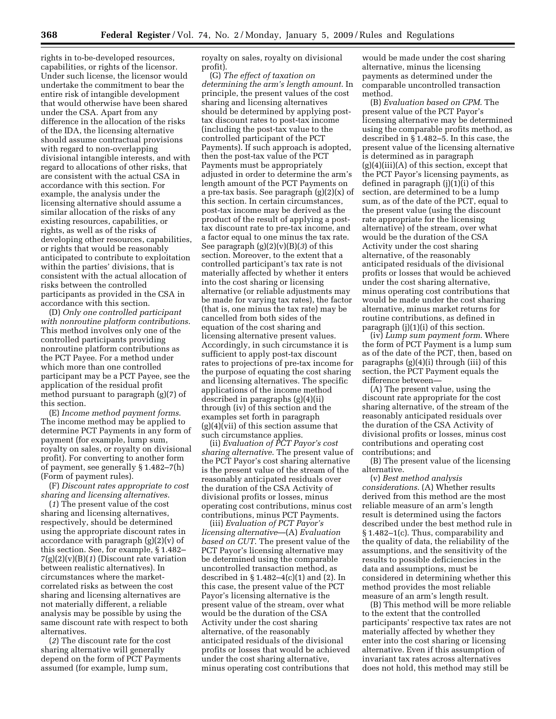rights in to-be-developed resources, capabilities, or rights of the licensor. Under such license, the licensor would undertake the commitment to bear the entire risk of intangible development that would otherwise have been shared under the CSA. Apart from any difference in the allocation of the risks of the IDA, the licensing alternative should assume contractual provisions with regard to non-overlapping divisional intangible interests, and with regard to allocations of other risks, that are consistent with the actual CSA in accordance with this section. For example, the analysis under the licensing alternative should assume a similar allocation of the risks of any existing resources, capabilities, or rights, as well as of the risks of developing other resources, capabilities, or rights that would be reasonably anticipated to contribute to exploitation within the parties' divisions, that is consistent with the actual allocation of risks between the controlled participants as provided in the CSA in accordance with this section.

(D) *Only one controlled participant with nonroutine platform contributions*. This method involves only one of the controlled participants providing nonroutine platform contributions as the PCT Payee. For a method under which more than one controlled participant may be a PCT Payee, see the application of the residual profit method pursuant to paragraph (g)(7) of this section.

(E) *Income method payment forms*. The income method may be applied to determine PCT Payments in any form of payment (for example, lump sum, royalty on sales, or royalty on divisional profit). For converting to another form of payment, see generally § 1.482–7(h) (Form of payment rules).

(F) *Discount rates appropriate to cost sharing and licensing alternatives*.

(*1*) The present value of the cost sharing and licensing alternatives, respectively, should be determined using the appropriate discount rates in accordance with paragraph (g)(2)(v) of this section. See, for example, § 1.482– 7(g)(2)(v)(B)(*1*) (Discount rate variation between realistic alternatives). In circumstances where the marketcorrelated risks as between the cost sharing and licensing alternatives are not materially different, a reliable analysis may be possible by using the same discount rate with respect to both alternatives.

(*2*) The discount rate for the cost sharing alternative will generally depend on the form of PCT Payments assumed (for example, lump sum,

royalty on sales, royalty on divisional profit).

(G) *The effect of taxation on determining the arm's length amount*. In principle, the present values of the cost sharing and licensing alternatives should be determined by applying posttax discount rates to post-tax income (including the post-tax value to the controlled participant of the PCT Payments). If such approach is adopted, then the post-tax value of the PCT Payments must be appropriately adjusted in order to determine the arm's length amount of the PCT Payments on a pre-tax basis. See paragraph (g)(2)(x) of this section. In certain circumstances, post-tax income may be derived as the product of the result of applying a posttax discount rate to pre-tax income, and a factor equal to one minus the tax rate. See paragraph (g)(2)(v)(B)(*3*) of this section. Moreover, to the extent that a controlled participant's tax rate is not materially affected by whether it enters into the cost sharing or licensing alternative (or reliable adjustments may be made for varying tax rates), the factor (that is, one minus the tax rate) may be cancelled from both sides of the equation of the cost sharing and licensing alternative present values. Accordingly, in such circumstance it is sufficient to apply post-tax discount rates to projections of pre-tax income for the purpose of equating the cost sharing and licensing alternatives. The specific applications of the income method described in paragraphs (g)(4)(ii) through (iv) of this section and the examples set forth in paragraph (g)(4)(vii) of this section assume that such circumstance applies.

(ii) *Evaluation of PCT Payor's cost sharing alternative*. The present value of the PCT Payor's cost sharing alternative is the present value of the stream of the reasonably anticipated residuals over the duration of the CSA Activity of divisional profits or losses, minus operating cost contributions, minus cost contributions, minus PCT Payments.

(iii) *Evaluation of PCT Payor's licensing alternative*—(A) *Evaluation based on CUT*. The present value of the PCT Payor's licensing alternative may be determined using the comparable uncontrolled transaction method, as described in  $\S 1.482 - 4(c)(1)$  and (2). In this case, the present value of the PCT Payor's licensing alternative is the present value of the stream, over what would be the duration of the CSA Activity under the cost sharing alternative, of the reasonably anticipated residuals of the divisional profits or losses that would be achieved under the cost sharing alternative, minus operating cost contributions that

would be made under the cost sharing alternative, minus the licensing payments as determined under the comparable uncontrolled transaction method.

(B) *Evaluation based on CPM*. The present value of the PCT Payor's licensing alternative may be determined using the comparable profits method, as described in § 1.482–5. In this case, the present value of the licensing alternative is determined as in paragraph  $(g)(4)(iii)(A)$  of this section, except that the PCT Payor's licensing payments, as defined in paragraph (j)(1)(i) of this section, are determined to be a lump sum, as of the date of the PCT, equal to the present value (using the discount rate appropriate for the licensing alternative) of the stream, over what would be the duration of the CSA Activity under the cost sharing alternative, of the reasonably anticipated residuals of the divisional profits or losses that would be achieved under the cost sharing alternative, minus operating cost contributions that would be made under the cost sharing alternative, minus market returns for routine contributions, as defined in paragraph (j)(1)(i) of this section.

(iv) *Lump sum payment form*. Where the form of PCT Payment is a lump sum as of the date of the PCT, then, based on paragraphs (g)(4)(i) through (iii) of this section, the PCT Payment equals the difference between—

(A) The present value, using the discount rate appropriate for the cost sharing alternative, of the stream of the reasonably anticipated residuals over the duration of the CSA Activity of divisional profits or losses, minus cost contributions and operating cost contributions; and

(B) The present value of the licensing alternative.

(v) *Best method analysis considerations*. (A) Whether results derived from this method are the most reliable measure of an arm's length result is determined using the factors described under the best method rule in § 1.482–1(c). Thus, comparability and the quality of data, the reliability of the assumptions, and the sensitivity of the results to possible deficiencies in the data and assumptions, must be considered in determining whether this method provides the most reliable measure of an arm's length result.

(B) This method will be more reliable to the extent that the controlled participants' respective tax rates are not materially affected by whether they enter into the cost sharing or licensing alternative. Even if this assumption of invariant tax rates across alternatives does not hold, this method may still be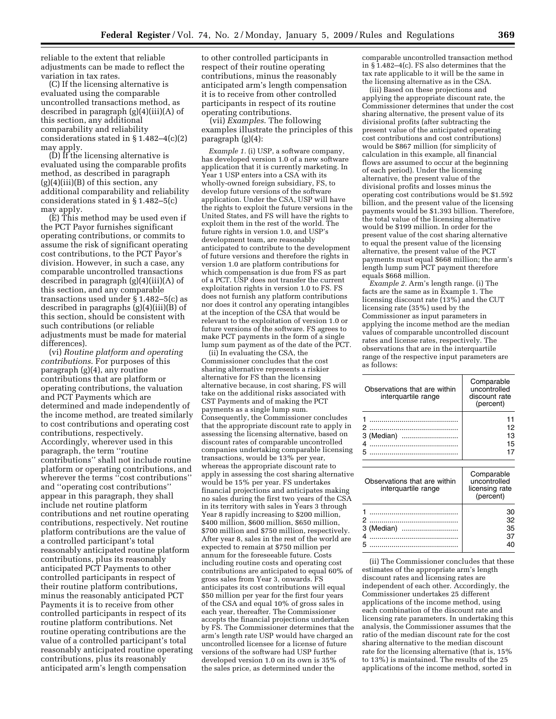reliable to the extent that reliable adjustments can be made to reflect the variation in tax rates.

(C) If the licensing alternative is evaluated using the comparable uncontrolled transactions method, as described in paragraph (g)(4)(iii)(A) of this section, any additional comparability and reliability considerations stated in  $\S 1.482-4(c)(2)$ may apply.

(D) If the licensing alternative is evaluated using the comparable profits method, as described in paragraph  $(g)(4)(iii)(B)$  of this section, any additional comparability and reliability considerations stated in § 1.482–5(c) may apply.

(E) This method may be used even if the PCT Payor furnishes significant operating contributions, or commits to assume the risk of significant operating cost contributions, to the PCT Payor's division. However, in such a case, any comparable uncontrolled transactions described in paragraph (g)(4)(iii)(A) of this section, and any comparable transactions used under § 1.482–5(c) as described in paragraphs (g)(4)(iii)(B) of this section, should be consistent with such contributions (or reliable adjustments must be made for material differences).

(vi) *Routine platform and operating contributions*. For purposes of this paragraph (g)(4), any routine contributions that are platform or operating contributions, the valuation and PCT Payments which are determined and made independently of the income method, are treated similarly to cost contributions and operating cost contributions, respectively. Accordingly, wherever used in this paragraph, the term ''routine contributions'' shall not include routine platform or operating contributions, and wherever the terms ''cost contributions'' and ''operating cost contributions'' appear in this paragraph, they shall include net routine platform contributions and net routine operating contributions, respectively. Net routine platform contributions are the value of a controlled participant's total reasonably anticipated routine platform contributions, plus its reasonably anticipated PCT Payments to other controlled participants in respect of their routine platform contributions, minus the reasonably anticipated PCT Payments it is to receive from other controlled participants in respect of its routine platform contributions. Net routine operating contributions are the value of a controlled participant's total reasonably anticipated routine operating contributions, plus its reasonably anticipated arm's length compensation

to other controlled participants in respect of their routine operating contributions, minus the reasonably anticipated arm's length compensation it is to receive from other controlled participants in respect of its routine operating contributions.

(vii) *Examples*. The following examples illustrate the principles of this paragraph (g)(4):

*Example 1.* (i) USP, a software company, has developed version 1.0 of a new software application that it is currently marketing. In Year 1 USP enters into a CSA with its wholly-owned foreign subsidiary, FS, to develop future versions of the software application. Under the CSA, USP will have the rights to exploit the future versions in the United States, and FS will have the rights to exploit them in the rest of the world. The future rights in version 1.0, and USP's development team, are reasonably anticipated to contribute to the development of future versions and therefore the rights in version 1.0 are platform contributions for which compensation is due from FS as part of a PCT. USP does not transfer the current exploitation rights in version 1.0 to FS. FS does not furnish any platform contributions nor does it control any operating intangibles at the inception of the CSA that would be relevant to the exploitation of version 1.0 or future versions of the software. FS agrees to make PCT payments in the form of a single lump sum payment as of the date of the PCT.

(ii) In evaluating the CSA, the Commissioner concludes that the cost sharing alternative represents a riskier alternative for FS than the licensing alternative because, in cost sharing, FS will take on the additional risks associated with CST Payments and of making the PCT payments as a single lump sum. Consequently, the Commissioner concludes that the appropriate discount rate to apply in assessing the licensing alternative, based on discount rates of comparable uncontrolled companies undertaking comparable licensing transactions, would be 13% per year, whereas the appropriate discount rate to apply in assessing the cost sharing alternative would be 15% per year. FS undertakes financial projections and anticipates making no sales during the first two years of the CSA in its territory with sales in Years 3 through Year 8 rapidly increasing to \$200 million, \$400 million, \$600 million, \$650 million, \$700 million and \$750 million, respectively. After year 8, sales in the rest of the world are expected to remain at \$750 million per annum for the foreseeable future. Costs including routine costs and operating cost contributions are anticipated to equal 60% of gross sales from Year 3, onwards. FS anticipates its cost contributions will equal \$50 million per year for the first four years of the CSA and equal 10% of gross sales in each year, thereafter. The Commissioner accepts the financial projections undertaken by FS. The Commissioner determines that the arm's length rate USP would have charged an uncontrolled licensee for a license of future versions of the software had USP further developed version 1.0 on its own is 35% of the sales price, as determined under the

comparable uncontrolled transaction method in § 1.482–4(c). FS also determines that the tax rate applicable to it will be the same in the licensing alternative as in the CSA.

(iii) Based on these projections and applying the appropriate discount rate, the Commissioner determines that under the cost sharing alternative, the present value of its divisional profits (after subtracting the present value of the anticipated operating cost contributions and cost contributions) would be \$867 million (for simplicity of calculation in this example, all financial flows are assumed to occur at the beginning of each period). Under the licensing alternative, the present value of the divisional profits and losses minus the operating cost contributions would be \$1.592 billion, and the present value of the licensing payments would be \$1.393 billion. Therefore, the total value of the licensing alternative would be \$199 million. In order for the present value of the cost sharing alternative to equal the present value of the licensing alternative, the present value of the PCT payments must equal \$668 million; the arm's length lump sum PCT payment therefore equals \$668 million.

*Example 2.* Arm's length range. (i) The facts are the same as in Example 1. The licensing discount rate (13%) and the CUT licensing rate (35%) used by the Commissioner as input parameters in applying the income method are the median values of comparable uncontrolled discount rates and license rates, respectively. The observations that are in the interquartile range of the respective input parameters are as follows:

| Observations that are within<br>interguartile range | Comparable<br>uncontrolled<br>discount rate<br>(percent) |
|-----------------------------------------------------|----------------------------------------------------------|
|                                                     | 12<br>13<br>15                                           |

| Observations that are within<br>interguartile range                                                                                                                                                                           | Comparable<br>uncontrolled<br>licensing rate<br>(percent) |
|-------------------------------------------------------------------------------------------------------------------------------------------------------------------------------------------------------------------------------|-----------------------------------------------------------|
|                                                                                                                                                                                                                               | 30                                                        |
| and a construction of the construction of the construction of the construction of the construction of the construction of the construction of the construction of the construction of the construction of the construction of | 32                                                        |
| 3 (Median)                                                                                                                                                                                                                    | 35                                                        |
|                                                                                                                                                                                                                               | 37                                                        |
|                                                                                                                                                                                                                               |                                                           |

(ii) The Commissioner concludes that these estimates of the appropriate arm's length discount rates and licensing rates are independent of each other. Accordingly, the Commissioner undertakes 25 different applications of the income method, using each combination of the discount rate and licensing rate parameters. In undertaking this analysis, the Commissioner assumes that the ratio of the median discount rate for the cost sharing alternative to the median discount rate for the licensing alternative (that is, 15% to 13%) is maintained. The results of the 25 applications of the income method, sorted in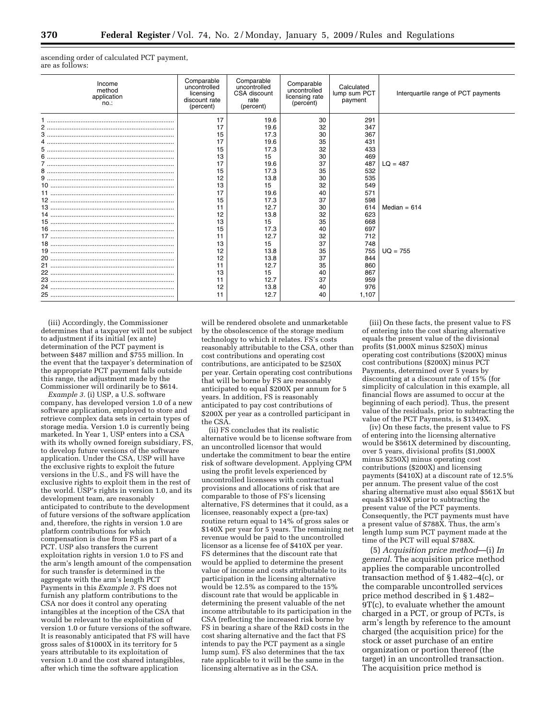ascending order of calculated PCT payment, are as follows:

| Income<br>method<br>application<br>$no.$ : | Comparable<br>uncontrolled<br>licensing<br>discount rate<br>(percent) | Comparable<br>uncontrolled<br>CSA discount<br>rate<br>(percent) | Comparable<br>uncontrolled<br>licensing rate<br>(percent) | Calculated<br>lump sum PCT<br>payment | Interquartile range of PCT payments |
|--------------------------------------------|-----------------------------------------------------------------------|-----------------------------------------------------------------|-----------------------------------------------------------|---------------------------------------|-------------------------------------|
|                                            | 17                                                                    | 19.6                                                            | 30                                                        | 291                                   |                                     |
|                                            | 17                                                                    | 19.6                                                            | 32                                                        | 347                                   |                                     |
|                                            | 15                                                                    | 17.3                                                            | 30                                                        | 367                                   |                                     |
|                                            | 17                                                                    | 19.6                                                            | 35                                                        | 431                                   |                                     |
|                                            | 15                                                                    | 17.3                                                            | 32                                                        | 433                                   |                                     |
|                                            | 13                                                                    | 15                                                              | 30                                                        | 469                                   |                                     |
|                                            | 17                                                                    | 19.6                                                            | 37                                                        | 487                                   | $LQ = 487$                          |
|                                            | 15                                                                    | 17.3                                                            | 35                                                        | 532                                   |                                     |
|                                            | 12                                                                    | 13.8                                                            | 30                                                        | 535                                   |                                     |
|                                            | 13                                                                    | 15                                                              | 32                                                        | 549                                   |                                     |
|                                            | 17                                                                    | 19.6                                                            | 40                                                        | 571                                   |                                     |
|                                            | 15                                                                    | 17.3                                                            | 37                                                        | 598                                   |                                     |
|                                            |                                                                       | 12.7                                                            | 30                                                        | 614                                   | Median = $614$                      |
|                                            | 12                                                                    | 13.8                                                            | 32                                                        | 623                                   |                                     |
|                                            | 13                                                                    | 15                                                              | 35                                                        | 668                                   |                                     |
|                                            | 15                                                                    | 17.3                                                            | 40                                                        | 697                                   |                                     |
|                                            | 11                                                                    | 12.7                                                            | 32                                                        | 712                                   |                                     |
|                                            | 13                                                                    | 15                                                              | 37                                                        | 748                                   |                                     |
|                                            | 12                                                                    | 13.8                                                            | 35                                                        | 755                                   | $UQ = 755$                          |
|                                            | 12                                                                    | 13.8                                                            | 37                                                        | 844                                   |                                     |
|                                            | 11                                                                    | 12.7                                                            | 35                                                        | 860                                   |                                     |
|                                            | 13                                                                    | 15                                                              | 40                                                        | 867                                   |                                     |
|                                            | 11                                                                    | 12.7                                                            | 37                                                        | 959                                   |                                     |
|                                            | 12                                                                    | 13.8                                                            | 40                                                        | 976                                   |                                     |
|                                            | 11                                                                    | 12.7                                                            | 40                                                        | 1,107                                 |                                     |
|                                            |                                                                       |                                                                 |                                                           |                                       |                                     |

(iii) Accordingly, the Commissioner determines that a taxpayer will not be subject to adjustment if its initial (ex ante) determination of the PCT payment is between \$487 million and \$755 million. In the event that the taxpayer's determination of the appropriate PCT payment falls outside this range, the adjustment made by the Commissioner will ordinarily be to \$614.

*Example 3.* (i) USP, a U.S. software company, has developed version 1.0 of a new software application, employed to store and retrieve complex data sets in certain types of storage media. Version 1.0 is currently being marketed. In Year 1, USP enters into a CSA with its wholly owned foreign subsidiary, FS, to develop future versions of the software application. Under the CSA, USP will have the exclusive rights to exploit the future versions in the U.S., and FS will have the exclusive rights to exploit them in the rest of the world. USP's rights in version 1.0, and its development team, are reasonably anticipated to contribute to the development of future versions of the software application and, therefore, the rights in version 1.0 are platform contributions for which compensation is due from FS as part of a PCT. USP also transfers the current exploitation rights in version 1.0 to FS and the arm's length amount of the compensation for such transfer is determined in the aggregate with the arm's length PCT Payments in this *Example 3*. FS does not furnish any platform contributions to the CSA nor does it control any operating intangibles at the inception of the CSA that would be relevant to the exploitation of version 1.0 or future versions of the software. It is reasonably anticipated that FS will have gross sales of \$1000X in its territory for 5 years attributable to its exploitation of version 1.0 and the cost shared intangibles, after which time the software application

will be rendered obsolete and unmarketable by the obsolescence of the storage medium technology to which it relates. FS's costs reasonably attributable to the CSA, other than cost contributions and operating cost contributions, are anticipated to be \$250X per year. Certain operating cost contributions that will be borne by FS are reasonably anticipated to equal \$200X per annum for 5 years. In addition, FS is reasonably anticipated to pay cost contributions of \$200X per year as a controlled participant in the CSA.

(ii) FS concludes that its realistic alternative would be to license software from an uncontrolled licensor that would undertake the commitment to bear the entire risk of software development. Applying CPM using the profit levels experienced by uncontrolled licensees with contractual provisions and allocations of risk that are comparable to those of FS's licensing alternative, FS determines that it could, as a licensee, reasonably expect a (pre-tax) routine return equal to 14% of gross sales or \$140X per year for 5 years. The remaining net revenue would be paid to the uncontrolled licensor as a license fee of \$410X per year. FS determines that the discount rate that would be applied to determine the present value of income and costs attributable to its participation in the licensing alternative would be 12.5% as compared to the 15% discount rate that would be applicable in determining the present valuable of the net income attributable to its participation in the CSA (reflecting the increased risk borne by FS in bearing a share of the R&D costs in the cost sharing alternative and the fact that FS intends to pay the PCT payment as a single lump sum). FS also determines that the tax rate applicable to it will be the same in the licensing alternative as in the CSA.

(iii) On these facts, the present value to FS of entering into the cost sharing alternative equals the present value of the divisional profits (\$1,000X minus \$250X) minus operating cost contributions (\$200X) minus cost contributions (\$200X) minus PCT Payments, determined over 5 years by discounting at a discount rate of 15% (for simplicity of calculation in this example, all financial flows are assumed to occur at the beginning of each period). Thus, the present value of the residuals, prior to subtracting the value of the PCT Payments, is \$1349X.

(iv) On these facts, the present value to FS of entering into the licensing alternative would be \$561X determined by discounting, over 5 years, divisional profits (\$1,000X minus \$250X) minus operating cost contributions (\$200X) and licensing payments (\$410X) at a discount rate of 12.5% per annum. The present value of the cost sharing alternative must also equal \$561X but equals \$1349X prior to subtracting the present value of the PCT payments. Consequently, the PCT payments must have a present value of \$788X. Thus, the arm's length lump sum PCT payment made at the time of the PCT will equal \$788X.

(5) *Acquisition price method*—(i) *In general.* The acquisition price method applies the comparable uncontrolled transaction method of § 1.482–4(c), or the comparable uncontrolled services price method described in § 1.482– 9T(c), to evaluate whether the amount charged in a PCT, or group of PCTs, is arm's length by reference to the amount charged (the acquisition price) for the stock or asset purchase of an entire organization or portion thereof (the target) in an uncontrolled transaction. The acquisition price method is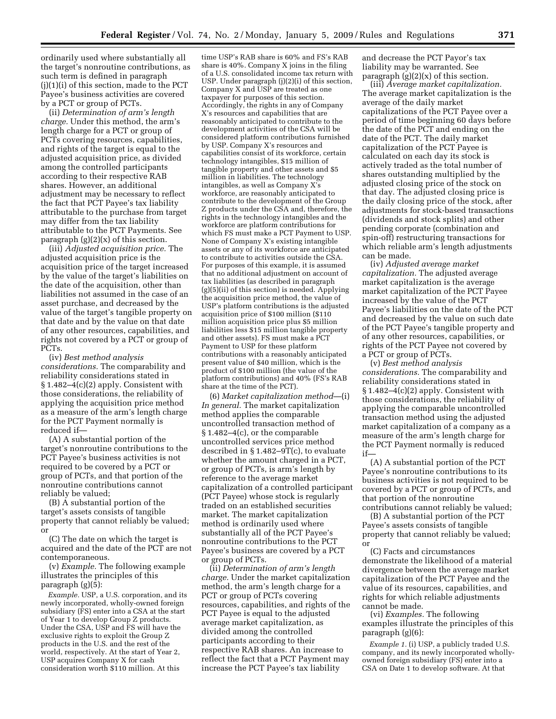ordinarily used where substantially all the target's nonroutine contributions, as such term is defined in paragraph (j)(1)(i) of this section, made to the PCT Payee's business activities are covered by a PCT or group of PCTs.

(ii) *Determination of arm's length charge.* Under this method, the arm's length charge for a PCT or group of PCTs covering resources, capabilities, and rights of the target is equal to the adjusted acquisition price, as divided among the controlled participants according to their respective RAB shares. However, an additional adjustment may be necessary to reflect the fact that PCT Payee's tax liability attributable to the purchase from target may differ from the tax liability attributable to the PCT Payments. See paragraph  $(g)(2)(x)$  of this section.

(iii) *Adjusted acquisition price.* The adjusted acquisition price is the acquisition price of the target increased by the value of the target's liabilities on the date of the acquisition, other than liabilities not assumed in the case of an asset purchase, and decreased by the value of the target's tangible property on that date and by the value on that date of any other resources, capabilities, and rights not covered by a PCT or group of PCTs.

(iv) *Best method analysis considerations.* The comparability and reliability considerations stated in § 1.482–4(c)(2) apply. Consistent with those considerations, the reliability of applying the acquisition price method as a measure of the arm's length charge for the PCT Payment normally is reduced if—

(A) A substantial portion of the target's nonroutine contributions to the PCT Payee's business activities is not required to be covered by a PCT or group of PCTs, and that portion of the nonroutine contributions cannot reliably be valued;

(B) A substantial portion of the target's assets consists of tangible property that cannot reliably be valued; or

(C) The date on which the target is acquired and the date of the PCT are not contemporaneous.

(v) *Example.* The following example illustrates the principles of this paragraph (g)(5):

*Example.* USP, a U.S. corporation, and its newly incorporated, wholly-owned foreign subsidiary (FS) enter into a CSA at the start of Year 1 to develop Group Z products. Under the CSA, USP and FS will have the exclusive rights to exploit the Group Z products in the U.S. and the rest of the world, respectively. At the start of Year 2, USP acquires Company X for cash consideration worth \$110 million. At this

time USP's RAB share is 60% and FS's RAB share is 40%. Company X joins in the filing of a U.S. consolidated income tax return with USP. Under paragraph (j)(2)(i) of this section, Company X and USP are treated as one taxpayer for purposes of this section. Accordingly, the rights in any of Company X's resources and capabilities that are reasonably anticipated to contribute to the development activities of the CSA will be considered platform contributions furnished by USP. Company X's resources and capabilities consist of its workforce, certain technology intangibles, \$15 million of tangible property and other assets and \$5 million in liabilities. The technology intangibles, as well as Company X's workforce, are reasonably anticipated to contribute to the development of the Group Z products under the CSA and, therefore, the rights in the technology intangibles and the workforce are platform contributions for which FS must make a PCT Payment to USP. None of Company X's existing intangible assets or any of its workforce are anticipated to contribute to activities outside the CSA. For purposes of this example, it is assumed that no additional adjustment on account of tax liabilities (as described in paragraph (g)(5)(ii) of this section) is needed. Applying the acquisition price method, the value of USP's platform contributions is the adjusted acquisition price of \$100 million (\$110 million acquisition price plus \$5 million liabilities less \$15 million tangible property and other assets). FS must make a PCT Payment to USP for these platform contributions with a reasonably anticipated present value of \$40 million, which is the product of \$100 million (the value of the platform contributions) and 40% (FS's RAB share at the time of the PCT).

(6) *Market capitalization method*—(i) *In general.* The market capitalization method applies the comparable uncontrolled transaction method of § 1.482–4(c), or the comparable uncontrolled services price method described in § 1.482–9T(c), to evaluate whether the amount charged in a PCT, or group of PCTs, is arm's length by reference to the average market capitalization of a controlled participant (PCT Payee) whose stock is regularly traded on an established securities market. The market capitalization method is ordinarily used where substantially all of the PCT Payee's nonroutine contributions to the PCT Payee's business are covered by a PCT or group of PCTs.

(ii) *Determination of arm's length charge.* Under the market capitalization method, the arm's length charge for a PCT or group of PCTs covering resources, capabilities, and rights of the PCT Payee is equal to the adjusted average market capitalization, as divided among the controlled participants according to their respective RAB shares. An increase to reflect the fact that a PCT Payment may increase the PCT Payee's tax liability

and decrease the PCT Payor's tax liability may be warranted. See paragraph  $(g)(2)(x)$  of this section.

(iii) *Average market capitalization.*  The average market capitalization is the average of the daily market capitalizations of the PCT Payee over a period of time beginning 60 days before the date of the PCT and ending on the date of the PCT. The daily market capitalization of the PCT Payee is calculated on each day its stock is actively traded as the total number of shares outstanding multiplied by the adjusted closing price of the stock on that day. The adjusted closing price is the daily closing price of the stock, after adjustments for stock-based transactions (dividends and stock splits) and other pending corporate (combination and spin-off) restructuring transactions for which reliable arm's length adjustments can be made.

(iv) *Adjusted average market capitalization.* The adjusted average market capitalization is the average market capitalization of the PCT Payee increased by the value of the PCT Payee's liabilities on the date of the PCT and decreased by the value on such date of the PCT Payee's tangible property and of any other resources, capabilities, or rights of the PCT Payee not covered by a PCT or group of PCTs.

(v) *Best method analysis considerations.* The comparability and reliability considerations stated in § 1.482–4(c)(2) apply. Consistent with those considerations, the reliability of applying the comparable uncontrolled transaction method using the adjusted market capitalization of a company as a measure of the arm's length charge for the PCT Payment normally is reduced if—

(A) A substantial portion of the PCT Payee's nonroutine contributions to its business activities is not required to be covered by a PCT or group of PCTs, and that portion of the nonroutine contributions cannot reliably be valued;

(B) A substantial portion of the PCT Payee's assets consists of tangible property that cannot reliably be valued; or

(C) Facts and circumstances demonstrate the likelihood of a material divergence between the average market capitalization of the PCT Payee and the value of its resources, capabilities, and rights for which reliable adjustments cannot be made.

(vi) *Examples.* The following examples illustrate the principles of this paragraph (g)(6):

*Example 1.* (i) USP, a publicly traded U.S. company, and its newly incorporated whollyowned foreign subsidiary (FS) enter into a CSA on Date 1 to develop software. At that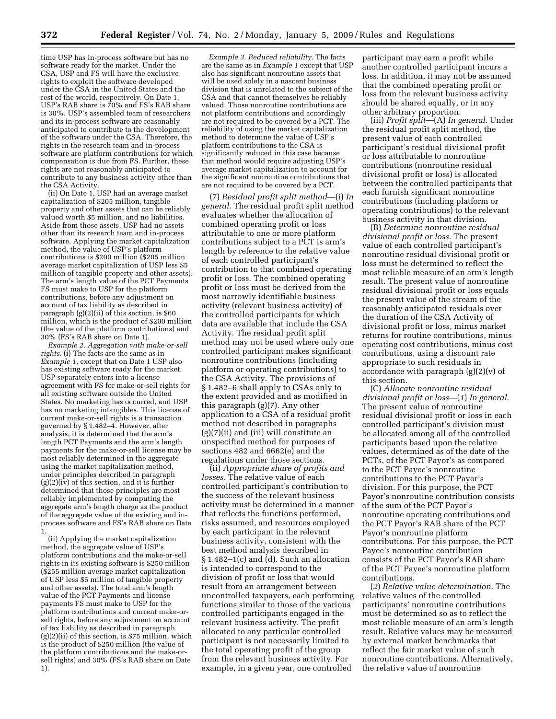time USP has in-process software but has no software ready for the market. Under the CSA, USP and FS will have the exclusive rights to exploit the software developed under the CSA in the United States and the rest of the world, respectively. On Date 1, USP's RAB share is 70% and FS's RAB share is 30%. USP's assembled team of researchers and its in-process software are reasonably anticipated to contribute to the development of the software under the CSA. Therefore, the rights in the research team and in-process software are platform contributions for which compensation is due from FS. Further, these rights are not reasonably anticipated to contribute to any business activity other than the CSA Activity.

(ii) On Date 1, USP had an average market capitalization of \$205 million, tangible property and other assets that can be reliably valued worth \$5 million, and no liabilities. Aside from those assets, USP had no assets other than its research team and in-process software. Applying the market capitalization method, the value of USP's platform contributions is \$200 million (\$205 million average market capitalization of USP less \$5 million of tangible property and other assets). The arm's length value of the PCT Payments FS must make to USP for the platform contributions, before any adjustment on account of tax liability as described in paragraph (g)(2)(ii) of this section, is \$60 million, which is the product of \$200 million (the value of the platform contributions) and 30% (FS's RAB share on Date 1).

*Example 2. Aggregation with make-or-sell rights.* (i) The facts are the same as in *Example 1*, except that on Date 1 USP also has existing software ready for the market. USP separately enters into a license agreement with FS for make-or-sell rights for all existing software outside the United States. No marketing has occurred, and USP has no marketing intangibles. This license of current make-or-sell rights is a transaction governed by § 1.482–4. However, after analysis, it is determined that the arm's length PCT Payments and the arm's length payments for the make-or-sell license may be most reliably determined in the aggregate using the market capitalization method, under principles described in paragraph  $(g)(2)(iv)$  of this section, and it is further determined that those principles are most reliably implemented by computing the aggregate arm's length charge as the product of the aggregate value of the existing and inprocess software and FS's RAB share on Date 1.

(ii) Applying the market capitalization method, the aggregate value of USP's platform contributions and the make-or-sell rights in its existing software is \$250 million (\$255 million average market capitalization of USP less \$5 million of tangible property and other assets). The total arm's length value of the PCT Payments and license payments FS must make to USP for the platform contributions and current make-orsell rights, before any adjustment on account of tax liability as described in paragraph (g)(2)(ii) of this section, is \$75 million, which is the product of \$250 million (the value of the platform contributions and the make-orsell rights) and 30% (FS's RAB share on Date 1).

*Example 3. Reduced reliability.* The facts are the same as in *Example 1* except that USP also has significant nonroutine assets that will be used solely in a nascent business division that is unrelated to the subject of the CSA and that cannot themselves be reliably valued. Those nonroutine contributions are not platform contributions and accordingly are not required to be covered by a PCT. The reliability of using the market capitalization method to determine the value of USP's platform contributions to the CSA is significantly reduced in this case because that method would require adjusting USP's average market capitalization to account for the significant nonroutine contributions that are not required to be covered by a PCT.

(7) *Residual profit split method*—(i) *In general.* The residual profit split method evaluates whether the allocation of combined operating profit or loss attributable to one or more platform contributions subject to a PCT is arm's length by reference to the relative value of each controlled participant's contribution to that combined operating profit or loss. The combined operating profit or loss must be derived from the most narrowly identifiable business activity (relevant business activity) of the controlled participants for which data are available that include the CSA Activity. The residual profit split method may not be used where only one controlled participant makes significant nonroutine contributions (including platform or operating contributions) to the CSA Activity. The provisions of § 1.482–6 shall apply to CSAs only to the extent provided and as modified in this paragraph (g)(7). Any other application to a CSA of a residual profit method not described in paragraphs (g)(7)(ii) and (iii) will constitute an unspecified method for purposes of sections 482 and 6662(e) and the regulations under those sections.

(ii) *Appropriate share of profits and losses.* The relative value of each controlled participant's contribution to the success of the relevant business activity must be determined in a manner that reflects the functions performed, risks assumed, and resources employed by each participant in the relevant business activity, consistent with the best method analysis described in  $§ 1.482-1(c)$  and  $(d)$ . Such an allocation is intended to correspond to the division of profit or loss that would result from an arrangement between uncontrolled taxpayers, each performing functions similar to those of the various controlled participants engaged in the relevant business activity. The profit allocated to any particular controlled participant is not necessarily limited to the total operating profit of the group from the relevant business activity. For example, in a given year, one controlled

participant may earn a profit while another controlled participant incurs a loss. In addition, it may not be assumed that the combined operating profit or loss from the relevant business activity should be shared equally, or in any other arbitrary proportion.

(iii) *Profit split*—(A) *In general.* Under the residual profit split method, the present value of each controlled participant's residual divisional profit or loss attributable to nonroutine contributions (nonroutine residual divisional profit or loss) is allocated between the controlled participants that each furnish significant nonroutine contributions (including platform or operating contributions) to the relevant business activity in that division.

(B) *Determine nonroutine residual divisional profit or loss.* The present value of each controlled participant's nonroutine residual divisional profit or loss must be determined to reflect the most reliable measure of an arm's length result. The present value of nonroutine residual divisional profit or loss equals the present value of the stream of the reasonably anticipated residuals over the duration of the CSA Activity of divisional profit or loss, minus market returns for routine contributions, minus operating cost contributions, minus cost contributions, using a discount rate appropriate to such residuals in accordance with paragraph (g)(2)(v) of this section.

(C) *Allocate nonroutine residual divisional profit or loss*—(*1*) *In general.*  The present value of nonroutine residual divisional profit or loss in each controlled participant's division must be allocated among all of the controlled participants based upon the relative values, determined as of the date of the PCTs, of the PCT Payor's as compared to the PCT Payee's nonroutine contributions to the PCT Payor's division. For this purpose, the PCT Payor's nonroutine contribution consists of the sum of the PCT Payor's nonroutine operating contributions and the PCT Payor's RAB share of the PCT Payor's nonroutine platform contributions. For this purpose, the PCT Payee's nonroutine contribution consists of the PCT Payor's RAB share of the PCT Payee's nonroutine platform contributions.

(*2*) *Relative value determination.* The relative values of the controlled participants' nonroutine contributions must be determined so as to reflect the most reliable measure of an arm's length result. Relative values may be measured by external market benchmarks that reflect the fair market value of such nonroutine contributions. Alternatively, the relative value of nonroutine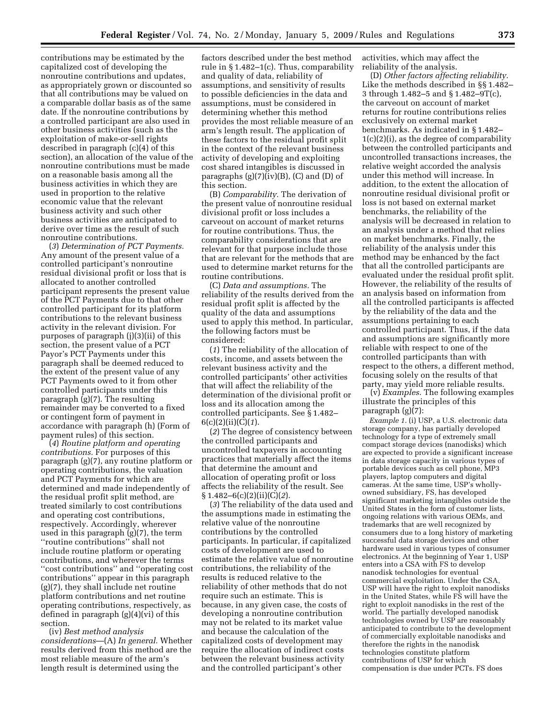contributions may be estimated by the capitalized cost of developing the nonroutine contributions and updates, as appropriately grown or discounted so that all contributions may be valued on a comparable dollar basis as of the same date. If the nonroutine contributions by a controlled participant are also used in other business activities (such as the exploitation of make-or-sell rights described in paragraph (c)(4) of this section), an allocation of the value of the nonroutine contributions must be made on a reasonable basis among all the business activities in which they are used in proportion to the relative economic value that the relevant business activity and such other business activities are anticipated to derive over time as the result of such nonroutine contributions.

(*3*) *Determination of PCT Payments.*  Any amount of the present value of a controlled participant's nonroutine residual divisional profit or loss that is allocated to another controlled participant represents the present value of the PCT Payments due to that other controlled participant for its platform contributions to the relevant business activity in the relevant division. For purposes of paragraph (j)(3)(ii) of this section, the present value of a PCT Payor's PCT Payments under this paragraph shall be deemed reduced to the extent of the present value of any PCT Payments owed to it from other controlled participants under this paragraph (g)(7). The resulting remainder may be converted to a fixed or contingent form of payment in accordance with paragraph (h) (Form of payment rules) of this section.

(*4*) *Routine platform and operating contributions.* For purposes of this paragraph (g)(7), any routine platform or operating contributions, the valuation and PCT Payments for which are determined and made independently of the residual profit split method, are treated similarly to cost contributions and operating cost contributions, respectively. Accordingly, wherever used in this paragraph (g)(7), the term ''routine contributions'' shall not include routine platform or operating contributions, and wherever the terms ''cost contributions'' and ''operating cost contributions'' appear in this paragraph (g)(7), they shall include net routine platform contributions and net routine operating contributions, respectively, as defined in paragraph (g)(4)(vi) of this section.

(iv) *Best method analysis considerations*—(A) *In general.* Whether results derived from this method are the most reliable measure of the arm's length result is determined using the

factors described under the best method rule in § 1.482–1(c). Thus, comparability and quality of data, reliability of assumptions, and sensitivity of results to possible deficiencies in the data and assumptions, must be considered in determining whether this method provides the most reliable measure of an arm's length result. The application of these factors to the residual profit split in the context of the relevant business activity of developing and exploiting cost shared intangibles is discussed in paragraphs  $(g)(7)(iv)(B)$ ,  $(C)$  and  $(D)$  of this section.

(B) *Comparability.* The derivation of the present value of nonroutine residual divisional profit or loss includes a carveout on account of market returns for routine contributions. Thus, the comparability considerations that are relevant for that purpose include those that are relevant for the methods that are used to determine market returns for the routine contributions.

(C) *Data and assumptions.* The reliability of the results derived from the residual profit split is affected by the quality of the data and assumptions used to apply this method. In particular, the following factors must be considered:

(*1*) The reliability of the allocation of costs, income, and assets between the relevant business activity and the controlled participants' other activities that will affect the reliability of the determination of the divisional profit or loss and its allocation among the controlled participants. See § 1.482– 6(c)(2)(ii)(C)(*1*).

(*2*) The degree of consistency between the controlled participants and uncontrolled taxpayers in accounting practices that materially affect the items that determine the amount and allocation of operating profit or loss affects the reliability of the result. See § 1.482–6(c)(2)(ii)(C)(*2*).

(*3*) The reliability of the data used and the assumptions made in estimating the relative value of the nonroutine contributions by the controlled participants. In particular, if capitalized costs of development are used to estimate the relative value of nonroutine contributions, the reliability of the results is reduced relative to the reliability of other methods that do not require such an estimate. This is because, in any given case, the costs of developing a nonroutine contribution may not be related to its market value and because the calculation of the capitalized costs of development may require the allocation of indirect costs between the relevant business activity and the controlled participant's other

activities, which may affect the reliability of the analysis.

(D) *Other factors affecting reliability.*  Like the methods described in §§ 1.482– 3 through 1.482–5 and § 1.482–9T(c), the carveout on account of market returns for routine contributions relies exclusively on external market benchmarks. As indicated in § 1.482– 1(c)(2)(i), as the degree of comparability between the controlled participants and uncontrolled transactions increases, the relative weight accorded the analysis under this method will increase. In addition, to the extent the allocation of nonroutine residual divisional profit or loss is not based on external market benchmarks, the reliability of the analysis will be decreased in relation to an analysis under a method that relies on market benchmarks. Finally, the reliability of the analysis under this method may be enhanced by the fact that all the controlled participants are evaluated under the residual profit split. However, the reliability of the results of an analysis based on information from all the controlled participants is affected by the reliability of the data and the assumptions pertaining to each controlled participant. Thus, if the data and assumptions are significantly more reliable with respect to one of the controlled participants than with respect to the others, a different method, focusing solely on the results of that party, may yield more reliable results.

(v) *Examples.* The following examples illustrate the principles of this paragraph (g)(7):

*Example 1.* (i) USP, a U.S. electronic data storage company, has partially developed technology for a type of extremely small compact storage devices (nanodisks) which are expected to provide a significant increase in data storage capacity in various types of portable devices such as cell phone, MP3 players, laptop computers and digital cameras. At the same time, USP's whollyowned subsidiary, FS, has developed significant marketing intangibles outside the United States in the form of customer lists, ongoing relations with various OEMs, and trademarks that are well recognized by consumers due to a long history of marketing successful data storage devices and other hardware used in various types of consumer electronics. At the beginning of Year 1, USP enters into a CSA with FS to develop nanodisk technologies for eventual commercial exploitation. Under the CSA, USP will have the right to exploit nanodisks in the United States, while FS will have the right to exploit nanodisks in the rest of the world. The partially developed nanodisk technologies owned by USP are reasonably anticipated to contribute to the development of commercially exploitable nanodisks and therefore the rights in the nanodisk technologies constitute platform contributions of USP for which compensation is due under PCTs. FS does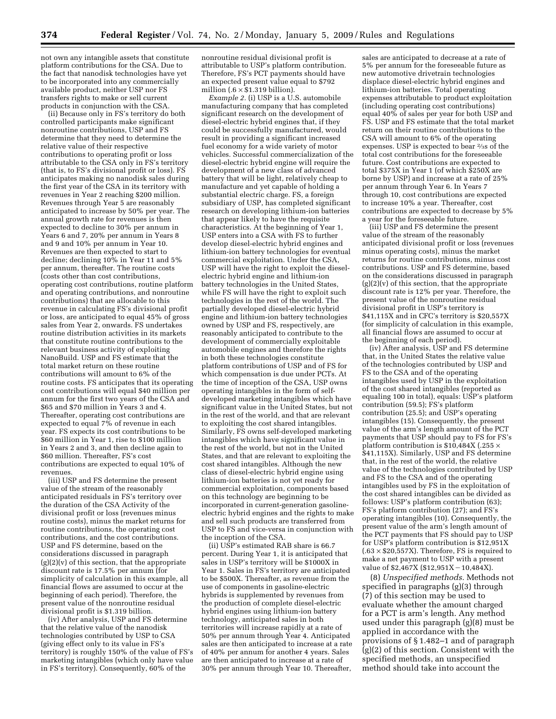not own any intangible assets that constitute platform contributions for the CSA. Due to the fact that nanodisk technologies have yet to be incorporated into any commercially available product, neither USP nor FS transfers rights to make or sell current products in conjunction with the CSA.

(ii) Because only in FS's territory do both controlled participants make significant nonroutine contributions, USP and FS determine that they need to determine the relative value of their respective contributions to operating profit or loss attributable to the CSA only in FS's territory (that is, to FS's divisional profit or loss). FS anticipates making no nanodisk sales during the first year of the CSA in its territory with revenues in Year 2 reaching \$200 million. Revenues through Year 5 are reasonably anticipated to increase by 50% per year. The annual growth rate for revenues is then expected to decline to 30% per annum in Years 6 and 7, 20% per annum in Years 8 and 9 and 10% per annum in Year 10. Revenues are then expected to start to decline; declining 10% in Year 11 and 5% per annum, thereafter. The routine costs (costs other than cost contributions, operating cost contributions, routine platform and operating contributions, and nonroutine contributions) that are allocable to this revenue in calculating FS's divisional profit or loss, are anticipated to equal 45% of gross sales from Year 2, onwards. FS undertakes routine distribution activities in its markets that constitute routine contributions to the relevant business activity of exploiting NanoBuild. USP and FS estimate that the total market return on these routine contributions will amount to 6% of the routine costs. FS anticipates that its operating cost contributions will equal \$40 million per annum for the first two years of the CSA and \$65 and \$70 million in Years 3 and 4. Thereafter, operating cost contributions are expected to equal 7% of revenue in each year. FS expects its cost contributions to be \$60 million in Year 1, rise to \$100 million in Years 2 and 3, and then decline again to \$60 million. Thereafter, FS's cost contributions are expected to equal 10% of revenues.

(iii) USP and FS determine the present value of the stream of the reasonably anticipated residuals in FS's territory over the duration of the CSA Activity of the divisional profit or loss (revenues minus routine costs), minus the market returns for routine contributions, the operating cost contributions, and the cost contributions. USP and FS determine, based on the considerations discussed in paragraph  $(g)(2)(v)$  of this section, that the appropriate discount rate is 17.5% per annum (for simplicity of calculation in this example, all financial flows are assumed to occur at the beginning of each period). Therefore, the present value of the nonroutine residual divisional profit is \$1.319 billion.

(iv) After analysis, USP and FS determine that the relative value of the nanodisk technologies contributed by USP to CSA (giving effect only to its value in FS's territory) is roughly 150% of the value of FS's marketing intangibles (which only have value in FS's territory). Consequently, 60% of the

nonroutine residual divisional profit is attributable to USP's platform contribution. Therefore, FS's PCT payments should have an expected present value equal to \$792 million (. $6 \times \$1.319$  billion).

*Example 2.* (i) USP is a U.S. automobile manufacturing company that has completed significant research on the development of diesel-electric hybrid engines that, if they could be successfully manufactured, would result in providing a significant increased fuel economy for a wide variety of motor vehicles. Successful commercialization of the diesel-electric hybrid engine will require the development of a new class of advanced battery that will be light, relatively cheap to manufacture and yet capable of holding a substantial electric charge. FS, a foreign subsidiary of USP, has completed significant research on developing lithium-ion batteries that appear likely to have the requisite characteristics. At the beginning of Year 1, USP enters into a CSA with FS to further develop diesel-electric hybrid engines and lithium-ion battery technologies for eventual commercial exploitation. Under the CSA, USP will have the right to exploit the dieselelectric hybrid engine and lithium-ion battery technologies in the United States, while FS will have the right to exploit such technologies in the rest of the world. The partially developed diesel-electric hybrid engine and lithium-ion battery technologies owned by USP and FS, respectively, are reasonably anticipated to contribute to the development of commercially exploitable automobile engines and therefore the rights in both these technologies constitute platform contributions of USP and of FS for which compensation is due under PCTs. At the time of inception of the CSA, USP owns operating intangibles in the form of selfdeveloped marketing intangibles which have significant value in the United States, but not in the rest of the world, and that are relevant to exploiting the cost shared intangibles. Similarly, FS owns self-developed marketing intangibles which have significant value in the rest of the world, but not in the United States, and that are relevant to exploiting the cost shared intangibles. Although the new class of diesel-electric hybrid engine using lithium-ion batteries is not yet ready for commercial exploitation, components based on this technology are beginning to be incorporated in current-generation gasolineelectric hybrid engines and the rights to make and sell such products are transferred from USP to FS and vice-versa in conjunction with the inception of the CSA.

(ii) USP's estimated RAB share is 66.7 percent. During Year 1, it is anticipated that sales in USP's territory will be \$1000X in Year 1. Sales in FS's territory are anticipated to be \$500X. Thereafter, as revenue from the use of components in gasoline-electric hybrids is supplemented by revenues from the production of complete diesel-electric hybrid engines using lithium-ion battery technology, anticipated sales in both territories will increase rapidly at a rate of 50% per annum through Year 4. Anticipated sales are then anticipated to increase at a rate of 40% per annum for another 4 years. Sales are then anticipated to increase at a rate of 30% per annum through Year 10. Thereafter,

sales are anticipated to decrease at a rate of 5% per annum for the foreseeable future as new automotive drivetrain technologies displace diesel-electric hybrid engines and lithium-ion batteries. Total operating expenses attributable to product exploitation (including operating cost contributions) equal 40% of sales per year for both USP and FS. USP and FS estimate that the total market return on their routine contributions to the CSA will amount to 6% of the operating expenses. USP is expected to bear 2⁄3s of the total cost contributions for the foreseeable future. Cost contributions are expected to total \$375X in Year 1 (of which \$250X are borne by USP) and increase at a rate of 25% per annum through Year 6. In Years 7 through 10, cost contributions are expected to increase 10% a year. Thereafter, cost contributions are expected to decrease by 5% a year for the foreseeable future.

(iii) USP and FS determine the present value of the stream of the reasonably anticipated divisional profit or loss (revenues minus operating costs), minus the market returns for routine contributions, minus cost contributions. USP and FS determine, based on the considerations discussed in paragraph  $(g)(2)(v)$  of this section, that the appropriate discount rate is 12% per year. Therefore, the present value of the nonroutine residual divisional profit in USP's territory is \$41,115X and in CFC's territory is \$20,557X (for simplicity of calculation in this example, all financial flows are assumed to occur at the beginning of each period).

(iv) After analysis, USP and FS determine that, in the United States the relative value of the technologies contributed by USP and FS to the CSA and of the operating intangibles used by USP in the exploitation of the cost shared intangibles (reported as equaling 100 in total), equals: USP's platform contribution (59.5); FS's platform contribution (25.5); and  $\hat{U}SP's$  operating intangibles (15). Consequently, the present value of the arm's length amount of the PCT payments that USP should pay to FS for FS's platform contribution is \$10,484X (.255 × \$41,115X). Similarly, USP and FS determine that, in the rest of the world, the relative value of the technologies contributed by USP and FS to the CSA and of the operating intangibles used by FS in the exploitation of the cost shared intangibles can be divided as follows: USP's platform contribution (63); FS's platform contribution (27); and FS's operating intangibles (10). Consequently, the present value of the arm's length amount of the PCT payments that FS should pay to USP for USP's platform contribution is \$12,951X  $(.63 \times $20,557X)$ . Therefore, FS is required to make a net payment to USP with a present value of  $$2,467X$  ( $$12,951X-10,484X$ ).

(8) *Unspecified methods.* Methods not specified in paragraphs (g)(3) through (7) of this section may be used to evaluate whether the amount charged for a PCT is arm's length. Any method used under this paragraph (g)(8) must be applied in accordance with the provisions of § 1.482–1 and of paragraph (g)(2) of this section. Consistent with the specified methods, an unspecified method should take into account the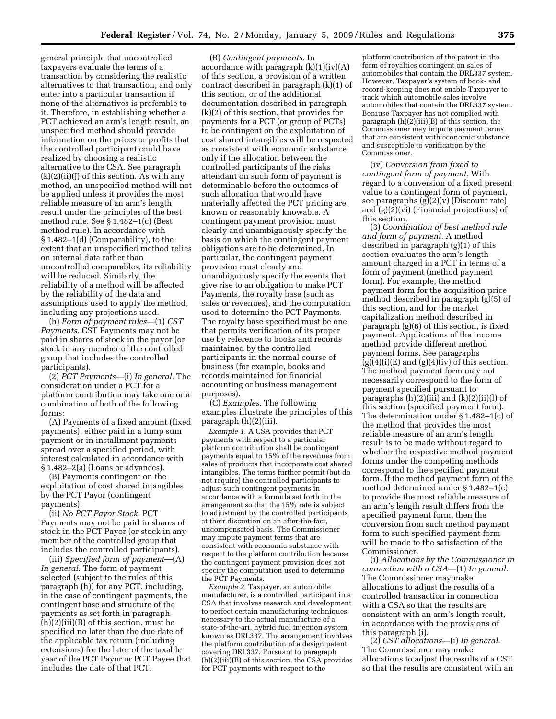general principle that uncontrolled taxpayers evaluate the terms of a transaction by considering the realistic alternatives to that transaction, and only enter into a particular transaction if none of the alternatives is preferable to it. Therefore, in establishing whether a PCT achieved an arm's length result, an unspecified method should provide information on the prices or profits that the controlled participant could have realized by choosing a realistic alternative to the CSA. See paragraph  $(k)(2)(ii)(J)$  of this section. As with any method, an unspecified method will not be applied unless it provides the most reliable measure of an arm's length result under the principles of the best method rule. See § 1.482–1(c) (Best method rule). In accordance with § 1.482–1(d) (Comparability), to the extent that an unspecified method relies on internal data rather than uncontrolled comparables, its reliability will be reduced. Similarly, the reliability of a method will be affected by the reliability of the data and assumptions used to apply the method, including any projections used.

(h) *Form of payment rules*—(1) *CST Payments.* CST Payments may not be paid in shares of stock in the payor (or stock in any member of the controlled group that includes the controlled participants).

(2) *PCT Payments*—(i) *In general.* The consideration under a PCT for a platform contribution may take one or a combination of both of the following forms:

(A) Payments of a fixed amount (fixed payments), either paid in a lump sum payment or in installment payments spread over a specified period, with interest calculated in accordance with § 1.482–2(a) (Loans or advances).

(B) Payments contingent on the exploitation of cost shared intangibles by the PCT Payor (contingent payments).

(ii) *No PCT Payor Stock.* PCT Payments may not be paid in shares of stock in the PCT Payor (or stock in any member of the controlled group that includes the controlled participants).

(iii) *Specified form of payment*—(A) *In general.* The form of payment selected (subject to the rules of this paragraph (h)) for any PCT, including, in the case of contingent payments, the contingent base and structure of the payments as set forth in paragraph (h)(2)(iii)(B) of this section, must be specified no later than the due date of the applicable tax return (including extensions) for the later of the taxable year of the PCT Payor or PCT Payee that includes the date of that PCT.

(B) *Contingent payments.* In accordance with paragraph  $(k)(1)(iv)(A)$ of this section, a provision of a written contract described in paragraph (k)(1) of this section, or of the additional documentation described in paragraph (k)(2) of this section, that provides for payments for a PCT (or group of PCTs) to be contingent on the exploitation of cost shared intangibles will be respected as consistent with economic substance only if the allocation between the controlled participants of the risks attendant on such form of payment is determinable before the outcomes of such allocation that would have materially affected the PCT pricing are known or reasonably knowable. A contingent payment provision must clearly and unambiguously specify the basis on which the contingent payment obligations are to be determined. In particular, the contingent payment provision must clearly and unambiguously specify the events that give rise to an obligation to make PCT Payments, the royalty base (such as sales or revenues), and the computation used to determine the PCT Payments. The royalty base specified must be one that permits verification of its proper use by reference to books and records maintained by the controlled participants in the normal course of business (for example, books and records maintained for financial accounting or business management purposes).

(C) *Examples.* The following examples illustrate the principles of this paragraph (h)(2)(iii).

*Example 1.* A CSA provides that PCT payments with respect to a particular platform contribution shall be contingent payments equal to 15% of the revenues from sales of products that incorporate cost shared intangibles. The terms further permit (but do not require) the controlled participants to adjust such contingent payments in accordance with a formula set forth in the arrangement so that the 15% rate is subject to adjustment by the controlled participants at their discretion on an after-the-fact, uncompensated basis. The Commissioner may impute payment terms that are consistent with economic substance with respect to the platform contribution because the contingent payment provision does not specify the computation used to determine the PCT Payments.

*Example 2.* Taxpayer, an automobile manufacturer, is a controlled participant in a CSA that involves research and development to perfect certain manufacturing techniques necessary to the actual manufacture of a state-of-the-art, hybrid fuel injection system known as DRL337. The arrangement involves the platform contribution of a design patent covering DRL337. Pursuant to paragraph (h)(2)(iii)(B) of this section, the CSA provides for PCT payments with respect to the

platform contribution of the patent in the form of royalties contingent on sales of automobiles that contain the DRL337 system. However, Taxpayer's system of book- and record-keeping does not enable Taxpayer to track which automobile sales involve automobiles that contain the DRL337 system. Because Taxpayer has not complied with paragraph (h)(2)(iii)(B) of this section, the Commissioner may impute payment terms that are consistent with economic substance and susceptible to verification by the Commissioner.

(iv) *Conversion from fixed to contingent form of payment.* With regard to a conversion of a fixed present value to a contingent form of payment, see paragraphs (g)(2)(v) (Discount rate) and (g)(2)(vi) (Financial projections) of this section.

(3) *Coordination of best method rule and form of payment.* A method described in paragraph (g)(1) of this section evaluates the arm's length amount charged in a PCT in terms of a form of payment (method payment form). For example, the method payment form for the acquisition price method described in paragraph  $(g)(5)$  of this section, and for the market capitalization method described in paragraph (g)(6) of this section, is fixed payment. Applications of the income method provide different method payment forms. See paragraphs  $(g)(4)(i)(E)$  and  $(g)(4)(iv)$  of this section. The method payment form may not necessarily correspond to the form of payment specified pursuant to paragraphs  $(h)(2)(iii)$  and  $(k)(2)(ii)(l)$  of this section (specified payment form). The determination under § 1.482–1(c) of the method that provides the most reliable measure of an arm's length result is to be made without regard to whether the respective method payment forms under the competing methods correspond to the specified payment form. If the method payment form of the method determined under § 1.482–1(c) to provide the most reliable measure of an arm's length result differs from the specified payment form, then the conversion from such method payment form to such specified payment form will be made to the satisfaction of the Commissioner.

(i) *Allocations by the Commissioner in connection with a CSA*—(1) *In general.*  The Commissioner may make allocations to adjust the results of a controlled transaction in connection with a CSA so that the results are consistent with an arm's length result, in accordance with the provisions of this paragraph (i).

(2) *CST allocations*—(i) *In general.*  The Commissioner may make allocations to adjust the results of a CST so that the results are consistent with an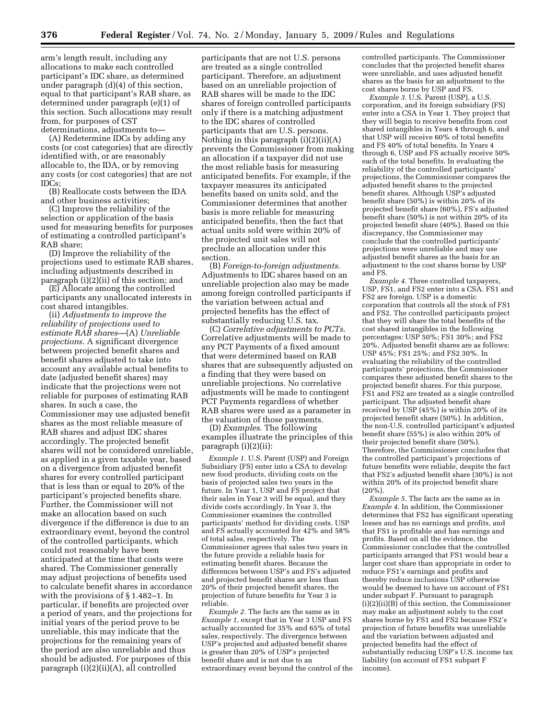arm's length result, including any allocations to make each controlled participant's IDC share, as determined under paragraph (d)(4) of this section, equal to that participant's RAB share, as determined under paragraph (e)(1) of this section. Such allocations may result from, for purposes of CST determinations, adjustments to—

(A) Redetermine IDCs by adding any costs (or cost categories) that are directly identified with, or are reasonably allocable to, the IDA, or by removing any costs (or cost categories) that are not IDCs;

(B) Reallocate costs between the IDA and other business activities;

(C) Improve the reliability of the selection or application of the basis used for measuring benefits for purposes of estimating a controlled participant's RAB share;

(D) Improve the reliability of the projections used to estimate RAB shares, including adjustments described in paragraph (i)(2)(ii) of this section; and

(E) Allocate among the controlled participants any unallocated interests in cost shared intangibles.

(ii) *Adjustments to improve the reliability of projections used to estimate RAB shares*—(A) *Unreliable projections.* A significant divergence between projected benefit shares and benefit shares adjusted to take into account any available actual benefits to date (adjusted benefit shares) may indicate that the projections were not reliable for purposes of estimating RAB shares. In such a case, the Commissioner may use adjusted benefit shares as the most reliable measure of RAB shares and adjust IDC shares accordingly. The projected benefit shares will not be considered unreliable, as applied in a given taxable year, based on a divergence from adjusted benefit shares for every controlled participant that is less than or equal to 20% of the participant's projected benefits share. Further, the Commissioner will not make an allocation based on such divergence if the difference is due to an extraordinary event, beyond the control of the controlled participants, which could not reasonably have been anticipated at the time that costs were shared. The Commissioner generally may adjust projections of benefits used to calculate benefit shares in accordance with the provisions of § 1.482–1. In particular, if benefits are projected over a period of years, and the projections for initial years of the period prove to be unreliable, this may indicate that the projections for the remaining years of the period are also unreliable and thus should be adjusted. For purposes of this paragraph (i)(2)(ii)(A), all controlled

participants that are not U.S. persons are treated as a single controlled participant. Therefore, an adjustment based on an unreliable projection of RAB shares will be made to the IDC shares of foreign controlled participants only if there is a matching adjustment to the IDC shares of controlled participants that are U.S. persons. Nothing in this paragraph (i)(2)(ii)(A) prevents the Commissioner from making an allocation if a taxpayer did not use the most reliable basis for measuring anticipated benefits. For example, if the taxpayer measures its anticipated benefits based on units sold, and the Commissioner determines that another basis is more reliable for measuring anticipated benefits, then the fact that actual units sold were within 20% of the projected unit sales will not preclude an allocation under this section.

(B) *Foreign-to-foreign adjustments.*  Adjustments to IDC shares based on an unreliable projection also may be made among foreign controlled participants if the variation between actual and projected benefits has the effect of substantially reducing U.S. tax.

(C) *Correlative adjustments to PCTs*. Correlative adjustments will be made to any PCT Payments of a fixed amount that were determined based on RAB shares that are subsequently adjusted on a finding that they were based on unreliable projections. No correlative adjustments will be made to contingent PCT Payments regardless of whether RAB shares were used as a parameter in the valuation of those payments.

(D) *Examples*. The following examples illustrate the principles of this paragraph (i)(2)(ii):

*Example 1.* U.S. Parent (USP) and Foreign Subsidiary (FS) enter into a CSA to develop new food products, dividing costs on the basis of projected sales two years in the future. In Year 1, USP and FS project that their sales in Year 3 will be equal, and they divide costs accordingly. In Year 3, the Commissioner examines the controlled participants' method for dividing costs. USP and FS actually accounted for 42% and 58% of total sales, respectively. The Commissioner agrees that sales two years in the future provide a reliable basis for estimating benefit shares. Because the differences between USP's and FS's adjusted and projected benefit shares are less than 20% of their projected benefit shares, the projection of future benefits for Year 3 is reliable.

*Example 2.* The facts are the same as in *Example 1*, except that in Year 3 USP and FS actually accounted for 35% and 65% of total sales, respectively. The divergence between USP's projected and adjusted benefit shares is greater than 20% of USP's projected benefit share and is not due to an extraordinary event beyond the control of the controlled participants. The Commissioner concludes that the projected benefit shares were unreliable, and uses adjusted benefit shares as the basis for an adjustment to the cost shares borne by USP and FS.

*Example 3.* U.S. Parent (USP), a U.S. corporation, and its foreign subsidiary (FS) enter into a CSA in Year 1. They project that they will begin to receive benefits from cost shared intangibles in Years 4 through 6, and that USP will receive 60% of total benefits and FS 40% of total benefits. In Years 4 through 6, USP and FS actually receive 50% each of the total benefits. In evaluating the reliability of the controlled participants' projections, the Commissioner compares the adjusted benefit shares to the projected benefit shares. Although USP's adjusted benefit share (50%) is within 20% of its projected benefit share (60%), FS's adjusted benefit share (50%) is not within 20% of its projected benefit share (40%). Based on this discrepancy, the Commissioner may conclude that the controlled participants' projections were unreliable and may use adjusted benefit shares as the basis for an adjustment to the cost shares borne by USP and FS.

*Example 4.* Three controlled taxpayers, USP, FS1, and FS2 enter into a CSA. FS1 and FS2 are foreign. USP is a domestic corporation that controls all the stock of FS1 and FS2. The controlled participants project that they will share the total benefits of the cost shared intangibles in the following percentages: USP 50%; FS1 30%; and FS2 20%. Adjusted benefit shares are as follows: USP 45%; FS1 25%; and FS2 30%. In evaluating the reliability of the controlled participants' projections, the Commissioner compares these adjusted benefit shares to the projected benefit shares. For this purpose, FS1 and FS2 are treated as a single controlled participant. The adjusted benefit share received by USP (45%) is within 20% of its projected benefit share (50%). In addition, the non-U.S. controlled participant's adjusted benefit share (55%) is also within 20% of their projected benefit share (50%). Therefore, the Commissioner concludes that the controlled participant's projections of future benefits were reliable, despite the fact that FS2's adjusted benefit share (30%) is not within 20% of its projected benefit share (20%).

*Example 5.* The facts are the same as in *Example 4*. In addition, the Commissioner determines that FS2 has significant operating losses and has no earnings and profits, and that FS1 is profitable and has earnings and profits. Based on all the evidence, the Commissioner concludes that the controlled participants arranged that FS1 would bear a larger cost share than appropriate in order to reduce FS1's earnings and profits and thereby reduce inclusions USP otherwise would be deemed to have on account of FS1 under subpart F. Pursuant to paragraph  $(i)(2)(ii)(B)$  of this section, the Commissioner may make an adjustment solely to the cost shares borne by FS1 and FS2 because FS2's projection of future benefits was unreliable and the variation between adjusted and projected benefits had the effect of substantially reducing USP's U.S. income tax liability (on account of FS1 subpart F income).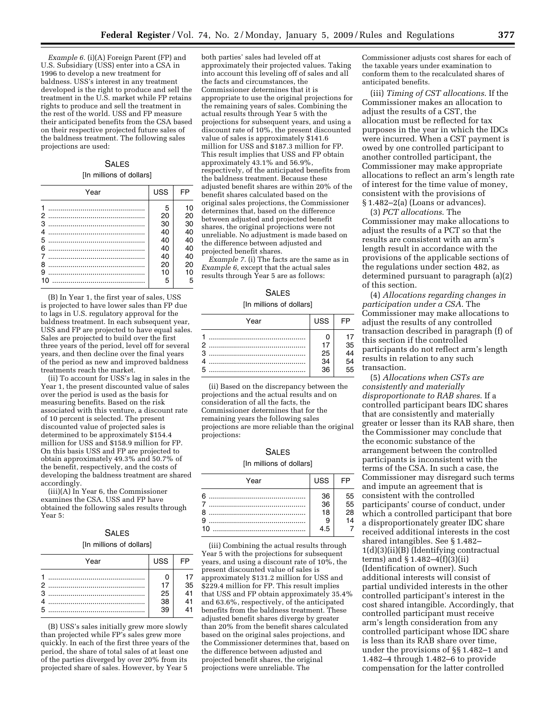*Example 6.* (i)(A) Foreign Parent (FP) and U.S. Subsidiary (USS) enter into a CSA in 1996 to develop a new treatment for baldness. USS's interest in any treatment developed is the right to produce and sell the treatment in the U.S. market while FP retains rights to produce and sell the treatment in the rest of the world. USS and FP measure their anticipated benefits from the CSA based on their respective projected future sales of the baldness treatment. The following sales projections are used:

## S<sub>ALES</sub> [In millions of dollars]

| Year                  | <b>USS</b>                 | <b>FP</b>                  |
|-----------------------|----------------------------|----------------------------|
| 1<br>2<br>3<br>4<br>5 | -5<br>20<br>30<br>40<br>40 | 10<br>20<br>30<br>40<br>40 |
| 6<br>7                | 40<br>40                   | 40<br>40                   |
| 8<br>9                | 20<br>10                   | 20<br>10                   |
| 10                    | 5                          | 5                          |

(B) In Year 1, the first year of sales, USS is projected to have lower sales than FP due to lags in U.S. regulatory approval for the baldness treatment. In each subsequent year, USS and FP are projected to have equal sales. Sales are projected to build over the first three years of the period, level off for several years, and then decline over the final years of the period as new and improved baldness treatments reach the market.

(ii) To account for USS's lag in sales in the Year 1, the present discounted value of sales over the period is used as the basis for measuring benefits. Based on the risk associated with this venture, a discount rate of 10 percent is selected. The present discounted value of projected sales is determined to be approximately \$154.4 million for USS and \$158.9 million for FP. On this basis USS and FP are projected to obtain approximately 49.3% and 50.7% of the benefit, respectively, and the costs of developing the baldness treatment are shared accordingly.

(iii)(A) In Year 6, the Commissioner examines the CSA. USS and FP have obtained the following sales results through Year 5:

## SALES

#### [In millions of dollars]

| Year | <b>USS</b>      |                 |
|------|-----------------|-----------------|
|      |                 |                 |
|      | 17              | 35              |
|      | 25              | $\overline{41}$ |
|      | $\overline{38}$ | 41              |
|      | 39              |                 |

(B) USS's sales initially grew more slowly than projected while FP's sales grew more quickly. In each of the first three years of the period, the share of total sales of at least one of the parties diverged by over 20% from its projected share of sales. However, by Year 5

both parties' sales had leveled off at approximately their projected values. Taking into account this leveling off of sales and all the facts and circumstances, the Commissioner determines that it is appropriate to use the original projections for the remaining years of sales. Combining the actual results through Year 5 with the projections for subsequent years, and using a discount rate of 10%, the present discounted value of sales is approximately \$141.6 million for USS and \$187.3 million for FP. This result implies that USS and FP obtain approximately 43.1% and 56.9%, respectively, of the anticipated benefits from the baldness treatment. Because these adjusted benefit shares are within 20% of the benefit shares calculated based on the original sales projections, the Commissioner determines that, based on the difference between adjusted and projected benefit shares, the original projections were not unreliable. No adjustment is made based on the difference between adjusted and projected benefit shares.

*Example 7.* (i) The facts are the same as in *Example 6*, except that the actual sales results through Year 5 are as follows:

## SALES

#### [In millions of dollars]

| Year | <b>USS</b> |                |
|------|------------|----------------|
|      |            |                |
| 2    | 17         | 35             |
| 3    | 25         | $\frac{5}{44}$ |
|      | 34         | <br>54         |
|      | 36         | 55             |

(ii) Based on the discrepancy between the projections and the actual results and on consideration of all the facts, the Commissioner determines that for the remaining years the following sales projections are more reliable than the original projections:

#### SALES

#### [In millions of dollars]

| Year | <b>USS</b>            | <b>FP</b>            |
|------|-----------------------|----------------------|
| 9    | $\frac{36}{36}$<br>18 | 55<br>55<br>28<br>14 |
| 10   | 4.5                   |                      |

(iii) Combining the actual results through Year 5 with the projections for subsequent years, and using a discount rate of 10%, the present discounted value of sales is approximately \$131.2 million for USS and \$229.4 million for FP. This result implies that USS and FP obtain approximately 35.4% and 63.6%, respectively, of the anticipated benefits from the baldness treatment. These adjusted benefit shares diverge by greater than 20% from the benefit shares calculated based on the original sales projections, and the Commissioner determines that, based on the difference between adjusted and projected benefit shares, the original projections were unreliable. The

Commissioner adjusts cost shares for each of the taxable years under examination to conform them to the recalculated shares of anticipated benefits.

(iii) *Timing of CST allocations*. If the Commissioner makes an allocation to adjust the results of a CST, the allocation must be reflected for tax purposes in the year in which the IDCs were incurred. When a CST payment is owed by one controlled participant to another controlled participant, the Commissioner may make appropriate allocations to reflect an arm's length rate of interest for the time value of money, consistent with the provisions of § 1.482–2(a) (Loans or advances).

(3) *PCT allocations*. The Commissioner may make allocations to adjust the results of a PCT so that the results are consistent with an arm's length result in accordance with the provisions of the applicable sections of the regulations under section 482, as determined pursuant to paragraph (a)(2) of this section.

(4) *Allocations regarding changes in participation under a CSA*. The Commissioner may make allocations to adjust the results of any controlled transaction described in paragraph (f) of this section if the controlled participants do not reflect arm's length results in relation to any such transaction.

(5) *Allocations when CSTs are consistently and materially disproportionate to RAB shares*. If a controlled participant bears IDC shares that are consistently and materially greater or lesser than its RAB share, then the Commissioner may conclude that the economic substance of the arrangement between the controlled participants is inconsistent with the terms of the CSA. In such a case, the Commissioner may disregard such terms and impute an agreement that is consistent with the controlled participants' course of conduct, under which a controlled participant that bore a disproportionately greater IDC share received additional interests in the cost shared intangibles. See § 1.482– 1(d)(3)(ii)(B) (Identifying contractual terms) and § 1.482–4(f)(3)(ii) (Identification of owner). Such additional interests will consist of partial undivided interests in the other controlled participant's interest in the cost shared intangible. Accordingly, that controlled participant must receive arm's length consideration from any controlled participant whose IDC share is less than its RAB share over time, under the provisions of §§ 1.482–1 and 1.482–4 through 1.482–6 to provide compensation for the latter controlled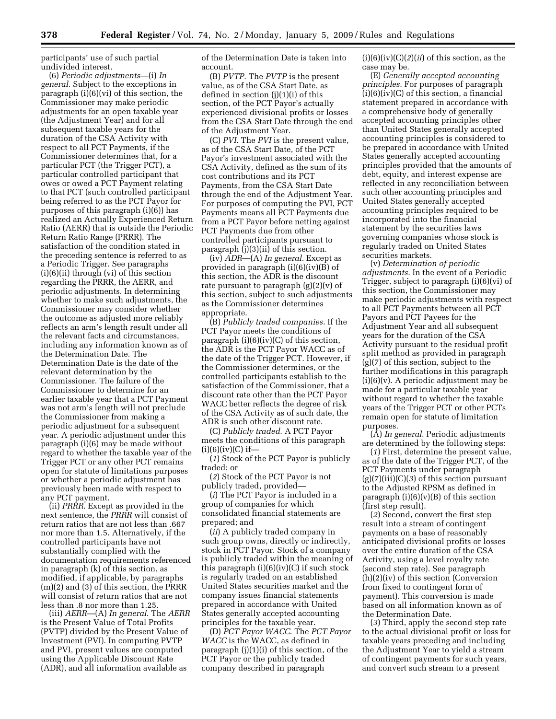participants' use of such partial undivided interest.

(6) *Periodic adjustments*—(i) *In general*. Subject to the exceptions in paragraph (i)(6)(vi) of this section, the Commissioner may make periodic adjustments for an open taxable year (the Adjustment Year) and for all subsequent taxable years for the duration of the CSA Activity with respect to all PCT Payments, if the Commissioner determines that, for a particular PCT (the Trigger PCT), a particular controlled participant that owes or owed a PCT Payment relating to that PCT (such controlled participant being referred to as the PCT Payor for purposes of this paragraph (i)(6)) has realized an Actually Experienced Return Ratio (AERR) that is outside the Periodic Return Ratio Range (PRRR). The satisfaction of the condition stated in the preceding sentence is referred to as a Periodic Trigger. See paragraphs (i)(6)(ii) through (vi) of this section regarding the PRRR, the AERR, and periodic adjustments. In determining whether to make such adjustments, the Commissioner may consider whether the outcome as adjusted more reliably reflects an arm's length result under all the relevant facts and circumstances, including any information known as of the Determination Date. The Determination Date is the date of the relevant determination by the Commissioner. The failure of the Commissioner to determine for an earlier taxable year that a PCT Payment was not arm's length will not preclude the Commissioner from making a periodic adjustment for a subsequent year. A periodic adjustment under this paragraph (i)(6) may be made without regard to whether the taxable year of the Trigger PCT or any other PCT remains open for statute of limitations purposes or whether a periodic adjustment has previously been made with respect to any PCT payment.

(ii) *PRRR*. Except as provided in the next sentence, the *PRRR* will consist of return ratios that are not less than .667 nor more than 1.5. Alternatively, if the controlled participants have not substantially complied with the documentation requirements referenced in paragraph (k) of this section, as modified, if applicable, by paragraphs (m)(2) and (3) of this section, the PRRR will consist of return ratios that are not less than .8 nor more than 1.25.

(iii) *AERR*—(A) *In general*. The *AERR*  is the Present Value of Total Profits (PVTP) divided by the Present Value of Investment (PVI). In computing PVTP and PVI, present values are computed using the Applicable Discount Rate (ADR), and all information available as

of the Determination Date is taken into account.

(B) *PVTP*. The *PVTP* is the present value, as of the CSA Start Date, as defined in section (j)(1)(i) of this section, of the PCT Payor's actually experienced divisional profits or losses from the CSA Start Date through the end of the Adjustment Year.

(C) *PVI*. The *PVI* is the present value, as of the CSA Start Date, of the PCT Payor's investment associated with the CSA Activity, defined as the sum of its cost contributions and its PCT Payments, from the CSA Start Date through the end of the Adjustment Year. For purposes of computing the PVI, PCT Payments means all PCT Payments due from a PCT Payor before netting against PCT Payments due from other controlled participants pursuant to paragraph (j)(3)(ii) of this section.

(iv) *ADR*—(A) *In general*. Except as provided in paragraph (i)(6)(iv)(B) of this section, the ADR is the discount rate pursuant to paragraph  $(g)(2)(v)$  of this section, subject to such adjustments as the Commissioner determines appropriate.

(B) *Publicly traded companies*. If the PCT Payor meets the conditions of paragraph (i)(6)(iv)(C) of this section, the ADR is the PCT Payor WACC as of the date of the Trigger PCT. However, if the Commissioner determines, or the controlled participants establish to the satisfaction of the Commissioner, that a discount rate other than the PCT Payor WACC better reflects the degree of risk of the CSA Activity as of such date, the ADR is such other discount rate.

(C) *Publicly traded*. A PCT Payor meets the conditions of this paragraph  $(i)(6)(iv)(C)$  if—

(*1*) Stock of the PCT Payor is publicly traded; or

(*2*) Stock of the PCT Payor is not publicly traded, provided—

(*i*) The PCT Payor is included in a group of companies for which consolidated financial statements are prepared; and

(*ii*) A publicly traded company in such group owns, directly or indirectly, stock in PCT Payor. Stock of a company is publicly traded within the meaning of this paragraph  $(i)(6)(iv)(C)$  if such stock is regularly traded on an established United States securities market and the company issues financial statements prepared in accordance with United States generally accepted accounting principles for the taxable year.

(D) *PCT Payor WACC*. The *PCT Payor WACC* is the WACC, as defined in paragraph (j)(1)(i) of this section, of the PCT Payor or the publicly traded company described in paragraph

 $(i)(6)(iv)(C)(2)(ii)$  of this section, as the case may be.

(E) *Generally accepted accounting principles*. For purposes of paragraph  $(i)(6)(iv)(C)$  of this section, a financial statement prepared in accordance with a comprehensive body of generally accepted accounting principles other than United States generally accepted accounting principles is considered to be prepared in accordance with United States generally accepted accounting principles provided that the amounts of debt, equity, and interest expense are reflected in any reconciliation between such other accounting principles and United States generally accepted accounting principles required to be incorporated into the financial statement by the securities laws governing companies whose stock is regularly traded on United States securities markets.

(v) *Determination of periodic adjustments*. In the event of a Periodic Trigger, subject to paragraph (i)(6)(vi) of this section, the Commissioner may make periodic adjustments with respect to all PCT Payments between all PCT Payors and PCT Payees for the Adjustment Year and all subsequent years for the duration of the CSA Activity pursuant to the residual profit split method as provided in paragraph (g)(7) of this section, subject to the further modifications in this paragraph  $(i)(6)(v)$ . A periodic adjustment may be made for a particular taxable year without regard to whether the taxable years of the Trigger PCT or other PCTs remain open for statute of limitation purposes.

(A) *In general*. Periodic adjustments are determined by the following steps:

(*1*) First, determine the present value, as of the date of the Trigger PCT, of the PCT Payments under paragraph (g)(7)(iii)(C)(*3*) of this section pursuant to the Adjusted RPSM as defined in paragraph  $(i)(6)(v)(B)$  of this section (first step result).

(*2*) Second, convert the first step result into a stream of contingent payments on a base of reasonably anticipated divisional profits or losses over the entire duration of the CSA Activity, using a level royalty rate (second step rate). See paragraph (h)(2)(iv) of this section (Conversion from fixed to contingent form of payment). This conversion is made based on all information known as of the Determination Date.

(*3*) Third, apply the second step rate to the actual divisional profit or loss for taxable years preceding and including the Adjustment Year to yield a stream of contingent payments for such years, and convert such stream to a present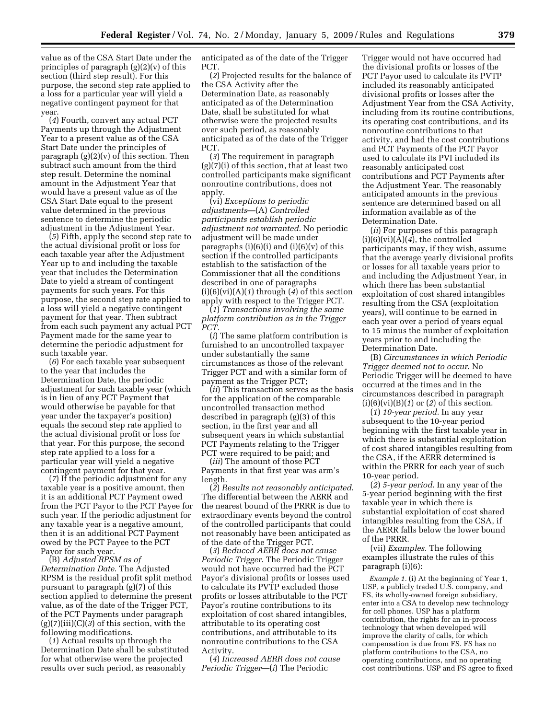value as of the CSA Start Date under the principles of paragraph (g)(2)(v) of this section (third step result). For this purpose, the second step rate applied to a loss for a particular year will yield a negative contingent payment for that year.

(*4*) Fourth, convert any actual PCT Payments up through the Adjustment Year to a present value as of the CSA Start Date under the principles of paragraph (g)(2)(v) of this section. Then subtract such amount from the third step result. Determine the nominal amount in the Adjustment Year that would have a present value as of the CSA Start Date equal to the present value determined in the previous sentence to determine the periodic adjustment in the Adjustment Year.

(*5*) Fifth, apply the second step rate to the actual divisional profit or loss for each taxable year after the Adjustment Year up to and including the taxable year that includes the Determination Date to yield a stream of contingent payments for such years. For this purpose, the second step rate applied to a loss will yield a negative contingent payment for that year. Then subtract from each such payment any actual PCT Payment made for the same year to determine the periodic adjustment for such taxable year.

(*6*) For each taxable year subsequent to the year that includes the Determination Date, the periodic adjustment for such taxable year (which is in lieu of any PCT Payment that would otherwise be payable for that year under the taxpayer's position) equals the second step rate applied to the actual divisional profit or loss for that year. For this purpose, the second step rate applied to a loss for a particular year will yield a negative contingent payment for that year.

(*7*) If the periodic adjustment for any taxable year is a positive amount, then it is an additional PCT Payment owed from the PCT Payor to the PCT Payee for such year. If the periodic adjustment for any taxable year is a negative amount, then it is an additional PCT Payment owed by the PCT Payee to the PCT Payor for such year.

(B) *Adjusted RPSM as of Determination Date*. The Adjusted RPSM is the residual profit split method pursuant to paragraph (g)(7) of this section applied to determine the present value, as of the date of the Trigger PCT, of the PCT Payments under paragraph (g)(7)(iii)(C)(*3*) of this section, with the following modifications.

(*1*) Actual results up through the Determination Date shall be substituted for what otherwise were the projected results over such period, as reasonably

anticipated as of the date of the Trigger PCT.

(*2*) Projected results for the balance of the CSA Activity after the Determination Date, as reasonably anticipated as of the Determination Date, shall be substituted for what otherwise were the projected results over such period, as reasonably anticipated as of the date of the Trigger PCT.

(*3*) The requirement in paragraph (g)(7)(i) of this section, that at least two controlled participants make significant nonroutine contributions, does not apply.

(vi) *Exceptions to periodic adjustments*—(A) *Controlled participants establish periodic adjustment not warranted*. No periodic adjustment will be made under paragraphs  $(i)(6)(i)$  and  $(i)(6)(v)$  of this section if the controlled participants establish to the satisfaction of the Commissioner that all the conditions described in one of paragraphs (i)(6)(vi)(A)(*1*) through (*4*) of this section apply with respect to the Trigger PCT.

(*1*) *Transactions involving the same platform contribution as in the Trigger PCT*.

(*i*) The same platform contribution is furnished to an uncontrolled taxpayer under substantially the same circumstances as those of the relevant Trigger PCT and with a similar form of payment as the Trigger PCT;

(*ii*) This transaction serves as the basis for the application of the comparable uncontrolled transaction method described in paragraph (g)(3) of this section, in the first year and all subsequent years in which substantial PCT Payments relating to the Trigger PCT were required to be paid; and

(*iii*) The amount of those PCT Payments in that first year was arm's length.

(*2*) *Results not reasonably anticipated*. The differential between the AERR and the nearest bound of the PRRR is due to extraordinary events beyond the control of the controlled participants that could not reasonably have been anticipated as of the date of the Trigger PCT.

(*3*) *Reduced AERR does not cause Periodic Trigger*. The Periodic Trigger would not have occurred had the PCT Payor's divisional profits or losses used to calculate its PVTP excluded those profits or losses attributable to the PCT Payor's routine contributions to its exploitation of cost shared intangibles, attributable to its operating cost contributions, and attributable to its nonroutine contributions to the CSA Activity.

(*4*) *Increased AERR does not cause Periodic Trigger*—(*i*) The Periodic

Trigger would not have occurred had the divisional profits or losses of the PCT Payor used to calculate its PVTP included its reasonably anticipated divisional profits or losses after the Adjustment Year from the CSA Activity, including from its routine contributions, its operating cost contributions, and its nonroutine contributions to that activity, and had the cost contributions and PCT Payments of the PCT Payor used to calculate its PVI included its reasonably anticipated cost contributions and PCT Payments after the Adjustment Year. The reasonably anticipated amounts in the previous sentence are determined based on all information available as of the Determination Date.

(*ii*) For purposes of this paragraph  $(i)(6)(vi)(A)(4)$ , the controlled participants may, if they wish, assume that the average yearly divisional profits or losses for all taxable years prior to and including the Adjustment Year, in which there has been substantial exploitation of cost shared intangibles resulting from the CSA (exploitation years), will continue to be earned in each year over a period of years equal to 15 minus the number of exploitation years prior to and including the Determination Date.

(B) *Circumstances in which Periodic Trigger deemed not to occur*. No Periodic Trigger will be deemed to have occurred at the times and in the circumstances described in paragraph (i)(6)(vi)(B)(*1*) or (*2*) of this section.

(*1*) *10-year period*. In any year subsequent to the 10-year period beginning with the first taxable year in which there is substantial exploitation of cost shared intangibles resulting from the CSA, if the AERR determined is within the PRRR for each year of such 10-year period.

(*2*) *5-year period*. In any year of the 5-year period beginning with the first taxable year in which there is substantial exploitation of cost shared intangibles resulting from the CSA, if the AERR falls below the lower bound of the PRRR.

(vii) *Examples*. The following examples illustrate the rules of this paragraph (i)(6):

*Example 1.* (i) At the beginning of Year 1, USP, a publicly traded U.S. company, and FS, its wholly-owned foreign subsidiary, enter into a CSA to develop new technology for cell phones. USP has a platform contribution, the rights for an in-process technology that when developed will improve the clarity of calls, for which compensation is due from FS. FS has no platform contributions to the CSA, no operating contributions, and no operating cost contributions. USP and FS agree to fixed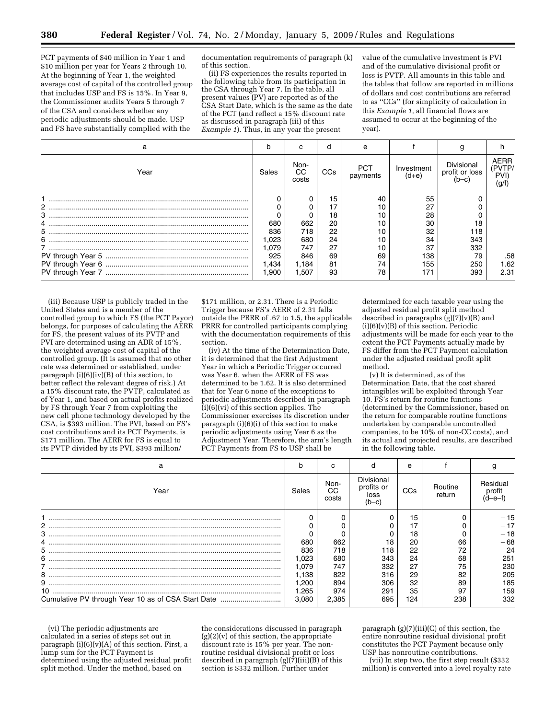PCT payments of \$40 million in Year 1 and \$10 million per year for Years 2 through 10. At the beginning of Year 1, the weighted average cost of capital of the controlled group that includes USP and FS is 15%. In Year 9, the Commissioner audits Years 5 through 7 of the CSA and considers whether any periodic adjustments should be made. USP and FS have substantially complied with the

documentation requirements of paragraph (k) of this section.

(ii) FS experiences the results reported in the following table from its participation in the CSA through Year 7. In the table, all present values (PV) are reported as of the CSA Start Date, which is the same as the date of the PCT (and reflect a 15% discount rate as discussed in paragraph (iii) of this *Example 1*). Thus, in any year the present

value of the cumulative investment is PVI and of the cumulative divisional profit or loss is PVTP. All amounts in this table and the tables that follow are reported in millions of dollars and cost contributions are referred to as ''CCs'' (for simplicity of calculation in this *Example 1*, all financial flows are assumed to occur at the beginning of the year).

| а    | r     |                     | d               | е               |                       |                                           |                                |
|------|-------|---------------------|-----------------|-----------------|-----------------------|-------------------------------------------|--------------------------------|
| Year | Sales | Non-<br>CС<br>costs | CC <sub>s</sub> | PCT<br>payments | Investment<br>$(d+e)$ | Divisional<br>profit or loss<br>( $b-c$ ) | AERR<br>(PVTP/<br>PVI)<br>(g/f |
|      |       |                     | 15              | 40              | 55                    |                                           |                                |
|      |       |                     | 17              |                 | 27                    |                                           |                                |
|      |       |                     | 18              |                 | 28                    |                                           |                                |
|      | 680   | 662                 | 20              |                 | 30                    | 18                                        |                                |
|      | 836   | 718                 | 22              |                 | 32                    | 118                                       |                                |
| 6    | 1,023 | 680                 | 24              |                 | 34                    | 343                                       |                                |
|      | .079  | 747                 | 27              | 10              | 37                    | 332                                       |                                |
|      | 925   | 846                 | 69              | 69              | 138                   | 79                                        | .58                            |
|      | 1,434 | 1.184               | 81              | 74              | 155                   | 250                                       | 1.62                           |
|      | 1.900 | 1,507               | 93              | 78              | 171                   | 393                                       | 2.31                           |

(iii) Because USP is publicly traded in the United States and is a member of the controlled group to which FS (the PCT Payor) belongs, for purposes of calculating the AERR for FS, the present values of its PVTP and PVI are determined using an ADR of 15%, the weighted average cost of capital of the controlled group. (It is assumed that no other rate was determined or established, under paragraph (i)(6)(iv)(B) of this section, to better reflect the relevant degree of risk.) At a 15% discount rate, the PVTP, calculated as of Year 1, and based on actual profits realized by FS through Year 7 from exploiting the new cell phone technology developed by the CSA, is \$393 million. The PVI, based on FS's cost contributions and its PCT Payments, is \$171 million. The AERR for FS is equal to its PVTP divided by its PVI, \$393 million/

\$171 million, or 2.31. There is a Periodic Trigger because FS's AERR of 2.31 falls outside the PRRR of .67 to 1.5, the applicable PRRR for controlled participants complying with the documentation requirements of this section.

(iv) At the time of the Determination Date, it is determined that the first Adjustment Year in which a Periodic Trigger occurred was Year 6, when the AERR of FS was determined to be 1.62. It is also determined that for Year 6 none of the exceptions to periodic adjustments described in paragraph  $\lambda$ (i)(6)(vi) of this section applies. The Commissioner exercises its discretion under paragraph (i)(6)(i) of this section to make periodic adjustments using Year 6 as the Adjustment Year. Therefore, the arm's length PCT Payments from FS to USP shall be

determined for each taxable year using the adjusted residual profit split method described in paragraphs  $(g)(7)(v)(B)$  and  $(i)(6)(v)(B)$  of this section. Periodic adjustments will be made for each year to the extent the PCT Payments actually made by FS differ from the PCT Payment calculation under the adjusted residual profit split method.

(v) It is determined, as of the Determination Date, that the cost shared intangibles will be exploited through Year 10. FS's return for routine functions (determined by the Commissioner, based on the return for comparable routine functions undertaken by comparable uncontrolled companies, to be  $10\%$  of non-CC costs), and its actual and projected results, are described in the following table.

|                                                    |        |                     |                                           | e   |                   |                    |
|----------------------------------------------------|--------|---------------------|-------------------------------------------|-----|-------------------|--------------------|
| Year                                               | Sales  | Non-<br>CС<br>costs | Divisional<br>profits or<br>loss<br>(b–c) | CCs | Routine<br>return | Residual<br>profit |
|                                                    |        |                     |                                           | 15  |                   | $-15$              |
| 2                                                  |        |                     |                                           | 17  |                   |                    |
| З                                                  |        |                     |                                           | 18  |                   | $-18$              |
|                                                    | 680    | 662                 | 18                                        | 20  | 66                | $-68$              |
|                                                    | 836    | 718                 | 118                                       | 22  | 72                |                    |
| 6                                                  | ,023   | 680                 | 343                                       | 24  | 68                | 251                |
|                                                    | .079   | 747                 | 332                                       | 27  | 75                | 230                |
| 8                                                  | 1.138  | 822                 | 316                                       | 29  | 82                | 205                |
|                                                    | 200. ا | 894                 | 306                                       | 32  | 89                | 185                |
|                                                    | l.265  | 974                 | 291                                       | 35  | 97                | 159                |
| Cumulative PV through Year 10 as of CSA Start Date | 3.080  | 2,385               | 695                                       | 124 | 238               | 332                |
|                                                    |        |                     |                                           |     |                   |                    |

(vi) The periodic adjustments are calculated in a series of steps set out in paragraph  $(i)(6)(v)(A)$  of this section. First, a lump sum for the PCT Payment is determined using the adjusted residual profit split method. Under the method, based on

the considerations discussed in paragraph  $(g)(2)(v)$  of this section, the appropriate discount rate is 15% per year. The nonroutine residual divisional profit or loss described in paragraph (g)(7)(iii)(B) of this section is \$332 million. Further under

paragraph (g)(7)(iii)(C) of this section, the  $\,$ entire nonroutine residual divisional profit constitutes the PCT Payment because only USP has nonroutine contributions.

(vii) In step two, the first step result (\$332 million) is converted into a level royalty rate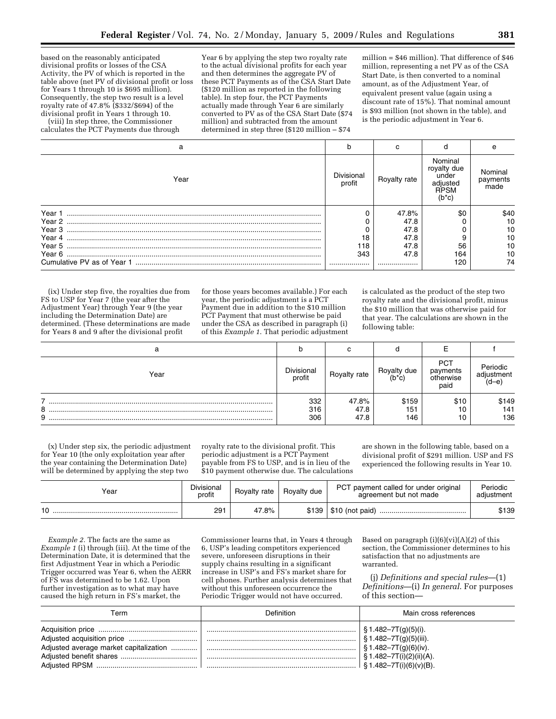based on the reasonably anticipated divisional profits or losses of the CSA Activity, the PV of which is reported in the table above (net PV of divisional profit or loss for Years 1 through 10 is \$695 million). Consequently, the step two result is a level royalty rate of 47.8% (\$332/\$694) of the divisional profit in Years 1 through 10.

(viii) In step three, the Commissioner calculates the PCT Payments due through

Year 6 by applying the step two royalty rate to the actual divisional profits for each year and then determines the aggregate PV of these PCT Payments as of the CSA Start Date (\$120 million as reported in the following table). In step four, the PCT Payments actually made through Year 6 are similarly converted to PV as of the CSA Start Date (\$74 million) and subtracted from the amount determined in step three (\$120 million – \$74

million = \$46 million). That difference of \$46 million, representing a net PV as of the CSA Start Date, is then converted to a nominal amount, as of the Adjustment Year, of equivalent present value (again using a discount rate of 15%). That nominal amount is \$93 million (not shown in the table), and is the periodic adjustment in Year 6.

| a    | h                    |              |                                                                | e                           |
|------|----------------------|--------------|----------------------------------------------------------------|-----------------------------|
| Year | Divisional<br>profit | Royalty rate | Nominal<br>royalty due<br>under<br>adjusted<br>RPSM<br>$(b*c)$ | Nominal<br>payments<br>made |
|      |                      | 47.8%        | \$0                                                            | \$40                        |
|      |                      | 47.8         |                                                                | 10                          |
|      |                      | 47.8         |                                                                | 10                          |
|      | 18                   | 47.8         |                                                                | 10                          |
|      | 118                  | 47.8         | 56                                                             | 10                          |
|      | 343                  | 47.8         | 164                                                            | 10                          |
|      |                      |              | 120                                                            | 74                          |

(ix) Under step five, the royalties due from FS to USP for Year 7 (the year after the Adjustment Year) through Year 9 (the year including the Determination Date) are determined. (These determinations are made for Years 8 and 9 after the divisional profit

for those years becomes available.) For each year, the periodic adjustment is a PCT Payment due in addition to the \$10 million PCT Payment that must otherwise be paid under the CSA as described in paragraph (i) of this *Example 1*. That periodic adjustment is calculated as the product of the step two royalty rate and the divisional profit, minus the \$10 million that was otherwise paid for that year. The calculations are shown in the following table:

|             |                      | ⌒<br>v                |                        |                                      |                                |
|-------------|----------------------|-----------------------|------------------------|--------------------------------------|--------------------------------|
| Year        | Divisional<br>profit | Royalty rate          | Royalty due<br>$(b*c)$ | PCT<br>payments<br>otherwise<br>paid | Periodic<br>adiustment<br>d-el |
| -<br>8<br>9 | 332<br>316<br>306    | 47.8%<br>47.8<br>47.8 | \$159<br>151<br>146    | \$10<br>10<br>10                     | \$149<br>141<br>136            |

(x) Under step six, the periodic adjustment for Year 10 (the only exploitation year after the year containing the Determination Date) will be determined by applying the step two

royalty rate to the divisional profit. This periodic adjustment is a PCT Payment payable from FS to USP, and is in lieu of the \$10 payment otherwise due. The calculations are shown in the following table, based on a divisional profit of \$291 million. USP and FS experienced the following results in Year 10.

| Year | <b>Divisional</b><br>profit | Royalty rate | Royalty due | PCT payment called for under original<br>agreement but not made | Periodic<br>adjustment |
|------|-----------------------------|--------------|-------------|-----------------------------------------------------------------|------------------------|
| 10   | 291                         | 47.8%        |             | $$139   $10$ (not paid)                                         | \$139                  |

*Example 2.* The facts are the same as *Example 1* (i) through (iii). At the time of the Determination Date, it is determined that the first Adjustment Year in which a Periodic Trigger occurred was Year 6, when the AERR of FS was determined to be 1.62. Upon further investigation as to what may have caused the high return in FS's market, the

Commissioner learns that, in Years 4 through 6, USP's leading competitors experienced severe, unforeseen disruptions in their supply chains resulting in a significant increase in USP's and FS's market share for cell phones. Further analysis determines that without this unforeseen occurrence the Periodic Trigger would not have occurred.

Based on paragraph (i)(6)(vi)(A)(*2*) of this section, the Commissioner determines to his satisfaction that no adjustments are warranted.

(j) *Definitions and special rules*—(1) *Definitions*—(i) *In general*. For purposes of this section—

| Геrm                 | Definition | Main cross references                                                                                                                                 |
|----------------------|------------|-------------------------------------------------------------------------------------------------------------------------------------------------------|
| <b>Adjusted RPSM</b> |            | § 1.482–7T(g)(5)(i).<br>§ 1.482-7T(g)(5)(iii).<br>$$1.482 - 7T(g)(6)(iv).$<br>$\S 1.482 - 7T(i)(2)(ii)(A)$ .<br>$\frac{1}{2}$ \$1.482-7T(i)(6)(v)(B). |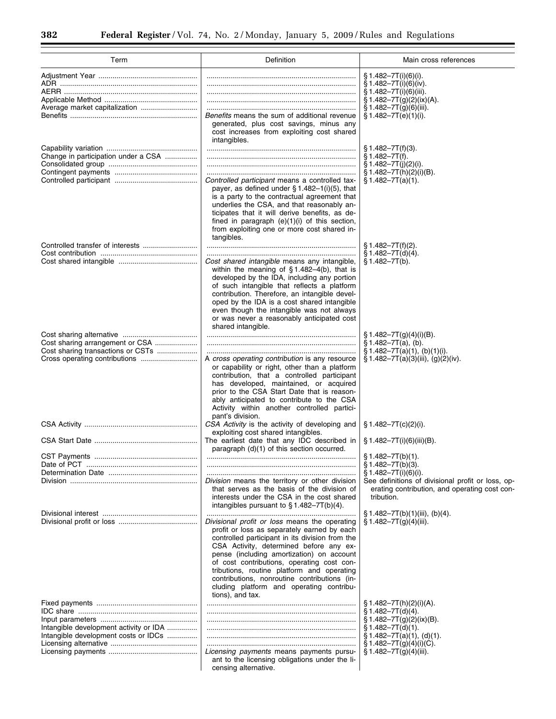Ξ

| Term                                                                                                  | Definition                                                                                                                                                                                                                                                                                                                                                                                                                                          | Main cross references                                                                                                                                                                                                                                           |  |  |
|-------------------------------------------------------------------------------------------------------|-----------------------------------------------------------------------------------------------------------------------------------------------------------------------------------------------------------------------------------------------------------------------------------------------------------------------------------------------------------------------------------------------------------------------------------------------------|-----------------------------------------------------------------------------------------------------------------------------------------------------------------------------------------------------------------------------------------------------------------|--|--|
| Average market capitalization                                                                         | Benefits means the sum of additional revenue<br>generated, plus cost savings, minus any<br>cost increases from exploiting cost shared<br>intangibles.                                                                                                                                                                                                                                                                                               | $$1.482 - 7T(i)(6)(i).$<br>$§ 1.482 - 7T(i)(6)(iv).$<br>$§ 1.482 - 7T(i)(6)(iii).$<br>$§ 1.482 - 7T(g)(2)(ix)(A).$<br>$§ 1.482 - 7T(g)(6)(iii).$<br>§ 1.482-7T(e)(1)(i).                                                                                        |  |  |
| Change in participation under a CSA                                                                   | Controlled participant means a controlled tax-<br>payer, as defined under $\S 1.482-1(i)(5)$ , that<br>is a party to the contractual agreement that<br>underlies the CSA, and that reasonably an-<br>ticipates that it will derive benefits, as de-<br>fined in paragraph (e)(1)(i) of this section,<br>from exploiting one or more cost shared in-                                                                                                 | $\S 1.482 - 7T(f)(3)$ .<br>$§ 1.482 - 7T(f).$<br>$\S 1.482 - 7T(i)(2)(i)$ .<br>§ 1.482-7T(h)(2)(i)(B).<br>$\S 1.482 - 7T(a)(1)$ .                                                                                                                               |  |  |
|                                                                                                       | tangibles.<br>Cost shared intangible means any intangible,<br>within the meaning of $§ 1.482-4(b)$ , that is<br>developed by the IDA, including any portion<br>of such intangible that reflects a platform<br>contribution. Therefore, an intangible devel-<br>oped by the IDA is a cost shared intangible<br>even though the intangible was not always<br>or was never a reasonably anticipated cost<br>shared intangible.                         | $$1.482 - 7T(f)(2).$<br>$§ 1.482 - 7T(d)(4).$<br>$§ 1.482 - 7T(b).$                                                                                                                                                                                             |  |  |
| Cost sharing arrangement or CSA<br>Cost sharing transactions or CSTs<br>Cross operating contributions | A cross operating contribution is any resource<br>or capability or right, other than a platform<br>contribution, that a controlled participant<br>has developed, maintained, or acquired<br>prior to the CSA Start Date that is reason-<br>ably anticipated to contribute to the CSA<br>Activity within another controlled partici-                                                                                                                 | $\S 1.482 - 7T(g)(4)(i)(B)$ .<br>$§ 1.482 - 7T(a), (b).$<br>$$1.482-7T(a)(1), (b)(1)(i).$<br>§ 1.482-7T(a)(3)(iii), (g)(2)(iv).                                                                                                                                 |  |  |
|                                                                                                       | pant's division.<br>CSA Activity is the activity of developing and<br>exploiting cost shared intangibles.<br>The earliest date that any IDC described in<br>paragraph (d)(1) of this section occurred.<br>Division means the territory or other division<br>that serves as the basis of the division of<br>interests under the CSA in the cost shared<br>intangibles pursuant to $\S 1.482 - 7T(b)(4)$ .                                            | $\S 1.482 - 7T(c)(2)(i).$<br>$\S 1.482 - 7T(i)(6)(iii)(B).$<br>$\S 1.482 - 7T(b)(1)$ .<br>$§ 1.482 - 7T(b)(3).$<br>$§ 1.482 - 7T(i)(6)(i).$<br>See definitions of divisional profit or loss, op-<br>erating contribution, and operating cost con-<br>tribution. |  |  |
|                                                                                                       | Divisional profit or loss means the operating<br>profit or loss as separately earned by each<br>controlled participant in its division from the<br>CSA Activity, determined before any ex-<br>pense (including amortization) on account<br>of cost contributions, operating cost con-<br>tributions, routine platform and operating<br>contributions, nonroutine contributions (in-<br>cluding platform and operating contribu-<br>tions), and tax. | § 1.482-7T(b)(1)(iii), (b)(4).<br>$\S 1.482 - 7T(g)(4)(iii)$ .                                                                                                                                                                                                  |  |  |
| Intangible development activity or IDA<br>Intangible development costs or IDCs                        | Licensing payments means payments pursu-<br>ant to the licensing obligations under the li-<br>censing alternative.                                                                                                                                                                                                                                                                                                                                  | $\S 1.482 - 7T(h)(2)(i)(A)$ .<br>$\S 1.482 - 7T(d)(4)$ .<br>$\S 1.482 - 7T(g)(2)(ix)(B)$ .<br>$\S 1.482 - 7T(d)(1)$ .<br>$\S 1.482 - 7T(a)(1), (d)(1).$<br>$\S 1.482 - 7T(g)(4)(i)(C)$ .<br>$\S 1.482 - 7T(g)(4)(iii)$ .                                        |  |  |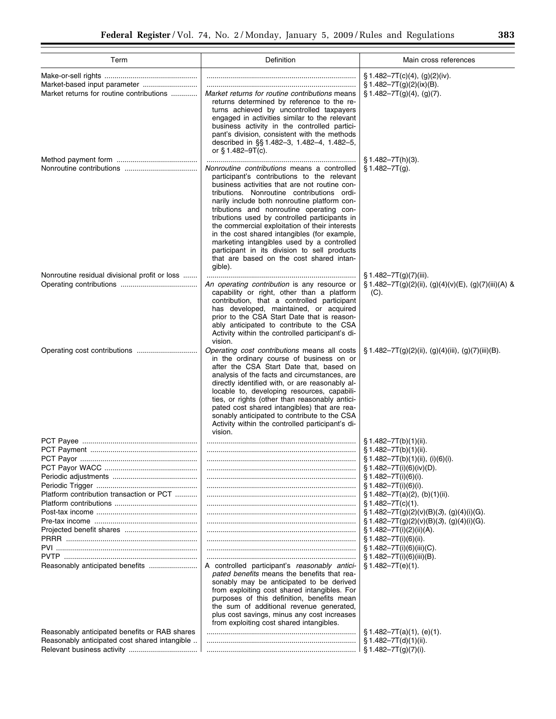| Term                                          | Definition                                                                                                                                                                                                                                                                                                                                                                                                                                                                                                                                                                                    | Main cross references                                           |
|-----------------------------------------------|-----------------------------------------------------------------------------------------------------------------------------------------------------------------------------------------------------------------------------------------------------------------------------------------------------------------------------------------------------------------------------------------------------------------------------------------------------------------------------------------------------------------------------------------------------------------------------------------------|-----------------------------------------------------------------|
|                                               |                                                                                                                                                                                                                                                                                                                                                                                                                                                                                                                                                                                               | $\S 1.482 - 7T(c)(4)$ , (g)(2)(iv).                             |
| Market-based input parameter                  |                                                                                                                                                                                                                                                                                                                                                                                                                                                                                                                                                                                               |                                                                 |
| Market returns for routine contributions      | Market returns for routine contributions means<br>returns determined by reference to the re-<br>turns achieved by uncontrolled taxpayers<br>engaged in activities similar to the relevant<br>business activity in the controlled partici-<br>pant's division, consistent with the methods<br>described in §§1.482-3, 1.482-4, 1.482-5,<br>or $§ 1.482 - 9T(c)$ .                                                                                                                                                                                                                              | $§ 1.482 - 7T(g)(2)(ix)(B).$<br>$\S 1.482 - 7T(g)(4)$ , (g)(7). |
|                                               |                                                                                                                                                                                                                                                                                                                                                                                                                                                                                                                                                                                               | $\S 1.482 - 7T(h)(3)$ .                                         |
|                                               | Nonroutine contributions means a controlled<br>participant's contributions to the relevant<br>business activities that are not routine con-<br>tributions. Nonroutine contributions ordi-<br>narily include both nonroutine platform con-<br>tributions and nonroutine operating con-<br>tributions used by controlled participants in<br>the commercial exploitation of their interests<br>in the cost shared intangibles (for example,<br>marketing intangibles used by a controlled<br>participant in its division to sell products<br>that are based on the cost shared intan-<br>gible). | $$1.482 - 7T(q).$                                               |
| Nonroutine residual divisional profit or loss |                                                                                                                                                                                                                                                                                                                                                                                                                                                                                                                                                                                               | $\S 1.482 - 7T(g)(7)(iii)$ .                                    |
|                                               | An operating contribution is any resource or<br>capability or right, other than a platform<br>contribution, that a controlled participant<br>has developed, maintained, or acquired<br>prior to the CSA Start Date that is reason-<br>ably anticipated to contribute to the CSA<br>Activity within the controlled participant's di-<br>vision.                                                                                                                                                                                                                                                | § 1.482-7T(g)(2)(ii), (g)(4)(v)(E), (g)(7)(iii)(A) &<br>(C).    |
| Operating cost contributions                  | Operating cost contributions means all costs<br>in the ordinary course of business on or<br>after the CSA Start Date that, based on<br>analysis of the facts and circumstances, are<br>directly identified with, or are reasonably al-<br>locable to, developing resources, capabili-<br>ties, or rights (other than reasonably antici-<br>pated cost shared intangibles) that are rea-<br>sonably anticipated to contribute to the CSA<br>Activity within the controlled participant's di-<br>vision.                                                                                        | $\S 1.482 - 7T(g)(2)(ii)$ , (g)(4)(iii), (g)(7)(iii)(B).        |
|                                               |                                                                                                                                                                                                                                                                                                                                                                                                                                                                                                                                                                                               | $\S 1.482 - 7T(b)(1)(ii)$ .                                     |
|                                               |                                                                                                                                                                                                                                                                                                                                                                                                                                                                                                                                                                                               | $§ 1.482 - 7T(b)(1)(ii).$                                       |
|                                               |                                                                                                                                                                                                                                                                                                                                                                                                                                                                                                                                                                                               | § 1.482-7T(b)(1)(ii), (i)(6)(i).                                |
|                                               |                                                                                                                                                                                                                                                                                                                                                                                                                                                                                                                                                                                               | $\S 1.482 - 7T(i)(6)(iv)(D)$ .                                  |
|                                               |                                                                                                                                                                                                                                                                                                                                                                                                                                                                                                                                                                                               | $\S 1.482 - 7T(i)(6)(i).$                                       |
|                                               |                                                                                                                                                                                                                                                                                                                                                                                                                                                                                                                                                                                               |                                                                 |
| Platform contribution transaction or PCT      |                                                                                                                                                                                                                                                                                                                                                                                                                                                                                                                                                                                               | $\S 1.482 - 7T(i)(6)(i).$                                       |
|                                               |                                                                                                                                                                                                                                                                                                                                                                                                                                                                                                                                                                                               | $\S 1.482 - 7T(a)(2)$ , (b)(1)(ii).                             |
|                                               |                                                                                                                                                                                                                                                                                                                                                                                                                                                                                                                                                                                               | $\S 1.482 - 7T(c)(1)$ .                                         |
|                                               |                                                                                                                                                                                                                                                                                                                                                                                                                                                                                                                                                                                               | $\S 1.482 - 7T(g)(2)(v)(B)(3), (g)(4)(i)(G).$                   |
|                                               |                                                                                                                                                                                                                                                                                                                                                                                                                                                                                                                                                                                               | $\S 1.482 - 7T(g)(2)(v)(B)(3)$ , (g)(4)(i)(G).                  |
|                                               |                                                                                                                                                                                                                                                                                                                                                                                                                                                                                                                                                                                               | $\S 1.482 - 7T(i)(2)(ii)(A)$ .                                  |
|                                               |                                                                                                                                                                                                                                                                                                                                                                                                                                                                                                                                                                                               | $\S 1.482 - 7T(i)(6)(ii)$ .                                     |
|                                               |                                                                                                                                                                                                                                                                                                                                                                                                                                                                                                                                                                                               | $\S 1.482 - 7T(i)(6)(iii)(C)$ .                                 |
|                                               |                                                                                                                                                                                                                                                                                                                                                                                                                                                                                                                                                                                               | $\S 1.482 - 7T(i)(6)(iii)(B)$ .                                 |
| Reasonably anticipated benefits               | A controlled participant's reasonably antici-<br>pated benefits means the benefits that rea-<br>sonably may be anticipated to be derived<br>from exploiting cost shared intangibles. For<br>purposes of this definition, benefits mean<br>the sum of additional revenue generated,<br>plus cost savings, minus any cost increases<br>from exploiting cost shared intangibles.                                                                                                                                                                                                                 | $\S 1.482 - 7T(e)(1)$ .                                         |
| Reasonably anticipated benefits or RAB shares |                                                                                                                                                                                                                                                                                                                                                                                                                                                                                                                                                                                               | $\S 1.482 - 7T(a)(1)$ , (e)(1).                                 |
| Reasonably anticipated cost shared intangible |                                                                                                                                                                                                                                                                                                                                                                                                                                                                                                                                                                                               | $§ 1.482 - 7T(d)(1)(ii).$<br>§ 1.482-7T(g)(7)(i).               |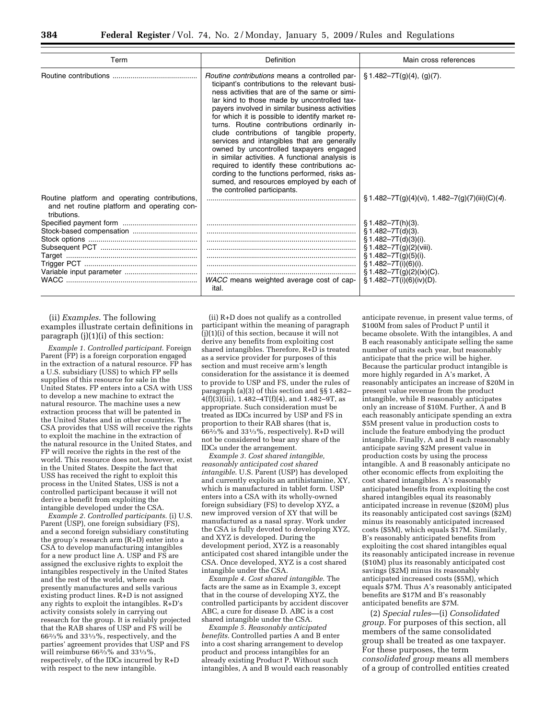| Term                                                                                                        | Definition                                                                                                                                                                                                                                                                                                                                                                                                                                                                                                                                                                                                                                                                                                                        | Main cross references                                                                                                                                                                                                            |  |  |
|-------------------------------------------------------------------------------------------------------------|-----------------------------------------------------------------------------------------------------------------------------------------------------------------------------------------------------------------------------------------------------------------------------------------------------------------------------------------------------------------------------------------------------------------------------------------------------------------------------------------------------------------------------------------------------------------------------------------------------------------------------------------------------------------------------------------------------------------------------------|----------------------------------------------------------------------------------------------------------------------------------------------------------------------------------------------------------------------------------|--|--|
|                                                                                                             | <i>Routine contributions</i> means a controlled par-<br>ticipant's contributions to the relevant busi-<br>ness activities that are of the same or simi-<br>lar kind to those made by uncontrolled tax-<br>payers involved in similar business activities<br>for which it is possible to identify market re-<br>turns. Routine contributions ordinarily in-<br>clude contributions of tangible property,<br>services and intangibles that are generally<br>owned by uncontrolled taxpayers engaged<br>in similar activities. A functional analysis is<br>required to identify these contributions ac-<br>cording to the functions performed, risks as-<br>sumed, and resources employed by each of<br>the controlled participants. | $\S 1.482 - 7T(g)(4)$ , (g)(7).                                                                                                                                                                                                  |  |  |
| Routine platform and operating contributions,<br>and net routine platform and operating con-<br>tributions. |                                                                                                                                                                                                                                                                                                                                                                                                                                                                                                                                                                                                                                                                                                                                   | $\S 1.482 - 7T(g)(4)(vi)$ , 1.482-7(g)(7)(iii)(C)(4).                                                                                                                                                                            |  |  |
|                                                                                                             | WACC means weighted average cost of cap-<br>ital.                                                                                                                                                                                                                                                                                                                                                                                                                                                                                                                                                                                                                                                                                 | $$1.482 - 7T(h)(3).$<br>$§ 1.482 - 7T(d)(3).$<br>$§ 1.482 - 7T(d)(3)(i).$<br>$\S 1.482 - 7T(g)(2)(viii)$ .<br>§ 1.482-7T(g)(5)(i).<br>$§ 1.482 - 7T(i)(6)(i).$<br>$\S 1.482 - 7T(g)(2)(ix)(C)$ .<br>$§ 1.482 - 7T(i)(6)(iv)(D).$ |  |  |

(ii) *Examples*. The following examples illustrate certain definitions in paragraph (j)(1)(i) of this section:

*Example 1. Controlled participant*. Foreign Parent (FP) is a foreign corporation engaged in the extraction of a natural resource. FP has a U.S. subsidiary (USS) to which FP sells supplies of this resource for sale in the United States. FP enters into a CSA with USS to develop a new machine to extract the natural resource. The machine uses a new extraction process that will be patented in the United States and in other countries. The CSA provides that USS will receive the rights to exploit the machine in the extraction of the natural resource in the United States, and FP will receive the rights in the rest of the world. This resource does not, however, exist in the United States. Despite the fact that USS has received the right to exploit this process in the United States, USS is not a controlled participant because it will not derive a benefit from exploiting the intangible developed under the CSA.

*Example 2. Controlled participants*. (i) U.S. Parent (USP), one foreign subsidiary (FS), and a second foreign subsidiary constituting the group's research arm (R+D) enter into a CSA to develop manufacturing intangibles for a new product line A. USP and FS are assigned the exclusive rights to exploit the intangibles respectively in the United States and the rest of the world, where each presently manufactures and sells various existing product lines. R+D is not assigned any rights to exploit the intangibles. R+D's activity consists solely in carrying out research for the group. It is reliably projected that the RAB shares of USP and FS will be 662⁄3% and 331⁄3%, respectively, and the parties' agreement provides that USP and FS will reimburse  $66\frac{2}{3}\%$  and  $33\frac{1}{3}\%$ respectively, of the IDCs incurred by R+D with respect to the new intangible.

(ii) R+D does not qualify as a controlled participant within the meaning of paragraph  $(i)(1)(i)$  of this section, because it will not derive any benefits from exploiting cost shared intangibles. Therefore, R+D is treated as a service provider for purposes of this section and must receive arm's length consideration for the assistance it is deemed to provide to USP and FS, under the rules of paragraph (a)(3) of this section and §§ 1.482–  $4(f)(3)(iii)$ , 1.482–4T(f)(4), and 1.482–9T, as appropriate. Such consideration must be treated as IDCs incurred by USP and FS in proportion to their RAB shares (that is,  $66\frac{2}{3}\%$  and  $33\frac{1}{3}\%$ , respectively). R+D will not be considered to bear any share of the IDCs under the arrangement.

*Example 3. Cost shared intangible, reasonably anticipated cost shared intangible*. U.S. Parent (USP) has developed and currently exploits an antihistamine, XY, which is manufactured in tablet form. USP enters into a CSA with its wholly-owned foreign subsidiary (FS) to develop XYZ, a new improved version of XY that will be manufactured as a nasal spray. Work under the CSA is fully devoted to developing XYZ, and XYZ is developed. During the development period, XYZ is a reasonably anticipated cost shared intangible under the CSA. Once developed, XYZ is a cost shared intangible under the CSA.

*Example 4. Cost shared intangible*. The facts are the same as in Example 3, except that in the course of developing XYZ, the controlled participants by accident discover ABC, a cure for disease D. ABC is a cost shared intangible under the CSA.

*Example 5. Reasonably anticipated benefits*. Controlled parties A and B enter into a cost sharing arrangement to develop product and process intangibles for an already existing Product P. Without such intangibles, A and B would each reasonably anticipate revenue, in present value terms, of \$100M from sales of Product P until it became obsolete. With the intangibles, A and B each reasonably anticipate selling the same number of units each year, but reasonably anticipate that the price will be higher. Because the particular product intangible is more highly regarded in A's market, A reasonably anticipates an increase of \$20M in present value revenue from the product intangible, while B reasonably anticipates only an increase of \$10M. Further, A and B each reasonably anticipate spending an extra \$5M present value in production costs to include the feature embodying the product intangible. Finally, A and B each reasonably anticipate saving \$2M present value in production costs by using the process intangible. A and B reasonably anticipate no other economic effects from exploiting the cost shared intangibles. A's reasonably anticipated benefits from exploiting the cost shared intangibles equal its reasonably anticipated increase in revenue (\$20M) plus its reasonably anticipated cost savings (\$2M) minus its reasonably anticipated increased costs (\$5M), which equals \$17M. Similarly, B's reasonably anticipated benefits from exploiting the cost shared intangibles equal its reasonably anticipated increase in revenue (\$10M) plus its reasonably anticipated cost savings (\$2M) minus its reasonably anticipated increased costs (\$5M), which equals \$7M. Thus A's reasonably anticipated benefits are \$17M and B's reasonably anticipated benefits are \$7M.

(2) *Special rules*—(i) *Consolidated group.* For purposes of this section, all members of the same consolidated group shall be treated as one taxpayer. For these purposes, the term *consolidated group* means all members of a group of controlled entities created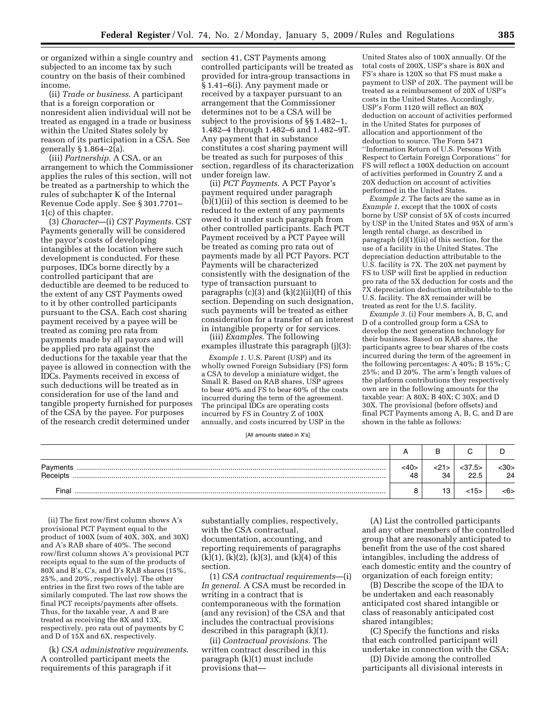or organized within a single country and subjected to an income tax by such country on the basis of their combined income.

(ii) *Trade or business*. A participant that is a foreign corporation or nonresident alien individual will not be treated as engaged in a trade or business within the United States solely by reason of its participation in a CSA. See generally  $\S 1.864 - 2(a)$ .

(iii) *Partnership*. A CSA, or an arrangement to which the Commissioner applies the rules of this section, will not be treated as a partnership to which the rules of subchapter K of the Internal Revenue Code apply. See § 301.7701– 1(c) of this chapter.

(3) *Character*—(i) *CST Payments*. CST Payments generally will be considered the payor's costs of developing intangibles at the location where such development is conducted. For these purposes, IDCs borne directly by a controlled participant that are deductible are deemed to be reduced to the extent of any CST Payments owed to it by other controlled participants pursuant to the CSA. Each cost sharing payment received by a payee will be treated as coming pro rata from payments made by all payors and will be applied pro rata against the deductions for the taxable year that the payee is allowed in connection with the IDCs. Payments received in excess of such deductions will be treated as in consideration for use of the land and tangible property furnished for purposes of the CSA by the payee. For purposes of the research credit determined under

section 41, CST Payments among controlled participants will be treated as provided for intra-group transactions in § 1.41–6(i). Any payment made or received by a taxpayer pursuant to an arrangement that the Commissioner determines not to be a CSA will be subject to the provisions of §§ 1.482–1, 1.482–4 through 1.482–6 and 1.482–9T. Any payment that in substance constitutes a cost sharing payment will be treated as such for purposes of this section, regardless of its characterization under foreign law.

(ii) *PCT Payments*. A PCT Payor's payment required under paragraph (b)(1)(ii) of this section is deemed to be reduced to the extent of any payments owed to it under such paragraph from other controlled participants. Each PCT Payment received by a PCT Payee will be treated as coming pro rata out of payments made by all PCT Payors. PCT Payments will be characterized consistently with the designation of the type of transaction pursuant to paragraphs  $(c)(3)$  and  $(k)(2)(ii)(H)$  of this section. Depending on such designation, such payments will be treated as either consideration for a transfer of an interest in intangible property or for services.

(iii) *Examples*. The following examples illustrate this paragraph (j)(3):

*Example 1.* U.S. Parent (USP) and its wholly owned Foreign Subsidiary (FS) form a CSA to develop a miniature widget, the Small R. Based on RAB shares, USP agrees to bear 40% and FS to bear 60% of the costs incurred during the term of the agreement. The principal IDCs are operating costs incurred by FS in Country Z of 100X annually, and costs incurred by USP in the

[All amounts stated in X's]

| Payments<br>Receipts | $<$ 40><br>48 | <21<br>34 | $<$ 37.5 $>$<br>22.5 | $30$<br>24 |
|----------------------|---------------|-----------|----------------------|------------|
| Final                |               | 10.       | <15>                 | <6>        |

(ii) The first row/first column shows A's provisional PCT Payment equal to the product of 100X (sum of 40X, 30X, and 30X) and A's RAB share of 40%. The second row/first column shows A's provisional PCT receipts equal to the sum of the products of 80X and B's, C's, and D's RAB shares (15%, 25%, and 20%, respectively). The other entries in the first two rows of the table are similarly computed. The last row shows the final PCT receipts/payments after offsets. Thus, for the taxable year, A and B are treated as receiving the 8X and 13X, respectively, pro rata out of payments by C and D of 15X and 6X, respectively.

(k) *CSA administrative requirements*. A controlled participant meets the requirements of this paragraph if it

substantially complies, respectively, with the CSA contractual, documentation, accounting, and reporting requirements of paragraphs  $(k)(1)$ ,  $(k)(2)$ ,  $(k)(3)$ , and  $(k)(4)$  of this section.

(1) *CSA contractual requirements*—(i) *In general*. A CSA must be recorded in writing in a contract that is contemporaneous with the formation (and any revision) of the CSA and that includes the contractual provisions described in this paragraph (k)(1).

(ii) *Contractual provisions*. The written contract described in this paragraph (k)(1) must include provisions that—

(A) List the controlled participants and any other members of the controlled group that are reasonably anticipated to benefit from the use of the cost shared intangibles, including the address of each domestic entity and the country of organization of each foreign entity;

(B) Describe the scope of the IDA to be undertaken and each reasonably anticipated cost shared intangible or class of reasonably anticipated cost shared intangibles;

(C) Specify the functions and risks that each controlled participant will undertake in connection with the CSA;

(D) Divide among the controlled participants all divisional interests in

United States also of 100X annually. Of the total costs of 200X, USP's share is 80X and FS's share is 120X so that FS must make a payment to USP of 20X. The payment will be treated as a reimbursement of 20X of USP's costs in the United States. Accordingly, USP's Form 1120 will reflect an 80X deduction on account of activities performed in the United States for purposes of allocation and apportionment of the deduction to source. The Form 5471 ''Information Return of U.S. Persons With Respect to Certain Foreign Corporations'' for FS will reflect a 100X deduction on account of activities performed in Country Z and a 20X deduction on account of activities performed in the United States.

*Example 2.* The facts are the same as in *Example 1*, except that the 100X of costs borne by USP consist of 5X of costs incurred by USP in the United States and 95X of arm's

*Example 3.* (i) Four members A, B, C, and D of a controlled group form a CSA to develop the next generation technology for their business. Based on RAB shares, the participants agree to bear shares of the costs incurred during the term of the agreement in the following percentages: A 40%; B 15%; C 25%; and D 20%. The arm's length values of the platform contributions they respectively own are in the following amounts for the taxable year: A 80X; B 40X; C 30X; and D 30X. The provisional (before offsets) and final PCT Payments among A, B, C, and D are

length rental charge, as described in paragraph (d)(1)(iii) of this section, for the use of a facility in the United States. The depreciation deduction attributable to the U.S. facility is 7X. The 20X net payment by FS to USP will first be applied in reduction pro rata of the 5X deduction for costs and the 7X depreciation deduction attributable to the U.S. facility. The 8X remainder will be treated as rent for the U.S. facility.

shown in the table as follows: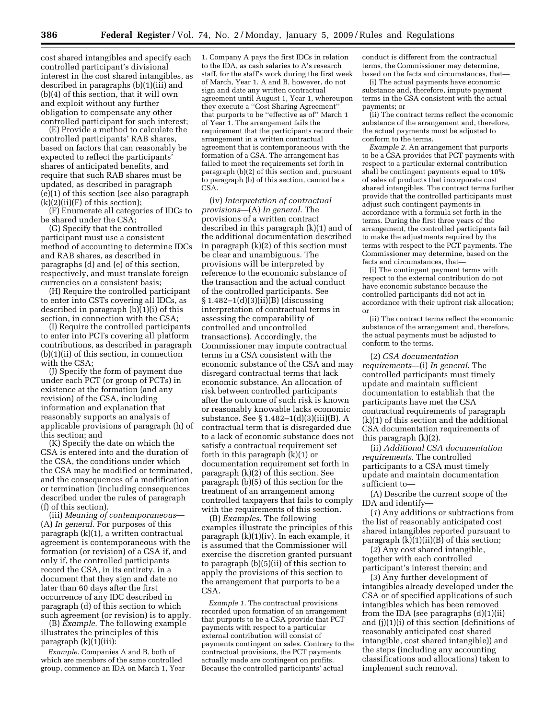cost shared intangibles and specify each controlled participant's divisional interest in the cost shared intangibles, as described in paragraphs (b)(1)(iii) and (b)(4) of this section, that it will own and exploit without any further obligation to compensate any other controlled participant for such interest;

(E) Provide a method to calculate the controlled participants' RAB shares, based on factors that can reasonably be expected to reflect the participants' shares of anticipated benefits, and require that such RAB shares must be updated, as described in paragraph (e)(1) of this section (see also paragraph  $(k)(2)(ii)(F)$  of this section);

(F) Enumerate all categories of IDCs to be shared under the CSA;

(G) Specify that the controlled participant must use a consistent method of accounting to determine IDCs and RAB shares, as described in paragraphs (d) and (e) of this section, respectively, and must translate foreign currencies on a consistent basis;

(H) Require the controlled participant to enter into CSTs covering all IDCs, as described in paragraph (b)(1)(i) of this section, in connection with the CSA;

(I) Require the controlled participants to enter into PCTs covering all platform contributions, as described in paragraph (b)(1)(ii) of this section, in connection with the CSA;

(J) Specify the form of payment due under each PCT (or group of PCTs) in existence at the formation (and any revision) of the CSA, including information and explanation that reasonably supports an analysis of applicable provisions of paragraph (h) of this section; and

(K) Specify the date on which the CSA is entered into and the duration of the CSA, the conditions under which the CSA may be modified or terminated, and the consequences of a modification or termination (including consequences described under the rules of paragraph (f) of this section).

(iii) *Meaning of contemporaneous*— (A) *In general*. For purposes of this paragraph (k)(1), a written contractual agreement is contemporaneous with the formation (or revision) of a CSA if, and only if, the controlled participants record the CSA, in its entirety, in a document that they sign and date no later than 60 days after the first occurrence of any IDC described in paragraph (d) of this section to which such agreement (or revision) is to apply.

(B) *Example*. The following example illustrates the principles of this paragraph (k)(1)(iii):

*Example.* Companies A and B, both of which are members of the same controlled group, commence an IDA on March 1, Year

1. Company A pays the first IDCs in relation to the IDA, as cash salaries to A's research staff, for the staff's work during the first week of March, Year 1. A and B, however, do not sign and date any written contractual agreement until August 1, Year 1, whereupon they execute a ''Cost Sharing Agreement'' that purports to be ''effective as of'' March 1 of Year 1. The arrangement fails the requirement that the participants record their arrangement in a written contractual agreement that is contemporaneous with the formation of a CSA. The arrangement has failed to meet the requirements set forth in paragraph (b)(2) of this section and, pursuant to paragraph (b) of this section, cannot be a CSA.

(iv) *Interpretation of contractual provisions*—(A) *In general*. The provisions of a written contract described in this paragraph (k)(1) and of the additional documentation described in paragraph (k)(2) of this section must be clear and unambiguous. The provisions will be interpreted by reference to the economic substance of the transaction and the actual conduct of the controlled participants. See § 1.482–1(d)(3)(ii)(B) (discussing interpretation of contractual terms in assessing the comparability of controlled and uncontrolled transactions). Accordingly, the Commissioner may impute contractual terms in a CSA consistent with the economic substance of the CSA and may disregard contractual terms that lack economic substance. An allocation of risk between controlled participants after the outcome of such risk is known or reasonably knowable lacks economic substance. See § 1.482–1(d)(3)(iii)(B). A contractual term that is disregarded due to a lack of economic substance does not satisfy a contractual requirement set forth in this paragraph (k)(1) or documentation requirement set forth in paragraph (k)(2) of this section. See paragraph (b)(5) of this section for the treatment of an arrangement among controlled taxpayers that fails to comply with the requirements of this section.

(B) *Examples*. The following examples illustrate the principles of this paragraph (k)(1)(iv). In each example, it is assumed that the Commissioner will exercise the discretion granted pursuant to paragraph (b)(5)(ii) of this section to apply the provisions of this section to the arrangement that purports to be a CSA.

*Example 1.* The contractual provisions recorded upon formation of an arrangement that purports to be a CSA provide that PCT payments with respect to a particular external contribution will consist of payments contingent on sales. Contrary to the contractual provisions, the PCT payments actually made are contingent on profits. Because the controlled participants' actual

conduct is different from the contractual terms, the Commissioner may determine, based on the facts and circumstances, that—

(i) The actual payments have economic substance and, therefore, impute payment terms in the CSA consistent with the actual payments; or

(ii) The contract terms reflect the economic substance of the arrangement and, therefore, the actual payments must be adjusted to conform to the terms.

*Example 2.* An arrangement that purports to be a CSA provides that PCT payments with respect to a particular external contribution shall be contingent payments equal to 10% of sales of products that incorporate cost shared intangibles. The contract terms further provide that the controlled participants must adjust such contingent payments in accordance with a formula set forth in the terms. During the first three years of the arrangement, the controlled participants fail to make the adjustments required by the terms with respect to the PCT payments. The Commissioner may determine, based on the facts and circumstances, that—

(i) The contingent payment terms with respect to the external contribution do not have economic substance because the controlled participants did not act in accordance with their upfront risk allocation; or

(ii) The contract terms reflect the economic substance of the arrangement and, therefore, the actual payments must be adjusted to conform to the terms.

(2) *CSA documentation requirements*—(i) *In general*. The controlled participants must timely update and maintain sufficient documentation to establish that the participants have met the CSA contractual requirements of paragraph (k)(1) of this section and the additional CSA documentation requirements of this paragraph (k)(2).

(ii) *Additional CSA documentation requirements*. The controlled participants to a CSA must timely update and maintain documentation sufficient to—

(A) Describe the current scope of the IDA and identify—

(*1*) Any additions or subtractions from the list of reasonably anticipated cost shared intangibles reported pursuant to paragraph  $(k)(1)(ii)(B)$  of this section;

(*2*) Any cost shared intangible, together with each controlled participant's interest therein; and

(*3*) Any further development of intangibles already developed under the CSA or of specified applications of such intangibles which has been removed from the IDA (see paragraphs (d)(1)(ii) and (j)(1)(i) of this section (definitions of reasonably anticipated cost shared intangible, cost shared intangible)) and the steps (including any accounting classifications and allocations) taken to implement such removal.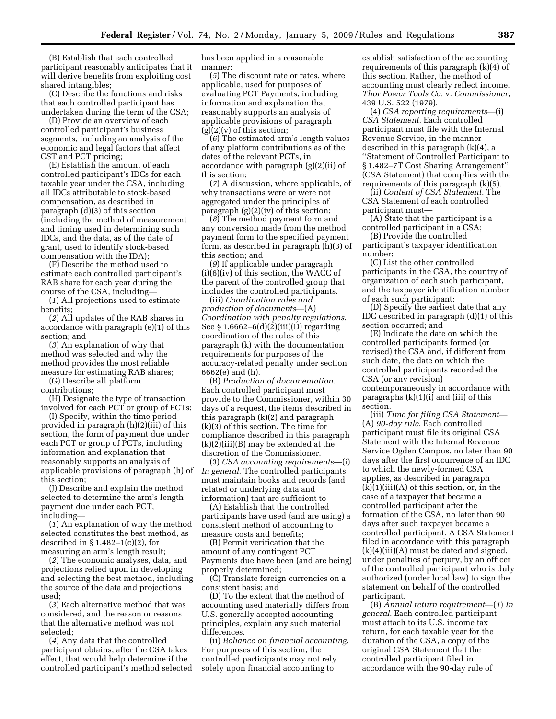(B) Establish that each controlled participant reasonably anticipates that it will derive benefits from exploiting cost shared intangibles;

(C) Describe the functions and risks that each controlled participant has undertaken during the term of the CSA;

(D) Provide an overview of each controlled participant's business segments, including an analysis of the economic and legal factors that affect CST and PCT pricing;

(E) Establish the amount of each controlled participant's IDCs for each taxable year under the CSA, including all IDCs attributable to stock-based compensation, as described in paragraph (d)(3) of this section (including the method of measurement and timing used in determining such IDCs, and the data, as of the date of grant, used to identify stock-based compensation with the IDA);

(F) Describe the method used to estimate each controlled participant's RAB share for each year during the course of the CSA, including—

(*1*) All projections used to estimate benefits;

(*2*) All updates of the RAB shares in accordance with paragraph (e)(1) of this section; and

(*3*) An explanation of why that method was selected and why the method provides the most reliable measure for estimating RAB shares;

(G) Describe all platform contributions;

(H) Designate the type of transaction involved for each PCT or group of PCTs;

(I) Specify, within the time period provided in paragraph (h)(2)(iii) of this section, the form of payment due under each PCT or group of PCTs, including information and explanation that reasonably supports an analysis of applicable provisions of paragraph (h) of this section;

(J) Describe and explain the method selected to determine the arm's length payment due under each PCT, including—

(*1*) An explanation of why the method selected constitutes the best method, as described in  $\S 1.482-1(c)(2)$ , for measuring an arm's length result;

(*2*) The economic analyses, data, and projections relied upon in developing and selecting the best method, including the source of the data and projections used;

(*3*) Each alternative method that was considered, and the reason or reasons that the alternative method was not selected;

(*4*) Any data that the controlled participant obtains, after the CSA takes effect, that would help determine if the controlled participant's method selected has been applied in a reasonable manner;

(*5*) The discount rate or rates, where applicable, used for purposes of evaluating PCT Payments, including information and explanation that reasonably supports an analysis of applicable provisions of paragraph  $(g)(2)(v)$  of this section;

(*6*) The estimated arm's length values of any platform contributions as of the dates of the relevant PCTs, in accordance with paragraph (g)(2)(ii) of this section;

(*7*) A discussion, where applicable, of why transactions were or were not aggregated under the principles of paragraph  $(g)(2)(iv)$  of this section;

(*8*) The method payment form and any conversion made from the method payment form to the specified payment form, as described in paragraph (h)(3) of this section; and

(*9*) If applicable under paragraph (i)(6)(iv) of this section, the WACC of the parent of the controlled group that includes the controlled participants.

(iii) *Coordination rules and production of documents*—(A) *Coordination with penalty regulations*. See § 1.6662–6(d)(2)(iii)(D) regarding coordination of the rules of this paragraph (k) with the documentation requirements for purposes of the accuracy-related penalty under section 6662(e) and (h).

(B) *Production of documentation*. Each controlled participant must provide to the Commissioner, within 30 days of a request, the items described in this paragraph (k)(2) and paragraph (k)(3) of this section. The time for compliance described in this paragraph (k)(2)(iii)(B) may be extended at the discretion of the Commissioner.

(3) *CSA accounting requirements*—(i) *In general*. The controlled participants must maintain books and records (and related or underlying data and information) that are sufficient to—

(A) Establish that the controlled participants have used (and are using) a consistent method of accounting to measure costs and benefits;

(B) Permit verification that the amount of any contingent PCT Payments due have been (and are being) properly determined;

(C) Translate foreign currencies on a consistent basis; and

(D) To the extent that the method of accounting used materially differs from U.S. generally accepted accounting principles, explain any such material differences.

(ii) *Reliance on financial accounting*. For purposes of this section, the controlled participants may not rely solely upon financial accounting to

establish satisfaction of the accounting requirements of this paragraph (k)(4) of this section. Rather, the method of accounting must clearly reflect income. *Thor Power Tools Co.* v. *Commissioner*, 439 U.S. 522 (1979).

(4) *CSA reporting requirements*—(i) *CSA Statement*. Each controlled participant must file with the Internal Revenue Service, in the manner described in this paragraph (k)(4), a ''Statement of Controlled Participant to § 1.482–7T Cost Sharing Arrangement'' (CSA Statement) that complies with the requirements of this paragraph (k)(5).

(ii) *Content of CSA Statement*. The CSA Statement of each controlled participant must—

(A) State that the participant is a controlled participant in a CSA;

(B) Provide the controlled participant's taxpayer identification number;

(C) List the other controlled participants in the CSA, the country of organization of each such participant, and the taxpayer identification number of each such participant;

(D) Specify the earliest date that any IDC described in paragraph (d)(1) of this section occurred; and

(E) Indicate the date on which the controlled participants formed (or revised) the CSA and, if different from such date, the date on which the controlled participants recorded the CSA (or any revision) contemporaneously in accordance with paragraphs  $(k)(1)(i)$  and  $(iii)$  of this section.

(iii) *Time for filing CSA Statement*— (A) *90-day rule*. Each controlled participant must file its original CSA Statement with the Internal Revenue Service Ogden Campus, no later than 90 days after the first occurrence of an IDC to which the newly-formed CSA applies, as described in paragraph  $(k)(1)(iii)(A)$  of this section, or, in the case of a taxpayer that became a controlled participant after the formation of the CSA, no later than 90 days after such taxpayer became a controlled participant. A CSA Statement filed in accordance with this paragraph  $(k)(4)(iii)(A)$  must be dated and signed, under penalties of perjury, by an officer of the controlled participant who is duly authorized (under local law) to sign the statement on behalf of the controlled participant.

(B) *Annual return requirement*—(*1*) *In general*. Each controlled participant must attach to its U.S. income tax return, for each taxable year for the duration of the CSA, a copy of the original CSA Statement that the controlled participant filed in accordance with the 90-day rule of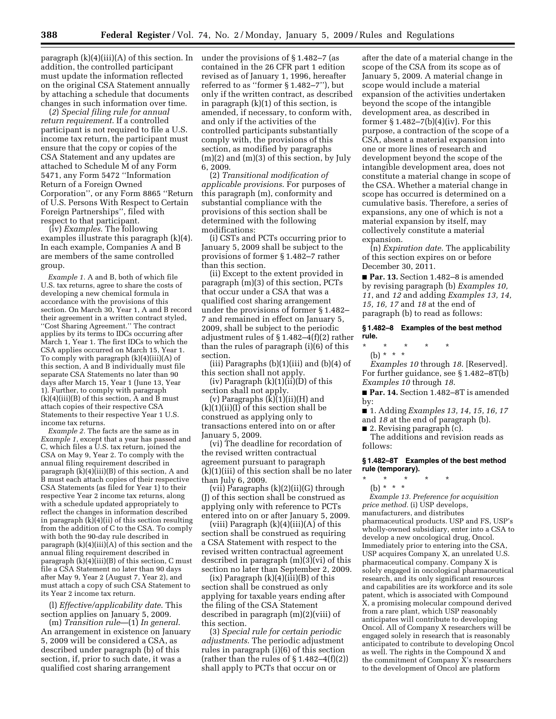paragraph (k)(4)(iii)(A) of this section. In under the provisions of § 1.482–7 (as addition, the controlled participant must update the information reflected on the original CSA Statement annually by attaching a schedule that documents changes in such information over time.

(*2*) *Special filing rule for annual return requirement*. If a controlled participant is not required to file a U.S. income tax return, the participant must ensure that the copy or copies of the CSA Statement and any updates are attached to Schedule M of any Form 5471, any Form 5472 ''Information Return of a Foreign Owned Corporation'', or any Form 8865 ''Return of U.S. Persons With Respect to Certain Foreign Partnerships'', filed with respect to that participant.

(iv) *Examples*. The following examples illustrate this paragraph (k)(4). In each example, Companies A and B are members of the same controlled group.

*Example 1.* A and B, both of which file U.S. tax returns, agree to share the costs of developing a new chemical formula in accordance with the provisions of this section. On March 30, Year 1, A and B record their agreement in a written contract styled, ''Cost Sharing Agreement.'' The contract applies by its terms to IDCs occurring after March 1, Year 1. The first IDCs to which the CSA applies occurred on March 15, Year 1. To comply with paragraph (k)(4)(iii)(A) of this section, A and B individually must file separate CSA Statements no later than 90 days after March 15, Year 1 (June 13, Year 1). Further, to comply with paragraph (k)(4)(iii)(B) of this section, A and B must attach copies of their respective CSA Statements to their respective Year 1 U.S. income tax returns.

*Example 2.* The facts are the same as in *Example 1*, except that a year has passed and C, which files a U.S. tax return, joined the CSA on May 9, Year 2. To comply with the annual filing requirement described in paragraph (k)(4)(iii)(B) of this section, A and B must each attach copies of their respective CSA Statements (as filed for Year 1) to their respective Year 2 income tax returns, along with a schedule updated appropriately to reflect the changes in information described in paragraph  $(k)(4)(ii)$  of this section resulting from the addition of C to the CSA. To comply with both the 90-day rule described in paragraph  $(k)(4)(iii)(A)$  of this section and the annual filing requirement described in paragraph  $(k)(4)(iii)(B)$  of this section, C must file a CSA Statement no later than 90 days after May 9, Year 2 (August 7, Year 2), and must attach a copy of such CSA Statement to its Year 2 income tax return.

(l) *Effective/applicability date*. This section applies on January 5, 2009.

(m) *Transition rule*—(1) *In general*. An arrangement in existence on January 5, 2009 will be considered a CSA, as described under paragraph (b) of this section, if, prior to such date, it was a qualified cost sharing arrangement

contained in the 26 CFR part 1 edition revised as of January 1, 1996, hereafter referred to as ''former § 1.482–7''), but only if the written contract, as described in paragraph (k)(1) of this section, is amended, if necessary, to conform with, and only if the activities of the controlled participants substantially comply with, the provisions of this section, as modified by paragraphs (m)(2) and (m)(3) of this section, by July 6, 2009.

(2) *Transitional modification of applicable provisions*. For purposes of this paragraph (m), conformity and substantial compliance with the provisions of this section shall be determined with the following modifications:

(i) CSTs and PCTs occurring prior to January 5, 2009 shall be subject to the provisions of former § 1.482–7 rather than this section.

(ii) Except to the extent provided in paragraph (m)(3) of this section, PCTs that occur under a CSA that was a qualified cost sharing arrangement under the provisions of former § 1.482– 7 and remained in effect on January 5, 2009, shall be subject to the periodic adjustment rules of § 1.482–4(f)(2) rather than the rules of paragraph (i)(6) of this section.

(iii) Paragraphs  $(b)(1)(iii)$  and  $(b)(4)$  of this section shall not apply.

(iv) Paragraph  $(k)(1)(ii)(D)$  of this section shall not apply.

(v) Paragraphs (k)(1)(ii)(H) and  $(k)(1)(ii)(I)$  of this section shall be construed as applying only to transactions entered into on or after January 5, 2009.

(vi) The deadline for recordation of the revised written contractual agreement pursuant to paragraph (k)(1)(iii) of this section shall be no later than July 6, 2009.

(vii) Paragraphs  $(k)(2)(ii)(G)$  through (J) of this section shall be construed as applying only with reference to PCTs entered into on or after January 5, 2009.

(viii) Paragraph  $(k)(4)(iii)(A)$  of this section shall be construed as requiring a CSA Statement with respect to the revised written contractual agreement described in paragraph (m)(3)(vi) of this section no later than September 2, 2009.

 $(ix)$  Paragraph  $(k)(4)(iii)(B)$  of this section shall be construed as only applying for taxable years ending after the filing of the CSA Statement described in paragraph (m)(2)(viii) of this section.

(3) *Special rule for certain periodic adjustments*. The periodic adjustment rules in paragraph (i)(6) of this section (rather than the rules of  $\S 1.482-4(f)(2)$ ) shall apply to PCTs that occur on or

after the date of a material change in the scope of the CSA from its scope as of January 5, 2009. A material change in scope would include a material expansion of the activities undertaken beyond the scope of the intangible development area, as described in former  $\S 1.482-7(b)(4)(iv)$ . For this purpose, a contraction of the scope of a CSA, absent a material expansion into one or more lines of research and development beyond the scope of the intangible development area, does not constitute a material change in scope of the CSA. Whether a material change in scope has occurred is determined on a cumulative basis. Therefore, a series of expansions, any one of which is not a material expansion by itself, may collectively constitute a material expansion.

(n) *Expiration date*. The applicability of this section expires on or before December 30, 2011.

■ **Par. 13.** Section 1.482–8 is amended by revising paragraph (b) *Examples 10, 11*, and *12* and adding *Examples 13, 14, 15, 16, 17* and *18* at the end of paragraph (b) to read as follows:

#### **§ 1.482–8 Examples of the best method rule.**

\* \* \* \* \* (b) \* \* \*

*Examples 10* through *18*. [Reserved]. For further guidance, see § 1.482–8T(b) *Examples 10* through *18*.

■ **Par. 14.** Section 1.482–8T is amended by:

■ 1. Adding *Examples 13, 14, 15, 16, 17* 

and *18* at the end of paragraph (b).

■ 2. Revising paragraph (c).

The additions and revision reads as follows:

## **§ 1.482–8T Examples of the best method rule (temporary).**

\* \* \* \* \*

(b) \* \* \* *Example 13. Preference for acquisition price method.* (i) USP develops, manufacturers, and distributes pharmaceutical products. USP and FS, USP's wholly-owned subsidiary, enter into a CSA to develop a new oncological drug, Oncol. Immediately prior to entering into the CSA USP acquires Company X, an unrelated U.S. pharmaceutical company. Company X is solely engaged in oncological pharmaceutical research, and its only significant resources and capabilities are its workforce and its sole patent, which is associated with Compound X, a promising molecular compound derived from a rare plant, which USP reasonably anticipates will contribute to developing Oncol. All of Company X researchers will be engaged solely in research that is reasonably anticipated to contribute to developing Oncol as well. The rights in the Compound X and the commitment of Company X's researchers to the development of Oncol are platform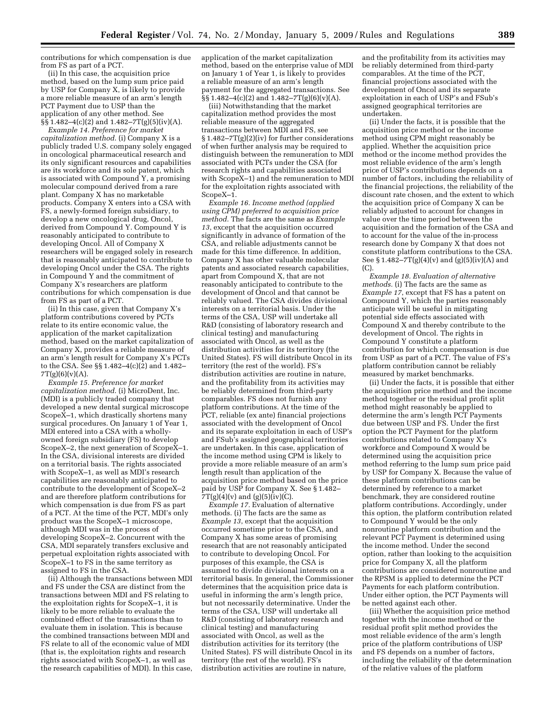contributions for which compensation is due from FS as part of a PCT.

(ii) In this case, the acquisition price method, based on the lump sum price paid by USP for Company X, is likely to provide a more reliable measure of an arm's length PCT Payment due to USP than the application of any other method. See §§ 1.482–4(c)(2) and 1.482–7T(g)(5)(iv)(A).

*Example 14. Preference for market capitalization method*. (i) Company X is a publicly traded U.S. company solely engaged in oncological pharmaceutical research and its only significant resources and capabilities are its workforce and its sole patent, which is associated with Compound Y, a promising molecular compound derived from a rare plant. Company X has no marketable products. Company X enters into a CSA with FS, a newly-formed foreign subsidiary, to develop a new oncological drug, Oncol, derived from Compound Y. Compound Y is reasonably anticipated to contribute to developing Oncol. All of Company X researchers will be engaged solely in research that is reasonably anticipated to contribute to developing Oncol under the CSA. The rights in Compound Y and the commitment of Company X's researchers are platform contributions for which compensation is due from FS as part of a PCT.

(ii) In this case, given that Company X's platform contributions covered by PCTs relate to its entire economic value, the application of the market capitalization method, based on the market capitalization of Company X, provides a reliable measure of an arm's length result for Company X's PCTs to the CSA. See §§ 1.482–4(c)(2) and 1.482– 7T(g)(6)(v)(A).

*Example 15. Preference for market capitalization method*. (i) MicroDent, Inc. (MDI) is a publicly traded company that developed a new dental surgical microscope Scope $\hat{X}$ –1, which drastically shortens many surgical procedures. On January 1 of Year 1, MDI entered into a CSA with a whollyowned foreign subsidiary (FS) to develop ScopeX–2, the next generation of Scope $\tilde{X}$ –1. In the CSA, divisional interests are divided on a territorial basis. The rights associated with ScopeX–1, as well as MDI's research capabilities are reasonably anticipated to contribute to the development of ScopeX–2 and are therefore platform contributions for which compensation is due from FS as part of a PCT. At the time of the PCT, MDI's only product was the ScopeX–1 microscope, although MDI was in the process of developing ScopeX–2. Concurrent with the CSA, MDI separately transfers exclusive and perpetual exploitation rights associated with ScopeX–1 to FS in the same territory as assigned to FS in the CSA.

(ii) Although the transactions between MDI and FS under the CSA are distinct from the transactions between MDI and FS relating to the exploitation rights for ScopeX–1, it is likely to be more reliable to evaluate the combined effect of the transactions than to evaluate them in isolation. This is because the combined transactions between MDI and FS relate to all of the economic value of MDI (that is, the exploitation rights and research rights associated with ScopeX–1, as well as the research capabilities of MDI). In this case, application of the market capitalization method, based on the enterprise value of MDI on January 1 of Year 1, is likely to provides a reliable measure of an arm's length payment for the aggregated transactions. See  $\S$ § 1.482–4(c)(2) and 1.482–7T(g)(6)(v)(A).

(iii) Notwithstanding that the market capitalization method provides the most reliable measure of the aggregated transactions between MDI and FS, see § 1.482–7T(g)(2)(iv) for further considerations of when further analysis may be required to distinguish between the remuneration to MDI associated with PCTs under the CSA (for research rights and capabilities associated with ScopeX–1) and the remuneration to MDI for the exploitation rights associated with ScopeX–1.

*Example 16. Income method (applied using CPM) preferred to acquisition price method.* The facts are the same as *Example 13*, except that the acquisition occurred significantly in advance of formation of the CSA, and reliable adjustments cannot be made for this time difference. In addition, Company X has other valuable molecular patents and associated research capabilities, apart from Compound X, that are not reasonably anticipated to contribute to the development of Oncol and that cannot be reliably valued. The CSA divides divisional interests on a territorial basis. Under the terms of the CSA, USP will undertake all R&D (consisting of laboratory research and clinical testing) and manufacturing associated with Oncol, as well as the distribution activities for its territory (the United States). FS will distribute Oncol in its territory (the rest of the world). FS's distribution activities are routine in nature, and the profitability from its activities may be reliably determined from third-party comparables. FS does not furnish any platform contributions. At the time of the PCT, reliable (ex ante) financial projections associated with the development of Oncol and its separate exploitation in each of USP's and FSub's assigned geographical territories are undertaken. In this case, application of the income method using CPM is likely to provide a more reliable measure of an arm's length result than application of the acquisition price method based on the price paid by USP for Company X. See § 1.482–  $7T(g)(4)(v)$  and  $(g)(5)(iv)(C)$ .

*Example 17.* Evaluation of alternative methods. (i) The facts are the same as *Example 13*, except that the acquisition occurred sometime prior to the CSA, and Company X has some areas of promising research that are not reasonably anticipated to contribute to developing Oncol. For purposes of this example, the CSA is assumed to divide divisional interests on a territorial basis. In general, the Commissioner determines that the acquisition price data is useful in informing the arm's length price, but not necessarily determinative. Under the terms of the CSA, USP will undertake all R&D (consisting of laboratory research and clinical testing) and manufacturing associated with Oncol, as well as the distribution activities for its territory (the United States). FS will distribute Oncol in its territory (the rest of the world). FS's distribution activities are routine in nature,

and the profitability from its activities may be reliably determined from third-party comparables. At the time of the PCT, financial projections associated with the development of Oncol and its separate exploitation in each of USP's and FSub's assigned geographical territories are undertaken.

(ii) Under the facts, it is possible that the acquisition price method or the income method using CPM might reasonably be applied. Whether the acquisition price method or the income method provides the most reliable evidence of the arm's length price of USP's contributions depends on a number of factors, including the reliability of the financial projections, the reliability of the discount rate chosen, and the extent to which the acquisition price of Company X can be reliably adjusted to account for changes in value over the time period between the acquisition and the formation of the CSA and to account for the value of the in-process research done by Company X that does not constitute platform contributions to the CSA. See § 1.482–7T(g)(4)(v) and (g)(5)(iv)(A) and (C).

*Example 18. Evaluation of alternative methods.* (i) The facts are the same as *Example 17*, except that FS has a patent on Compound Y, which the parties reasonably anticipate will be useful in mitigating potential side effects associated with Compound X and thereby contribute to the development of Oncol. The rights in Compound Y constitute a platform contribution for which compensation is due from USP as part of a PCT. The value of FS's platform contribution cannot be reliably measured by market benchmarks.

(ii) Under the facts, it is possible that either the acquisition price method and the income method together or the residual profit split method might reasonably be applied to determine the arm's length PCT Payments due between USP and FS. Under the first option the PCT Payment for the platform contributions related to Company X's workforce and Compound X would be determined using the acquisition price method referring to the lump sum price paid by USP for Company X. Because the value of these platform contributions can be determined by reference to a market benchmark, they are considered routine platform contributions. Accordingly, under this option, the platform contribution related to Compound Y would be the only nonroutine platform contribution and the relevant PCT Payment is determined using the income method. Under the second option, rather than looking to the acquisition price for Company X, all the platform contributions are considered nonroutine and the RPSM is applied to determine the PCT Payments for each platform contribution. Under either option, the PCT Payments will be netted against each other.

(iii) Whether the acquisition price method together with the income method or the residual profit split method provides the most reliable evidence of the arm's length price of the platform contributions of USP and FS depends on a number of factors, including the reliability of the determination of the relative values of the platform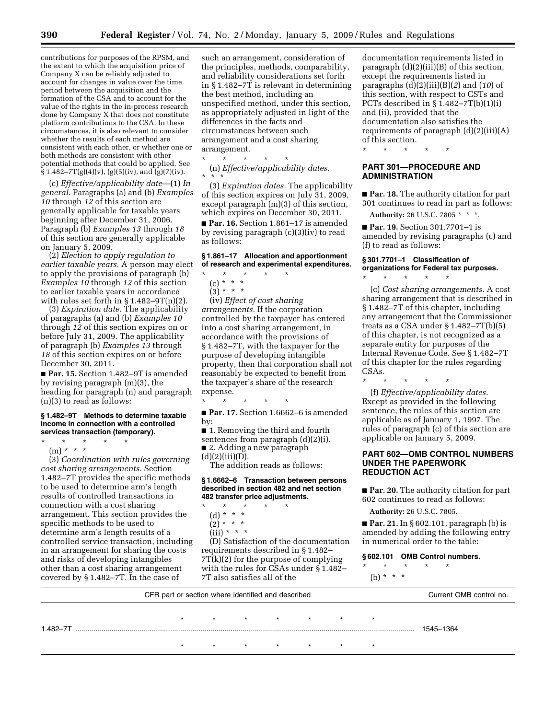contributions for purposes of the RPSM, and the extent to which the acquisition price of Company X can be reliably adjusted to account for changes in value over the time period between the acquisition and the formation of the CSA and to account for the value of the rights in the in-process research done by Company X that does not constitute platform contributions to the CSA. In these circumstances, it is also relevant to consider whether the results of each method are consistent with each other, or whether one or both methods are consistent with other potential methods that could be applied. See § 1.482–7T(g)(4)(v), (g)(5)(iv), and (g)(7)(iv).

(c) *Effective/applicability date*—(1) *In general.* Paragraphs (a) and (b) *Examples 10* through *12* of this section are generally applicable for taxable years beginning after December 31, 2006. Paragraph (b) *Examples 13* through *18*  of this section are generally applicable on January 5, 2009.

(2) *Election to apply regulation to earlier taxable years.* A person may elect to apply the provisions of paragraph (b) *Examples 10* through *12* of this section to earlier taxable years in accordance with rules set forth in § 1.482–9T(n)(2).

(3) *Expiration date.* The applicability of paragraphs (a) and (b) *Examples 10*  through *12* of this section expires on or before July 31, 2009. The applicability of paragraph (b) *Examples 13* through *18* of this section expires on or before December 30, 2011.

■ **Par. 15.** Section 1.482–9T is amended by revising paragraph (m)(3), the heading for paragraph (n) and paragraph (n)(3) to read as follows:

#### **§ 1.482–9T Methods to determine taxable income in connection with a controlled services transaction (temporary).**

- \* \* \* \* \*
- (m) \* \* \*

(3) *Coordination with rules governing cost sharing arrangements.* Section 1.482–7T provides the specific methods to be used to determine arm's length results of controlled transactions in connection with a cost sharing arrangement. This section provides the specific methods to be used to determine arm's length results of a controlled service transaction, including in an arrangement for sharing the costs and risks of developing intangibles other than a cost sharing arrangement covered by § 1.482–7T. In the case of

such an arrangement, consideration of the principles, methods, comparability, and reliability considerations set forth in § 1.482–7T is relevant in determining the best method, including an unspecified method, under this section, as appropriately adjusted in light of the differences in the facts and circumstances between such arrangement and a cost sharing arrangement.

\* \* \* \* \* (n) *Effective/applicability dates.* 

(3) *Expiration dates.* The applicability of this section expires on July 31, 2009, except paragraph (m)(3) of this section, which expires on December 30, 2011.

■ **Par. 16.** Section 1.861–17 is amended by revising paragraph (c)(3)(iv) to read as follows:

#### **§ 1.861–17 Allocation and apportionment of research and experimental expenditures.**

- \* \* \* \* \*
	- (c) \* \* \*  $(3) * * * *$
	-

(iv) *Effect of cost sharing arrangements.* If the corporation controlled by the taxpayer has entered into a cost sharing arrangement, in accordance with the provisions of § 1.482–7T, with the taxpayer for the purpose of developing intangible property, then that corporation shall not reasonably be expected to benefit from the taxpayer's share of the research expense.

\* \* \* \* \*

■ **Par. 17.** Section 1.6662–6 is amended by:

- 1. Removing the third and fourth
- sentences from paragraph (d)(2)(i). ■ 2. Adding a new paragraph

 $(d)(2)(iii)(D).$ 

The addition reads as follows:

#### **§ 1.6662–6 Transaction between persons described in section 482 and net section 482 transfer price adjustments.**

- \* \* \* \* \*
- (d) \* \* \*
- $(2)^{*}$  \* \*
- $(iii) * * * *$

(D) Satisfaction of the documentation requirements described in § 1.482– 7T(k)(2) for the purpose of complying with the rules for CSAs under § 1.482– 7T also satisfies all of the

documentation requirements listed in paragraph  $(d)(2)(iii)(B)$  of this section, except the requirements listed in paragraphs (d)(2)(iii)(B)(*2*) and (*10*) of this section, with respect to CSTs and PCTs described in  $\S$ 1.482–7T(b)(1)(i) and (ii), provided that the documentation also satisfies the requirements of paragraph (d)(2)(iii)(A) of this section.

\* \* \* \* \*

## **PART 301—PROCEDURE AND ADMINISTRATION**

■ **Par. 18.** The authority citation for part 301 continues to read in part as follows:

**Authority:** 26 U.S.C. 7805 \* \* \*.

■ **Par. 19.** Section 301.7701–1 is amended by revising paragraphs (c) and (f) to read as follows:

## **§ 301.7701–1 Classification of organizations for Federal tax purposes.**

(c) *Cost sharing arrangements.* A cost sharing arrangement that is described in § 1.482–7T of this chapter, including any arrangement that the Commissioner treats as a CSA under § 1.482–7T(b)(5) of this chapter, is not recognized as a separate entity for purposes of the Internal Revenue Code. See § 1.482–7T of this chapter for the rules regarding CSAs.

\* \* \* \* \*

\* \* \* \* \*

(f) *Effective/applicability dates.*  Except as provided in the following sentence, the rules of this section are applicable as of January 1, 1997. The rules of paragraph (c) of this section are applicable on January 5, 2009.

## **PART 602—OMB CONTROL NUMBERS UNDER THE PAPERWORK REDUCTION ACT**

■ **Par. 20.** The authority citation for part 602 continues to read as follows:

**Authority:** 26 U.S.C. 7805.

■ **Par. 21.** In § 602.101, paragraph (b) is amended by adding the following entry in numerical order to the table:

#### **§ 602.101 OMB Control numbers.**

- \* \* \* \* \* (b) \* \* \*
- 

CFR part or section where identified and described Current OMB control no. \* \* \* \* \* \* \* 1.482–7T ........................................................................................................................................................................ 1545–1364 \* \* \* \* \* \* \*

<sup>\* \* \*</sup>